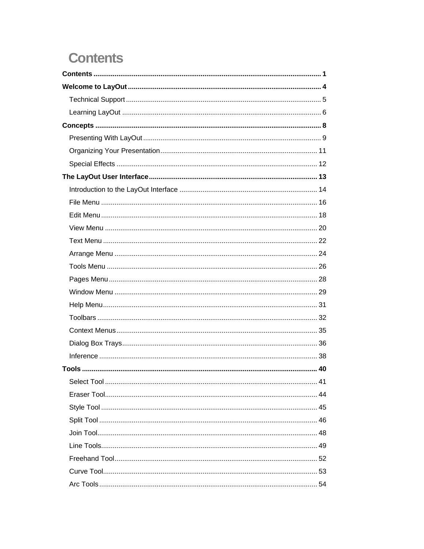# <span id="page-0-0"></span>**Contents**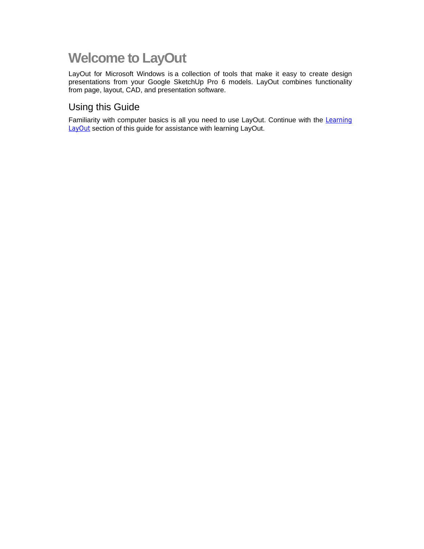# <span id="page-3-0"></span>**Welcome to LayOut**

LayOut for Microsoft Windows is a collection of tools that make it easy to create design presentations from your Google SketchUp Pro 6 models. LayOut combines functionality from page, layout, CAD, and presentation software.

## Using this Guide

Familiarity with computer basics is all you need to use LayOut. Continue with the Learning [LayOut](#page-5-0) section of this guide for assistance with learning LayOut.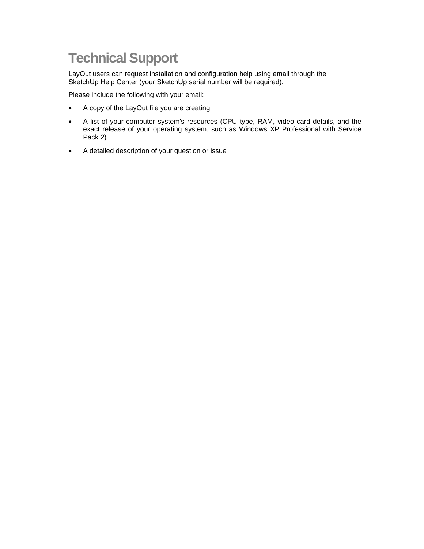# <span id="page-4-0"></span>**Technical Support**

LayOut users can request installation and configuration help using email through the SketchUp Help Center (your SketchUp serial number will be required).

Please include the following with your email:

- A copy of the LayOut file you are creating
- A list of your computer system's resources (CPU type, RAM, video card details, and the exact release of your operating system, such as Windows XP Professional with Service Pack 2)
- A detailed description of your question or issue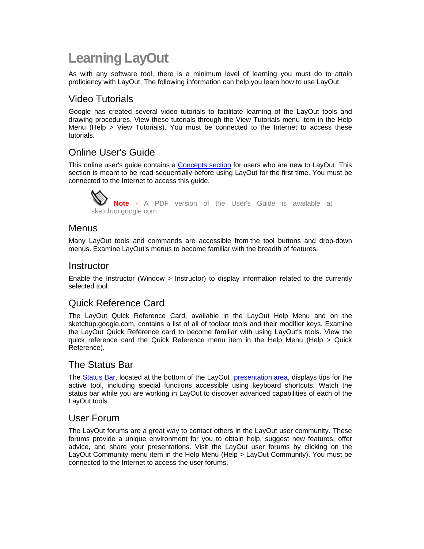# <span id="page-5-0"></span>**Learning LayOut**

As with any software tool, there is a minimum level of learning you must do to attain proficiency with LayOut. The following information can help you learn how to use LayOut.

## Video Tutorials

Google has created several video tutorials to facilitate learning of the LayOut tools and drawing procedures. View these tutorials through the View Tutorials menu item in the Help Menu (Help > View Tutorials). You must be connected to the Internet to access these tutorials.

## Online User's Guide

This online user's guide contains a [Concepts section](#page-7-0) for users who are new to LayOut. This section is meant to be read sequentially before using LayOut for the first time. You must be connected to the Internet to access this guide.

**Note -** A PDF version of the User's Guide is available at sketchup.google.com.

## Menus

Many LayOut tools and commands are accessible from the tool buttons and drop-down menus. Examine LayOut's menus to become familiar with the breadth of features.

## Instructor

Enable the Instructor (Window > Instructor) to display information related to the currently selected tool.

## Quick Reference Card

The LayOut Quick Reference Card, available in the LayOut Help Menu and on the sketchup.google.com, contains a list of all of toolbar tools and their modifier keys. Examine the LayOut Quick Reference card to become familiar with using LayOut's tools. View the quick reference card the Quick Reference menu item in the Help Menu (Help > Quick Reference).

## The Status Bar

Th[e Status Bar,](#page-14-0) located at the bottom of the LayOut [presentation](#page-0-0) area, displays tips for the active tool, including special functions accessible using keyboard shortcuts. Watch the status bar while you are working in LayOut to discover advanced capabilities of each of the LayOut tools.

## User Forum

The LayOut forums are a great way to contact others in the LayOut user community. These forums provide a unique environment for you to obtain help, suggest new features, offer advice, and share your presentations. Visit the LayOut user forums by clicking on the LayOut Community menu item in the Help Menu (Help > LayOut Community). You must be connected to the Internet to access the user forums.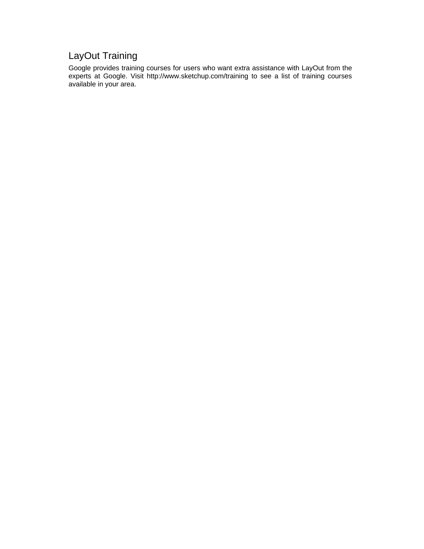# LayOut Training

Google provides training courses for users who want extra assistance with LayOut from the experts at Google. Visit http://www.sketchup.com/training to see a list of training courses available in your area.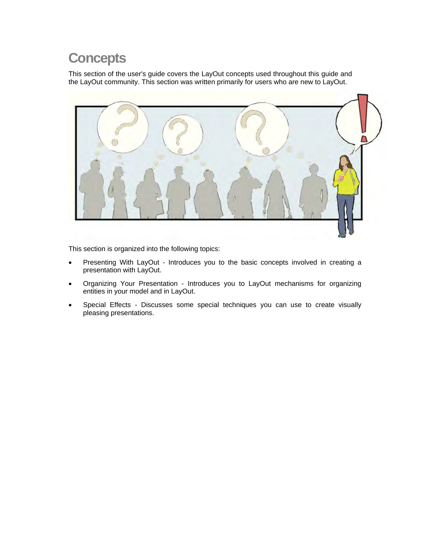# <span id="page-7-0"></span>**Concepts**

This section of the user's guide covers the LayOut concepts used throughout this guide and the LayOut community. This section was written primarily for users who are new to LayOut.



This section is organized into the following topics:

- Presenting With LayOut Introduces you to the basic concepts involved in creating a presentation with LayOut.
- Organizing Your Presentation Introduces you to LayOut mechanisms for organizing entities in your model and in LayOut.
- Special Effects Discusses some special techniques you can use to create visually pleasing presentations.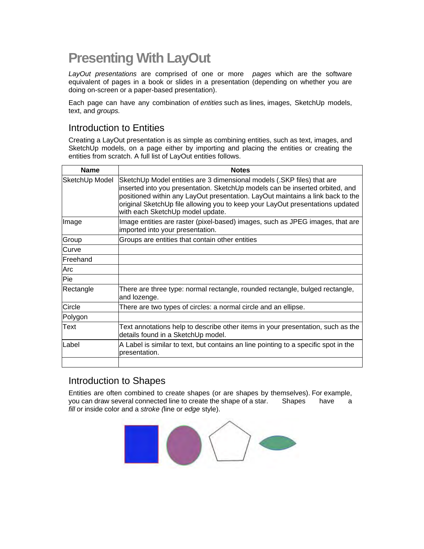# <span id="page-8-0"></span>**Presenting With LayOut**

*LayOut presentations* are comprised of one or more *pages* which are the software equivalent of pages in a book or slides in a presentation (depending on whether you are doing on-screen or a paper-based presentation).

Each page can have any combination of *entities* such as lines*,* images, SketchUp models, text, and *groups.* 

## Introduction to Entities

Creating a LayOut presentation is as simple as combining entities, such as text, images, and SketchUp models, on a page either by importing and placing the entities or creating the entities from scratch. A full list of LayOut entities follows.

| <b>Name</b>    | <b>Notes</b>                                                                                                                                                                                                                                                                                                                                                  |
|----------------|---------------------------------------------------------------------------------------------------------------------------------------------------------------------------------------------------------------------------------------------------------------------------------------------------------------------------------------------------------------|
| SketchUp Model | SketchUp Model entities are 3 dimensional models (.SKP files) that are<br>inserted into you presentation. SketchUp models can be inserted orbited, and<br>positioned within any LayOut presentation. LayOut maintains a link back to the<br>original SketchUp file allowing you to keep your LayOut presentations updated<br>with each SketchUp model update. |
| Image          | Image entities are raster (pixel-based) images, such as JPEG images, that are<br>imported into your presentation.                                                                                                                                                                                                                                             |
| Group          | Groups are entities that contain other entities                                                                                                                                                                                                                                                                                                               |
| Curve          |                                                                                                                                                                                                                                                                                                                                                               |
| Freehand       |                                                                                                                                                                                                                                                                                                                                                               |
| Arc            |                                                                                                                                                                                                                                                                                                                                                               |
| Pie            |                                                                                                                                                                                                                                                                                                                                                               |
| Rectangle      | There are three type: normal rectangle, rounded rectangle, bulged rectangle,<br>and lozenge.                                                                                                                                                                                                                                                                  |
| Circle         | There are two types of circles: a normal circle and an ellipse.                                                                                                                                                                                                                                                                                               |
| Polygon        |                                                                                                                                                                                                                                                                                                                                                               |
| Text           | Text annotations help to describe other items in your presentation, such as the<br>details found in a SketchUp model.                                                                                                                                                                                                                                         |
| Label          | A Label is similar to text, but contains an line pointing to a specific spot in the<br>presentation.                                                                                                                                                                                                                                                          |
|                |                                                                                                                                                                                                                                                                                                                                                               |

## Introduction to Shapes

Entities are often combined to create shapes (or are shapes by themselves). For example, you can draw several connected line to create the shape of a star. Shapes have a *fill* or inside color and a *stroke (*line or *edge* style).

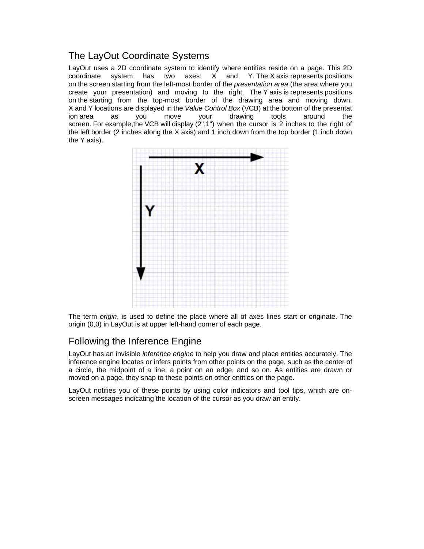## The LayOut Coordinate Systems

LayOut uses a 2D coordinate system to identify where entities reside on a page. This 2D coordinate system has two axes: X and Y. The X axis represents positions on the screen starting from the left-most border of the *presentation area* (the area where you create your presentation) and moving to the right. The Y axis is represents positions on the starting from the top-most border of the drawing area and moving down. X and Y locations are displayed in the *Value Control Box* (VCB) at the bottom of the presentat ion area as you move your drawing tools around the screen. For example,the VCB will display (2",1") when the cursor is 2 inches to the right of the left border (2 inches along the X axis) and 1 inch down from the top border (1 inch down the Y axis).



The term *origin*, is used to define the place where all of axes lines start or originate. The origin (0,0) in LayOut is at upper left-hand corner of each page.

## Following the Inference Engine

LayOut has an invisible *inference engine* to help you draw and place entities accurately. The inference engine locates or infers points from other points on the page, such as the center of a circle, the midpoint of a line, a point on an edge, and so on. As entities are drawn or moved on a page, they snap to these points on other entities on the page.

LayOut notifies you of these points by using color indicators and tool tips, which are onscreen messages indicating the location of the cursor as you draw an entity.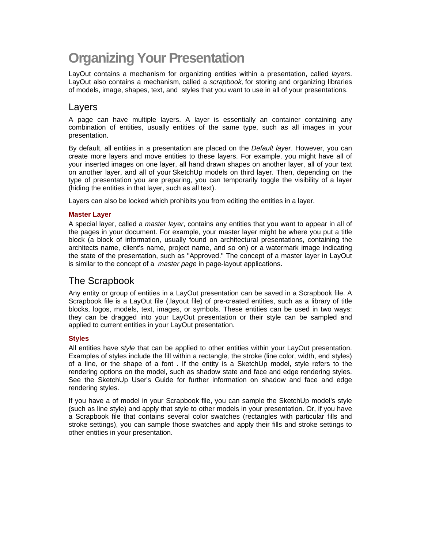# <span id="page-10-0"></span>**Organizing Your Presentation**

LayOut contains a mechanism for organizing entities within a presentation, called *layers*. LayOut also contains a mechanism, called a *scrapbook,* for storing and organizing libraries of models, image, shapes, text, and styles that you want to use in all of your presentations.

### Layers

A page can have multiple layers. A layer is essentially an container containing any combination of entities, usually entities of the same type, such as all images in your presentation.

By default, all entities in a presentation are placed on the *Default layer*. However, you can create more layers and move entities to these layers. For example, you might have all of your inserted images on one layer, all hand drawn shapes on another layer, all of your text on another layer, and all of your SketchUp models on third layer. Then, depending on the type of presentation you are preparing, you can temporarily toggle the visibility of a layer (hiding the entities in that layer, such as all text).

Layers can also be locked which prohibits you from editing the entities in a layer.

#### **Master Layer**

A special layer, called a *master layer*, contains any entities that you want to appear in all of the pages in your document. For example, your master layer might be where you put a title block (a block of information, usually found on architectural presentations, containing the architects name, client's name, project name, and so on) or a watermark image indicating the state of the presentation, such as "Approved." The concept of a master layer in LayOut is similar to the concept of a *master page* in page-layout applications.

## The Scrapbook

Any entity or group of entities in a LayOut presentation can be saved in a Scrapbook file. A Scrapbook file is a LayOut file (.layout file) of pre-created entities, such as a library of title blocks, logos, models, text, images, or symbols. These entities can be used in two ways: they can be dragged into your LayOut presentation or their style can be sampled and applied to current entities in your LayOut presentation.

#### **Styles**

All entities have *style* that can be applied to other entities within your LayOut presentation. Examples of styles include the fill within a rectangle*,* the stroke (line color, width, end styles) of a line*,* or the shape of a font . If the entity is a SketchUp model, style refers to the rendering options on the model, such as shadow state and face and edge rendering styles. See the SketchUp User's Guide for further information on shadow and face and edge rendering styles.

If you have a of model in your Scrapbook file, you can sample the SketchUp model's style (such as line style) and apply that style to other models in your presentation. Or, if you have a Scrapbook file that contains several color swatches (rectangles with particular fills and stroke settings), you can sample those swatches and apply their fills and stroke settings to other entities in your presentation.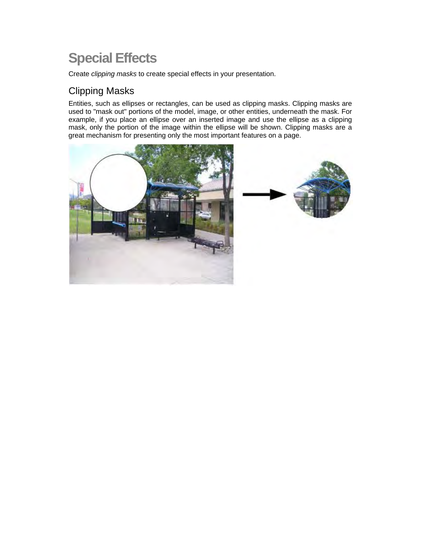# <span id="page-11-0"></span>**Special Effects**

Create *clipping masks* to create special effects in your presentation.

## Clipping Masks

Entities, such as ellipses or rectangles, can be used as clipping masks. Clipping masks are used to "mask out" portions of the model, image, or other entities, underneath the mask. For example, if you place an ellipse over an inserted image and use the ellipse as a clipping mask, only the portion of the image within the ellipse will be shown. Clipping masks are a great mechanism for presenting only the most important features on a page.

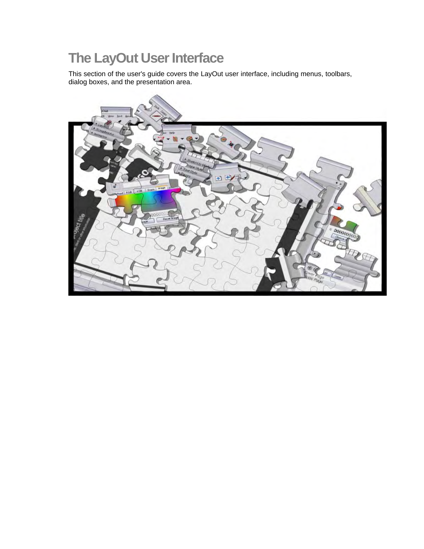# <span id="page-12-0"></span>**The LayOut User Interface**

This section of the user's guide covers the LayOut user interface, including menus, toolbars, dialog boxes, and the presentation area.

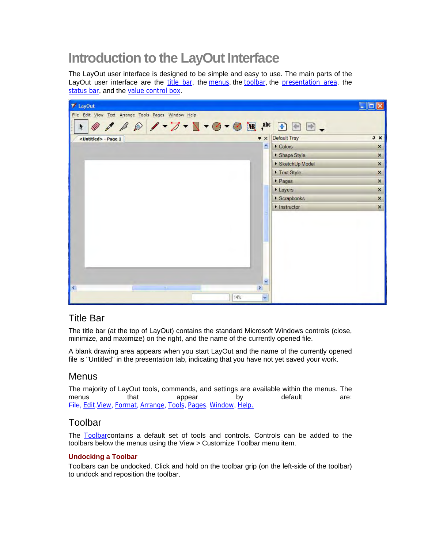# <span id="page-13-0"></span>**Introduction to the LayOut Interface**

The LayOut user interface is designed to be simple and easy to use. The main parts of the LayOut user interface are the [title bar](#page-13-0), the [menus](#page-13-0), the [toolbar](#page-13-0), the [presentation area](#page-0-0), the [status bar](#page-14-0), and the [value control box](#page-14-0).



## Title Bar

The title bar (at the top of LayOut) contains the standard Microsoft Windows controls (close, minimize, and maximize) on the right, and the name of the currently opened file.

A blank drawing area appears when you start LayOut and the name of the currently opened file is "Untitled" in the presentation tab, indicating that you have not yet saved your work.

## Menus

The majority of LayOut tools, commands, and settings are available within the menus. The menus that appear by default are: [File](#page-15-0), [Edit](#page-17-0),[View](#page-19-0), [Format](#page-21-0), [Arrange](#page-23-0), [Tools](#page-25-0), [Pages](#page-27-0), [Window](#page-28-0), [Help.](#page-30-0)

## Toolbar

The [Toolbar](#page-31-0)contains a default set of tools and controls. Controls can be added to the toolbars below the menus using the View > Customize Toolbar menu item.

### **Undocking a Toolbar**

Toolbars can be undocked. Click and hold on the toolbar grip (on the left-side of the toolbar) to undock and reposition the toolbar.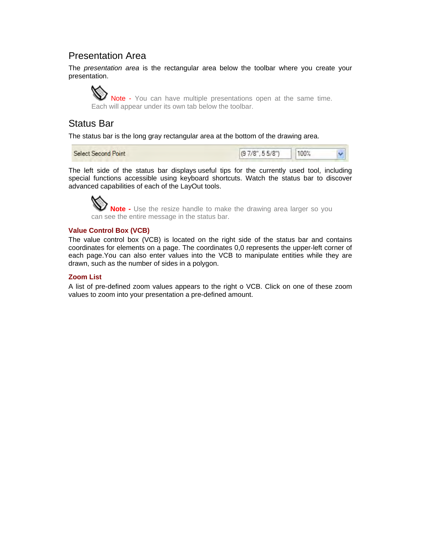## <span id="page-14-0"></span>Presentation Area

The *presentation area* is the rectangular area below the toolbar where you create your presentation.

Note - You can have multiple presentations open at the same time. Each will appear under its own tab below the toolbar.

## Status Bar

The status bar is the long gray rectangular area at the bottom of the drawing area.

| Select Second Point | (97/8", 55/8") | 100% |  |
|---------------------|----------------|------|--|
|                     |                |      |  |

The left side of the status bar displays useful tips for the currently used tool, including special functions accessible using keyboard shortcuts. Watch the status bar to discover advanced capabilities of each of the LayOut tools.

**Note -** Use the resize handle to make the drawing area larger so you can see the entire message in the status bar.

#### **Value Control Box (VCB)**

The value control box (VCB) is located on the right side of the status bar and contains coordinates for elements on a page. The coordinates 0,0 represents the upper-left corner of each page.You can also enter values into the VCB to manipulate entities while they are drawn, such as the number of sides in a polygon.

#### **Zoom List**

A list of pre-defined zoom values appears to the right o VCB. Click on one of these zoom values to zoom into your presentation a pre-defined amount.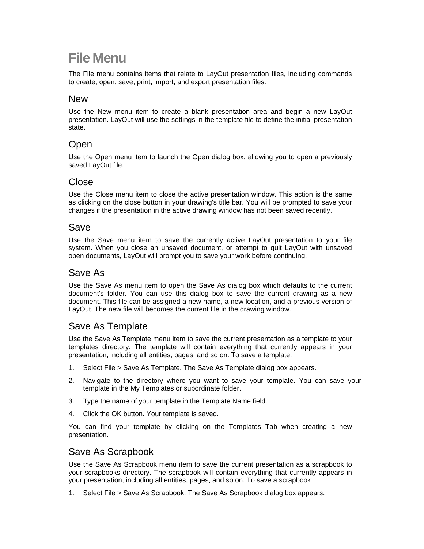# <span id="page-15-0"></span>**File Menu**

The File menu contains items that relate to LayOut presentation files, including commands to create, open, save, print, import, and export presentation files.

### New

Use the New menu item to create a blank presentation area and begin a new LayOut presentation. LayOut will use the settings in the template file to define the initial presentation state.

## Open

Use the Open menu item to launch the Open dialog box, allowing you to open a previously saved LayOut file.

## Close

Use the Close menu item to close the active presentation window. This action is the same as clicking on the close button in your drawing's title bar. You will be prompted to save your changes if the presentation in the active drawing window has not been saved recently.

### Save

Use the Save menu item to save the currently active LayOut presentation to your file system. When you close an unsaved document, or attempt to quit LayOut with unsaved open documents, LayOut will prompt you to save your work before continuing.

### Save As

Use the Save As menu item to open the Save As dialog box which defaults to the current document's folder. You can use this dialog box to save the current drawing as a new document. This file can be assigned a new name, a new location, and a previous version of LayOut. The new file will becomes the current file in the drawing window.

## Save As Template

Use the Save As Template menu item to save the current presentation as a template to your templates directory. The template will contain everything that currently appears in your presentation, including all entities, pages, and so on. To save a template:

- 1. Select File > Save As Template. The Save As Template dialog box appears.
- 2. Navigate to the directory where you want to save your template. You can save your template in the My Templates or subordinate folder.
- 3. Type the name of your template in the Template Name field.
- 4. Click the OK button. Your template is saved.

You can find your template by clicking on the Templates Tab when creating a new presentation.

## Save As Scrapbook

Use the Save As Scrapbook menu item to save the current presentation as a scrapbook to your scrapbooks directory. The scrapbook will contain everything that currently appears in your presentation, including all entities, pages, and so on. To save a scrapbook:

1. Select File > Save As Scrapbook. The Save As Scrapbook dialog box appears.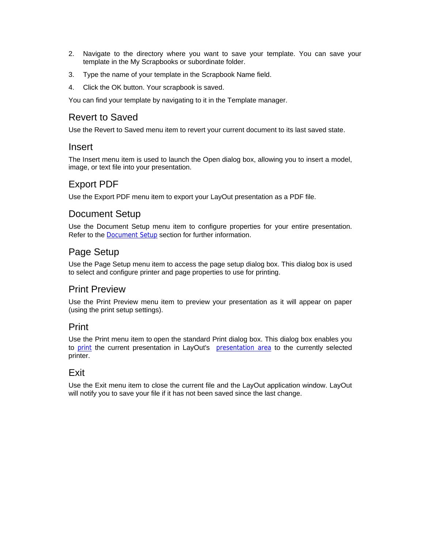- 2. Navigate to the directory where you want to save your template. You can save your template in the My Scrapbooks or subordinate folder.
- 3. Type the name of your template in the Scrapbook Name field.
- 4. Click the OK button. Your scrapbook is saved.

You can find your template by navigating to it in the Template manager.

# Revert to Saved

Use the Revert to Saved menu item to revert your current document to its last saved state.

### Insert

The Insert menu item is used to launch the Open dialog box, allowing you to insert a model, image, or text file into your presentation.

# Export PDF

Use the Export PDF menu item to export your LayOut presentation as a PDF file.

## Document Setup

Use the Document Setup menu item to configure properties for your entire presentation. Refer to the **[Document Setup](#page-67-0)** section for further information.

## Page Setup

Use the Page Setup menu item to access the page setup dialog box. This dialog box is used to select and configure printer and page properties to use for printing.

# Print Preview

Use the Print Preview menu item to preview your presentation as it will appear on paper (using the print setup settings).

## Print

Use the Print menu item to open the standard Print dialog box. This dialog box enables you to [print](#page-100-0) the current presentation in LayOut's [presentation area](#page-0-0) to the currently selected printer.

## **Exit**

Use the Exit menu item to close the current file and the LayOut application window. LayOut will notify you to save your file if it has not been saved since the last change.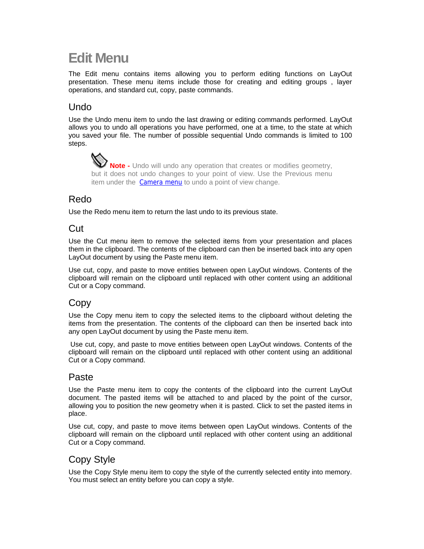# <span id="page-17-0"></span>**Edit Menu**

The Edit menu contains items allowing you to perform editing functions on LayOut presentation. These menu items include those for creating and editing groups , layer operations, and standard cut, copy, paste commands.

## Undo

Use the Undo menu item to undo the last drawing or editing commands performed. LayOut allows you to undo all operations you have performed, one at a time, to the state at which you saved your file. The number of possible sequential Undo commands is limited to 100 steps.

**Note -** Undo will undo any operation that creates or modifies geometry, but it does not undo changes to your point of view. Use the Previous menu item under the [Camera menu](#page-21-0) to undo a point of view change.

# Redo

Use the Redo menu item to return the last undo to its previous state.

## Cut

Use the Cut menu item to remove the selected items from your presentation and places them in the clipboard. The contents of the clipboard can then be inserted back into any open LayOut document by using the Paste menu item.

Use cut, copy, and paste to move entities between open LayOut windows. Contents of the clipboard will remain on the clipboard until replaced with other content using an additional Cut or a Copy command.

## Copy

Use the Copy menu item to copy the selected items to the clipboard without deleting the items from the presentation. The contents of the clipboard can then be inserted back into any open LayOut document by using the Paste menu item.

 Use cut, copy, and paste to move entities between open LayOut windows. Contents of the clipboard will remain on the clipboard until replaced with other content using an additional Cut or a Copy command.

## Paste

Use the Paste menu item to copy the contents of the clipboard into the current LayOut document. The pasted items will be attached to and placed by the point of the cursor, allowing you to position the new geometry when it is pasted. Click to set the pasted items in place.

Use cut, copy, and paste to move items between open LayOut windows. Contents of the clipboard will remain on the clipboard until replaced with other content using an additional Cut or a Copy command.

# Copy Style

Use the Copy Style menu item to copy the style of the currently selected entity into memory. You must select an entity before you can copy a style.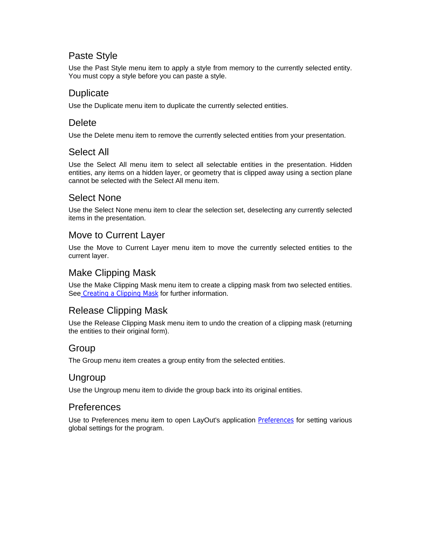## Paste Style

Use the Past Style menu item to apply a style from memory to the currently selected entity. You must copy a style before you can paste a style.

## **Duplicate**

Use the Duplicate menu item to duplicate the currently selected entities.

## **Delete**

Use the Delete menu item to remove the currently selected entities from your presentation.

## Select All

Use the Select All menu item to select all selectable entities in the presentation. Hidden entities, any items on a hidden layer, or geometry that is clipped away using a section plane cannot be selected with the Select All menu item.

## Select None

Use the Select None menu item to clear the selection set, deselecting any currently selected items in the presentation.

## Move to Current Layer

Use the Move to Current Layer menu item to move the currently selected entities to the current layer.

## Make Clipping Mask

Use the Make Clipping Mask menu item to create a clipping mask from two selected entities. See [Creating a Clipping Mask](#page-113-0) for further information.

## Release Clipping Mask

Use the Release Clipping Mask menu item to undo the creation of a clipping mask (returning the entities to their original form).

## Group

The Group menu item creates a group entity from the selected entities.

## Ungroup

Use the Ungroup menu item to divide the group back into its original entities.

## Preferences

Use to Preferences menu item to open LayOut's application [Preferences](#page-70-0) for setting various global settings for the program.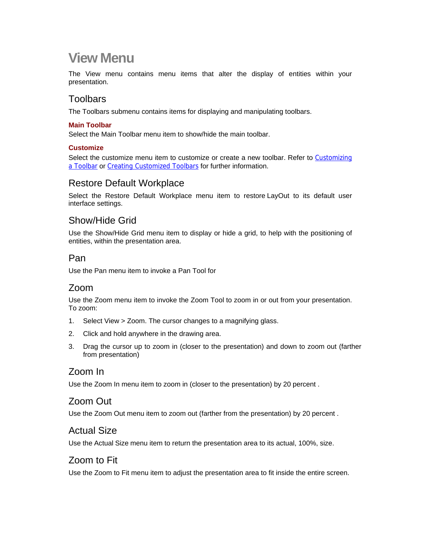# <span id="page-19-0"></span>**View Menu**

The View menu contains menu items that alter the display of entities within your presentation.

## **Toolbars**

The Toolbars submenu contains items for displaying and manipulating toolbars.

### **Main Toolbar**

Select the Main Toolbar menu item to show/hide the main toolbar.

#### **Customize**

Select the customize menu item to customize or create a new toolbar. Refer to [Customizing](#page-31-0)  [a Toolbar](#page-31-0) or [Creating Customized Toolbars](#page-88-0) for further information.

## Restore Default Workplace

Select the Restore Default Workplace menu item to restore LayOut to its default user interface settings.

# Show/Hide Grid

Use the Show/Hide Grid menu item to display or hide a grid, to help with the positioning of entities, within the presentation area.

## Pan

Use the Pan menu item to invoke a Pan Tool for

## Zoom

Use the Zoom menu item to invoke the Zoom Tool to zoom in or out from your presentation. To zoom:

- 1. Select View > Zoom. The cursor changes to a magnifying glass.
- 2. Click and hold anywhere in the drawing area.
- 3. Drag the cursor up to zoom in (closer to the presentation) and down to zoom out (farther from presentation)

## Zoom In

Use the Zoom In menu item to zoom in (closer to the presentation) by 20 percent .

## Zoom Out

Use the Zoom Out menu item to zoom out (farther from the presentation) by 20 percent .

## Actual Size

Use the Actual Size menu item to return the presentation area to its actual, 100%, size.

## Zoom to Fit

Use the Zoom to Fit menu item to adjust the presentation area to fit inside the entire screen.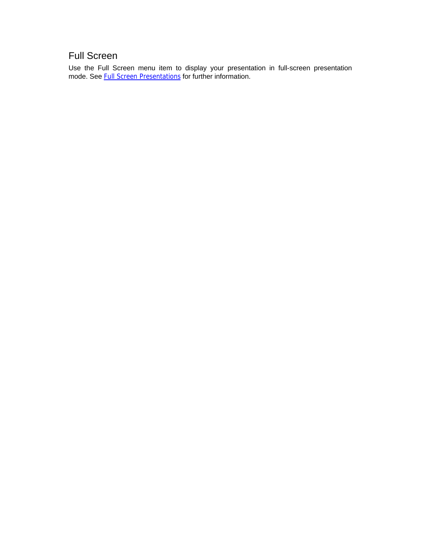# Full Screen

Use the Full Screen menu item to display your presentation in full-screen presentation mode. See [Full Screen Presentations](#page-99-0) for further information.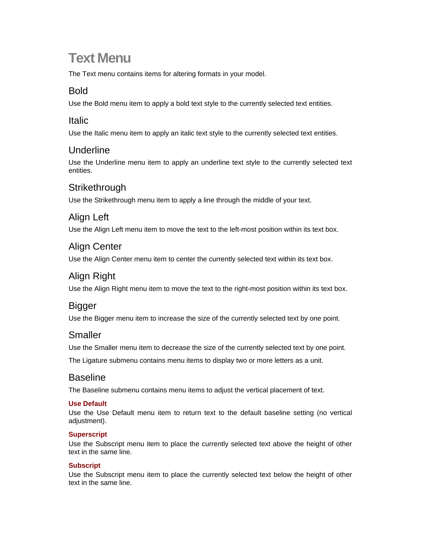# <span id="page-21-0"></span>**Text Menu**

The Text menu contains items for altering formats in your model.

# Bold

Use the Bold menu item to apply a bold text style to the currently selected text entities.

# Italic

Use the Italic menu item to apply an italic text style to the currently selected text entities.

## Underline

Use the Underline menu item to apply an underline text style to the currently selected text entities.

# **Strikethrough**

Use the Strikethrough menu item to apply a line through the middle of your text.

## Align Left

Use the Align Left menu item to move the text to the left-most position within its text box.

# Align Center

Use the Align Center menu item to center the currently selected text within its text box.

# Align Right

Use the Align Right menu item to move the text to the right-most position within its text box.

# **Bigger**

Use the Bigger menu item to increase the size of the currently selected text by one point.

## Smaller

Use the Smaller menu item to decrease the size of the currently selected text by one point.

The Ligature submenu contains menu items to display two or more letters as a unit.

## Baseline

The Baseline submenu contains menu items to adjust the vertical placement of text.

### **Use Default**

Use the Use Default menu item to return text to the default baseline setting (no vertical adjustment).

### **Superscript**

Use the Subscript menu item to place the currently selected text above the height of other text in the same line.

### **Subscript**

Use the Subscript menu item to place the currently selected text below the height of other text in the same line.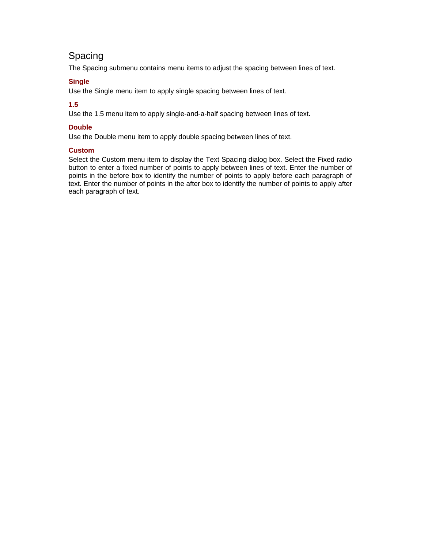## Spacing

The Spacing submenu contains menu items to adjust the spacing between lines of text.

#### **Single**

Use the Single menu item to apply single spacing between lines of text.

#### **1.5**

Use the 1.5 menu item to apply single-and-a-half spacing between lines of text.

#### **Double**

Use the Double menu item to apply double spacing between lines of text.

#### **Custom**

Select the Custom menu item to display the Text Spacing dialog box. Select the Fixed radio button to enter a fixed number of points to apply between lines of text. Enter the number of points in the before box to identify the number of points to apply before each paragraph of text. Enter the number of points in the after box to identify the number of points to apply after each paragraph of text.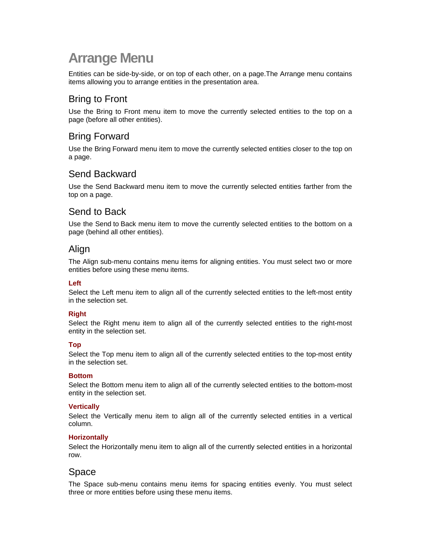# <span id="page-23-0"></span>**Arrange Menu**

Entities can be side-by-side, or on top of each other, on a page.The Arrange menu contains items allowing you to arrange entities in the presentation area.

## Bring to Front

Use the Bring to Front menu item to move the currently selected entities to the top on a page (before all other entities).

## Bring Forward

Use the Bring Forward menu item to move the currently selected entities closer to the top on a page.

## Send Backward

Use the Send Backward menu item to move the currently selected entities farther from the top on a page.

## Send to Back

Use the Send to Back menu item to move the currently selected entities to the bottom on a page (behind all other entities).

### Align

The Align sub-menu contains menu items for aligning entities. You must select two or more entities before using these menu items.

#### **Left**

Select the Left menu item to align all of the currently selected entities to the left-most entity in the selection set.

#### **Right**

Select the Right menu item to align all of the currently selected entities to the right-most entity in the selection set.

#### **Top**

Select the Top menu item to align all of the currently selected entities to the top-most entity in the selection set.

#### **Bottom**

Select the Bottom menu item to align all of the currently selected entities to the bottom-most entity in the selection set.

#### **Vertically**

Select the Vertically menu item to align all of the currently selected entities in a vertical column.

#### **Horizontally**

Select the Horizontally menu item to align all of the currently selected entities in a horizontal row.

## Space

The Space sub-menu contains menu items for spacing entities evenly. You must select three or more entities before using these menu items.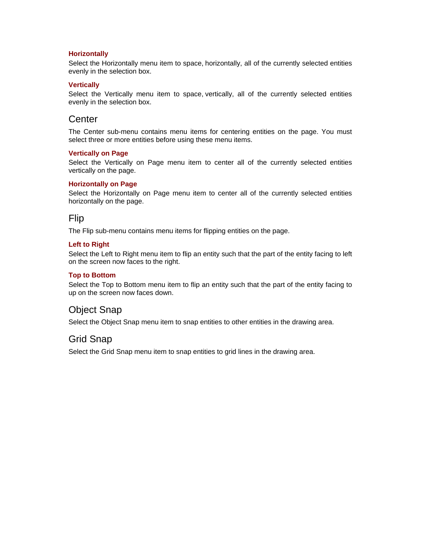#### **Horizontally**

Select the Horizontally menu item to space, horizontally, all of the currently selected entities evenly in the selection box.

#### **Vertically**

Select the Vertically menu item to space, vertically, all of the currently selected entities evenly in the selection box.

### **Center**

The Center sub-menu contains menu items for centering entities on the page. You must select three or more entities before using these menu items.

#### **Vertically on Page**

Select the Vertically on Page menu item to center all of the currently selected entities vertically on the page.

#### **Horizontally on Page**

Select the Horizontally on Page menu item to center all of the currently selected entities horizontally on the page.

### Flip

The Flip sub-menu contains menu items for flipping entities on the page.

#### **Left to Right**

Select the Left to Right menu item to flip an entity such that the part of the entity facing to left on the screen now faces to the right.

#### **Top to Bottom**

Select the Top to Bottom menu item to flip an entity such that the part of the entity facing to up on the screen now faces down.

## Object Snap

Select the Object Snap menu item to snap entities to other entities in the drawing area.

## Grid Snap

Select the Grid Snap menu item to snap entities to grid lines in the drawing area.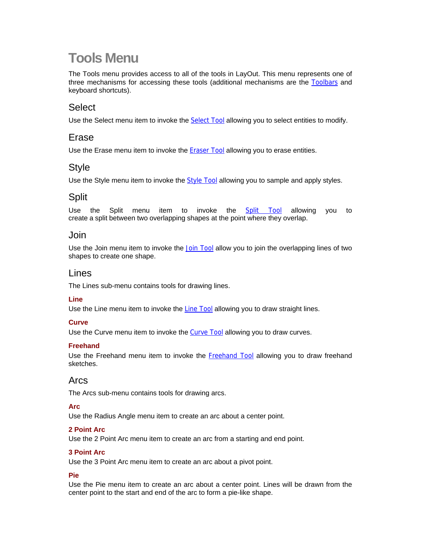# <span id="page-25-0"></span>**Tools Menu**

The Tools menu provides access to all of the tools in LayOut. This menu represents one of three mechanisms for accessing these tools (additional mechanisms are the [Toolbars](#page-31-0) and keyboard shortcuts).

## **Select**

Use the Select menu item to invoke the [Select Tool](#page-40-0) allowing you to select entities to modify.

## Erase

Use the Erase menu item to invoke the **[Eraser Tool](#page-43-0)** allowing you to erase entities.

## Style

Use the Style menu item to invoke the [Style Tool](#page-44-0) allowing you to sample and apply styles.

## Split

Use the Split menu item to invoke the [Split Tool](#page-45-0) allowing you to create a split between two overlapping shapes at the point where they overlap.

## Join

Use the Join menu item to invoke the [Join Tool](#page-47-0) allow you to join the overlapping lines of two shapes to create one shape.

## Lines

The Lines sub-menu contains tools for drawing lines.

### **Line**

Use the Line menu item to invoke the [Line Tool](#page-48-0) allowing you to draw straight lines.

### **Curve**

Use the Curve menu item to invoke the [Curve Tool](#page-52-0) allowing you to draw curves.

### **Freehand**

Use the Freehand menu item to invoke the [Freehand Tool](#page-51-0) allowing you to draw freehand sketches.

## Arcs

The Arcs sub-menu contains tools for drawing arcs.

### **Arc**

Use the Radius Angle menu item to create an arc about a center point.

### **2 Point Arc**

Use the 2 Point Arc menu item to create an arc from a starting and end point.

### **3 Point Arc**

Use the 3 Point Arc menu item to create an arc about a pivot point.

### **Pie**

Use the Pie menu item to create an arc about a center point. Lines will be drawn from the center point to the start and end of the arc to form a pie-like shape.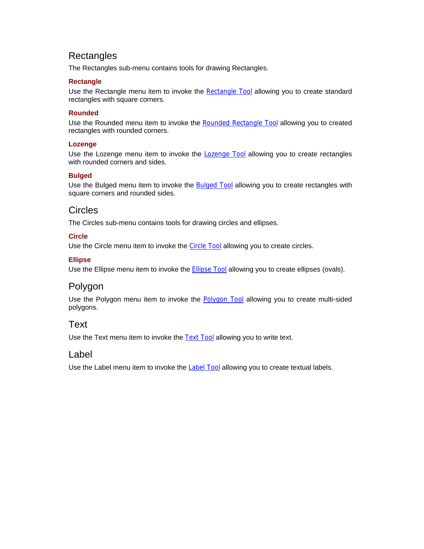## **Rectangles**

The Rectangles sub-menu contains tools for drawing Rectangles.

#### **Rectangle**

Use the Rectangle menu item to invoke the [Rectangle Tool](#page-55-0) allowing you to create standard rectangles with square corners.

#### **Rounded**

Use the Rounded menu item to invoke the [Rounded Rectangle Tool](#page-55-0) allowing you to created rectangles with rounded corners.

#### **Lozenge**

Use the Lozenge menu item to invoke the **[Lozenge Tool](#page-55-0)** allowing you to create rectangles with rounded corners and sides.

#### **Bulged**

Use the Bulged menu item to invoke the **[Bulged Tool](#page-55-0)** allowing you to create rectangles with square corners and rounded sides.

### Circles

The Circles sub-menu contains tools for drawing circles and ellipses.

#### **Circle**

Use the Circle menu item to invoke the [Circle Tool](#page-57-0) allowing you to create circles.

#### **Ellipse**

Use the Ellipse menu item to invoke the **[Ellipse Tool](#page-57-0)** allowing you to create ellipses (ovals).

### Polygon

Use the Polygon menu item to invoke the **[Polygon Tool](#page-59-0)** allowing you to create multi-sided polygons.

### Text

Use the Text menu item to invoke the [Text Tool](#page-61-0) allowing you to write text.

### Label

Use the Label menu item to invoke the [Label Tool](#page-62-0) allowing you to create textual labels.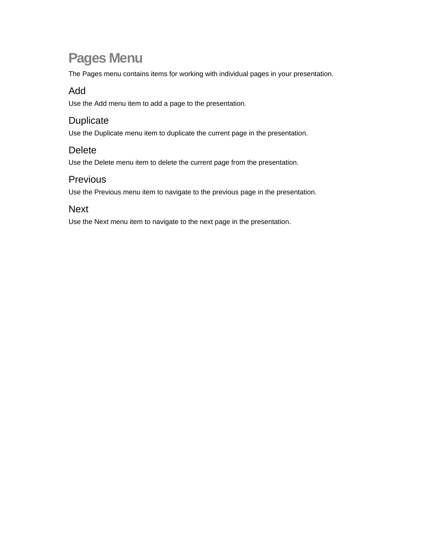# <span id="page-27-0"></span>**Pages Menu**

The Pages menu contains items for working with individual pages in your presentation.

# Add

Use the Add menu item to add a page to the presentation.

## **Duplicate**

Use the Duplicate menu item to duplicate the current page in the presentation.

## **Delete**

Use the Delete menu item to delete the current page from the presentation.

## Previous

Use the Previous menu item to navigate to the previous page in the presentation.

## Next

Use the Next menu item to navigate to the next page in the presentation.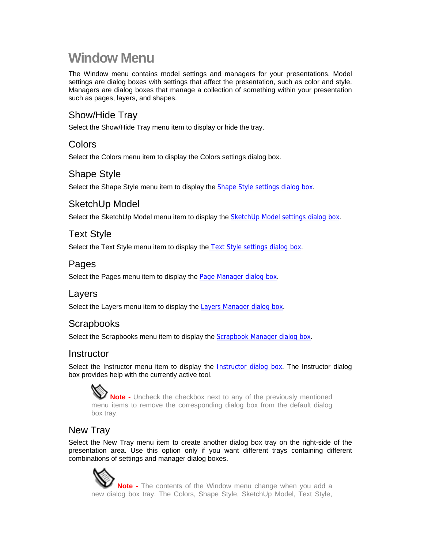# <span id="page-28-0"></span>**Window Menu**

The Window menu contains model settings and managers for your presentations. Model settings are dialog boxes with settings that affect the presentation, such as color and style. Managers are dialog boxes that manage a collection of something within your presentation such as pages, layers, and shapes.

## Show/Hide Tray

Select the Show/Hide Tray menu item to display or hide the tray.

## Colors

Select the Colors menu item to display the [Colors settings dialog box.](#page-72-0)

# Shape Style

Select the Shape Style menu item to display the **[Shape Style settings dialog box](#page-75-0)**.

## SketchUp Model

Select the SketchUp Model menu item to display the **[SketchUp Model settings dialog box](#page-77-0)**.

# Text Style

Select the Text Style menu item to display the [Text Style settings dialog box](#page-79-0).

## Pages

Select the Pages menu item to display the [Page Manager dialog box](#page-81-0).

## Layers

Select the Layers menu item to display the [Layers Manager dialog box](#page-82-0).

## **Scrapbooks**

Select the Scrapbooks menu item to display the [Scrapbook Manager dialog box](#page-84-0).

## **Instructor**

Select the Instructor menu item to display the [Instructor dialog box](#page-86-0). The Instructor dialog box provides help with the currently active tool.

**Note -** Uncheck the checkbox next to any of the previously mentioned menu items to remove the corresponding dialog box from the default dialog box tray.

## New Tray

Select the New Tray menu item to create another dialog box tray on the right-side of the presentation area. Use this option only if you want different trays containing different combinations of settings and manager dialog boxes.

**Note -** The contents of the Window menu change when you add a new dialog box tray. The Colors, Shape Style, SketchUp Model, Text Style,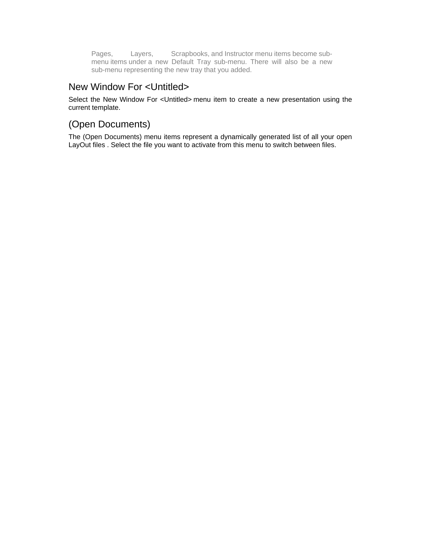Pages, Layers, Scrapbooks, and Instructor menu items become submenu items under a new Default Tray sub-menu. There will also be a new sub-menu representing the new tray that you added.

## New Window For <Untitled>

Select the New Window For <Untitled> menu item to create a new presentation using the current template.

# (Open Documents)

The (Open Documents) menu items represent a dynamically generated list of all your open LayOut files . Select the file you want to activate from this menu to switch between files.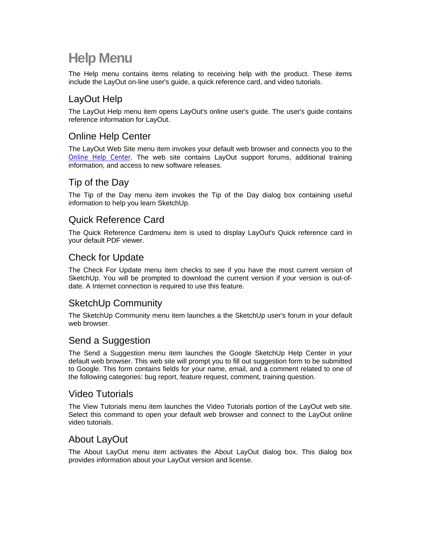# <span id="page-30-0"></span>**Help Menu**

The Help menu contains items relating to receiving help with the product. These items include the LayOut on-line user's guide, a quick reference card, and video tutorials.

# LayOut Help

The LayOut Help menu item opens LayOut's online user's guide. The user's guide contains reference information for LayOut.

## Online Help Center

The LayOut Web Site menu item invokes your default web browser and connects you to the [Online Help Center](http://sketchup.google.com/support). The web site contains LayOut support forums, additional training information, and access to new software releases.

## Tip of the Day

The Tip of the Day menu item invokes the Tip of the Day dialog box containing useful information to help you learn SketchUp.

## Quick Reference Card

The Quick Reference Cardmenu item is used to display LayOut's Quick reference card in your default PDF viewer.

## Check for Update

The Check For Update menu item checks to see if you have the most current version of SketchUp. You will be prompted to download the current version if your version is out-ofdate. A Internet connection is required to use this feature.

## SketchUp Community

The SketchUp Community menu item launches a the SketchUp user's forum in your default web browser.

## Send a Suggestion

The Send a Suggestion menu item launches the Google SketchUp Help Center in your default web browser. This web site will prompt you to fill out suggestion form to be submitted to Google. This form contains fields for your name, email, and a comment related to one of the following categories: bug report, feature request, comment, training question.

## Video Tutorials

The View Tutorials menu item launches the Video Tutorials portion of the LayOut web site. Select this command to open your default web browser and connect to the LayOut online video tutorials.

## About LayOut

The About LayOut menu item activates the About LayOut dialog box. This dialog box provides information about your LayOut version and license.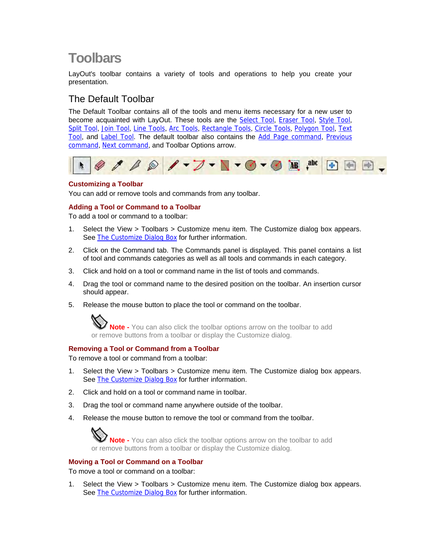# <span id="page-31-0"></span>**Toolbars**

LayOut's toolbar contains a variety of tools and operations to help you create your presentation.

# The Default Toolbar

The Default Toolbar contains all of the tools and menu items necessary for a new user to become acquainted with LayOut. These tools are the [Select Tool](#page-40-0), [Eraser Tool](#page-43-0), [Style Tool](#page-44-0), [Split Tool](#page-45-0), [Join Tool](#page-47-0), [Line Tools](#page-48-0), [Arc Tools](#page-53-0), [Rectangle Tools](#page-55-0), [Circle Tools](#page-57-0), [Polygon Tool](#page-59-0), Text [Tool](#page-61-0), and [Label Tool](#page-62-0). The default toolbar also contains the [Add Page command](#page-27-0), [Previous](#page-27-0)  [command](#page-27-0), [Next command](#page-27-0), and Toolbar Options arrow.



#### **Customizing a Toolbar**

You can add or remove tools and commands from any toolbar.

#### **Adding a Tool or Command to a Toolbar**

To add a tool or command to a toolbar:

- 1. Select the View > Toolbars > Customize menu item. The Customize dialog box appears. See [The Customize Dialog Box](#page-32-0) for further information.
- 2. Click on the Command tab. The Commands panel is displayed. This panel contains a list of tool and commands categories as well as all tools and commands in each category.
- 3. Click and hold on a tool or command name in the list of tools and commands.
- 4. Drag the tool or command name to the desired position on the toolbar. An insertion cursor should appear.
- 5. Release the mouse button to place the tool or command on the toolbar.

**Note -** You can also click the toolbar options arrow on the toolbar to add or remove buttons from a toolbar or display the Customize dialog.

#### **Removing a Tool or Command from a Toolbar**

To remove a tool or command from a toolbar:

- 1. Select the View > Toolbars > Customize menu item. The Customize dialog box appears. See [The Customize Dialog Box](#page-32-0) for further information.
- 2. Click and hold on a tool or command name in toolbar.
- 3. Drag the tool or command name anywhere outside of the toolbar.
- 4. Release the mouse button to remove the tool or command from the toolbar.

 **Note -** You can also click the toolbar options arrow on the toolbar to add or remove buttons from a toolbar or display the Customize dialog.

#### **Moving a Tool or Command on a Toolbar**

To move a tool or command on a toolbar:

1. Select the View > Toolbars > Customize menu item. The Customize dialog box appears. See [The Customize Dialog Box](#page-32-0) for further information.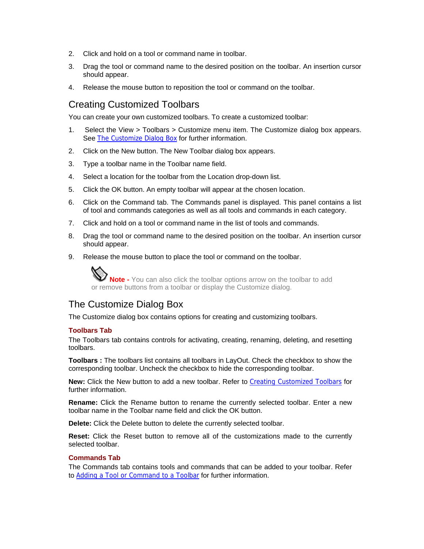- <span id="page-32-0"></span>2. Click and hold on a tool or command name in toolbar.
- 3. Drag the tool or command name to the desired position on the toolbar. An insertion cursor should appear.
- 4. Release the mouse button to reposition the tool or command on the toolbar.

## Creating Customized Toolbars

You can create your own customized toolbars. To create a customized toolbar:

- 1. Select the View > Toolbars > Customize menu item. The Customize dialog box appears. See [The Customize Dialog Box](#page-32-0) for further information.
- 2. Click on the New button. The New Toolbar dialog box appears.
- 3. Type a toolbar name in the Toolbar name field.
- 4. Select a location for the toolbar from the Location drop-down list.
- 5. Click the OK button. An empty toolbar will appear at the chosen location.
- 6. Click on the Command tab. The Commands panel is displayed. This panel contains a list of tool and commands categories as well as all tools and commands in each category.
- 7. Click and hold on a tool or command name in the list of tools and commands.
- 8. Drag the tool or command name to the desired position on the toolbar. An insertion cursor should appear.
- 9. Release the mouse button to place the tool or command on the toolbar.

*Mote* - You can also click the toolbar options arrow on the toolbar to add or remove buttons from a toolbar or display the Customize dialog.

## The Customize Dialog Box

The Customize dialog box contains options for creating and customizing toolbars.

#### **Toolbars Tab**

The Toolbars tab contains controls for activating, creating, renaming, deleting, and resetting toolbars.

**Toolbars :** The toolbars list contains all toolbars in LayOut. Check the checkbox to show the corresponding toolbar. Uncheck the checkbox to hide the corresponding toolbar.

**New:** Click the New button to add a new toolbar. Refer to [Creating Customized Toolbars](#page-88-0) for further information.

**Rename:** Click the Rename button to rename the currently selected toolbar. Enter a new toolbar name in the Toolbar name field and click the OK button.

**Delete:** Click the Delete button to delete the currently selected toolbar.

**Reset:** Click the Reset button to remove all of the customizations made to the currently selected toolbar.

#### **Commands Tab**

The Commands tab contains tools and commands that can be added to your toolbar. Refer to [Adding a Tool or Command to a Toolbar](#page-31-0) for further information.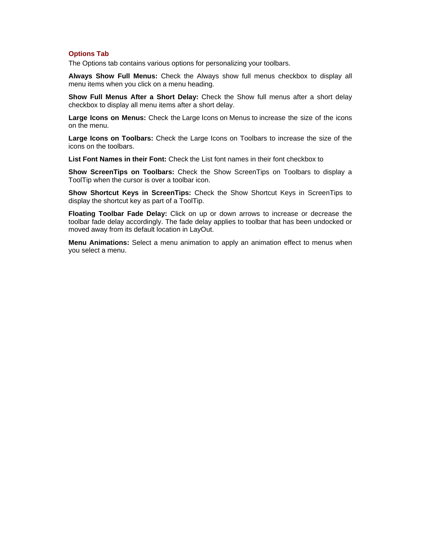#### **Options Tab**

The Options tab contains various options for personalizing your toolbars.

**Always Show Full Menus:** Check the Always show full menus checkbox to display all menu items when you click on a menu heading.

**Show Full Menus After a Short Delay:** Check the Show full menus after a short delay checkbox to display all menu items after a short delay.

**Large Icons on Menus:** Check the Large Icons on Menus to increase the size of the icons on the menu.

**Large Icons on Toolbars:** Check the Large Icons on Toolbars to increase the size of the icons on the toolbars.

**List Font Names in their Font:** Check the List font names in their font checkbox to

**Show ScreenTips on Toolbars:** Check the Show ScreenTips on Toolbars to display a ToolTip when the cursor is over a toolbar icon.

**Show Shortcut Keys in ScreenTips:** Check the Show Shortcut Keys in ScreenTips to display the shortcut key as part of a ToolTip.

**Floating Toolbar Fade Delay:** Click on up or down arrows to increase or decrease the toolbar fade delay accordingly. The fade delay applies to toolbar that has been undocked or moved away from its default location in LayOut.

**Menu Animations:** Select a menu animation to apply an animation effect to menus when you select a menu.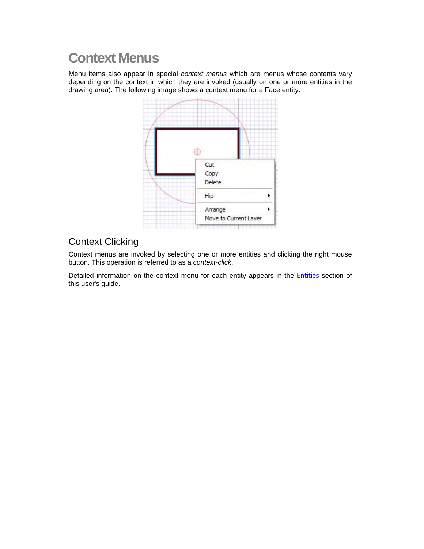# <span id="page-34-0"></span>**Context Menus**

Menu items also appear in special *context menus* which are menus whose contents vary depending on the context in which they are invoked (usually on one or more entities in the drawing area). The following image shows a context menu for a Face entity.



## Context Clicking

Context menus are invoked by selecting one or more entities and clicking the right mouse button. This operation is referred to as a *context-click*.

Detailed information on the context menu for each entity appears in the **[Entities](#page-87-0)** section of this user's guide.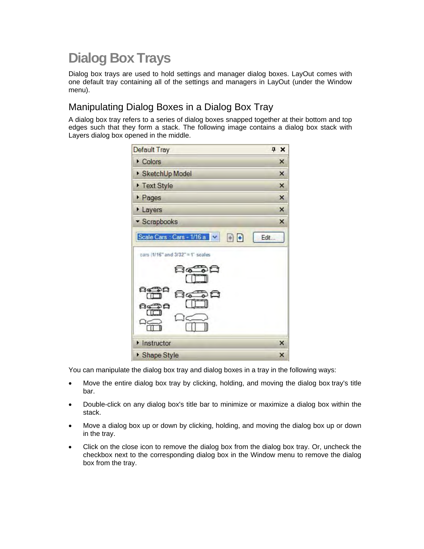# <span id="page-35-0"></span>**Dialog Box Trays**

Dialog box trays are used to hold settings and manager dialog boxes. LayOut comes with one default tray containing all of the settings and managers in LayOut (under the Window menu).

# Manipulating Dialog Boxes in a Dialog Box Tray

A dialog box tray refers to a series of dialog boxes snapped together at their bottom and top edges such that they form a stack. The following image contains a dialog box stack with Layers dialog box opened in the middle.

| Default Tray                                                                                                                                                 | $\sqrt{4}$ X                        |
|--------------------------------------------------------------------------------------------------------------------------------------------------------------|-------------------------------------|
| Colors                                                                                                                                                       | ×                                   |
| SketchUp Model                                                                                                                                               | $\times$                            |
| Text Style                                                                                                                                                   | ×                                   |
| Pages                                                                                                                                                        | $\overline{\mathsf{x}}$             |
| • Layers                                                                                                                                                     | ×                                   |
| Scrapbooks                                                                                                                                                   | ×                                   |
| Scale Cars : Cars - 1/16 a<br>$\left[ \frac{1}{2} \right]$<br>$\left[ \bullet \right]$<br>cars [1/16" and 3/32" = 1' scales<br>Bobb<br>36 OD<br>8638<br>8638 | Edit                                |
| lnstructor<br>Shape Style                                                                                                                                    | $\times$<br>$\overline{\mathsf{x}}$ |

You can manipulate the dialog box tray and dialog boxes in a tray in the following ways:

- Move the entire dialog box tray by clicking, holding, and moving the dialog box tray's title bar.
- Double-click on any dialog box's title bar to minimize or maximize a dialog box within the stack.
- Move a dialog box up or down by clicking, holding, and moving the dialog box up or down in the tray.
- Click on the close icon to remove the dialog box from the dialog box tray. Or, uncheck the checkbox next to the corresponding dialog box in the Window menu to remove the dialog box from the tray.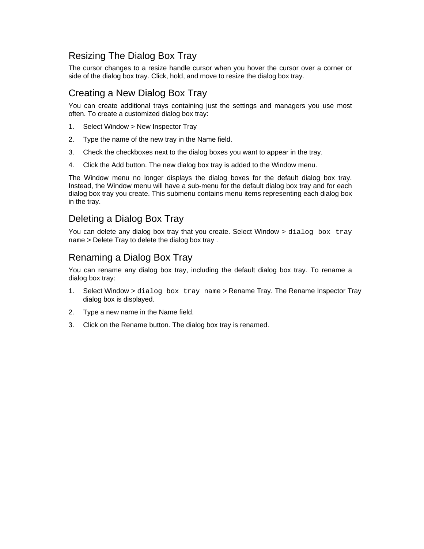### Resizing The Dialog Box Tray

The cursor changes to a resize handle cursor when you hover the cursor over a corner or side of the dialog box tray. Click, hold, and move to resize the dialog box tray.

### Creating a New Dialog Box Tray

You can create additional trays containing just the settings and managers you use most often. To create a customized dialog box tray:

- 1. Select Window > New Inspector Tray
- 2. Type the name of the new tray in the Name field.
- 3. Check the checkboxes next to the dialog boxes you want to appear in the tray.
- 4. Click the Add button. The new dialog box tray is added to the Window menu.

The Window menu no longer displays the dialog boxes for the default dialog box tray. Instead, the Window menu will have a sub-menu for the default dialog box tray and for each dialog box tray you create. This submenu contains menu items representing each dialog box in the tray.

### Deleting a Dialog Box Tray

You can delete any dialog box tray that you create. Select Window > dialog box tray name > Delete Tray to delete the dialog box tray .

### Renaming a Dialog Box Tray

You can rename any dialog box tray, including the default dialog box tray. To rename a dialog box tray:

- 1. Select Window > dialog box tray name > Rename Tray. The Rename Inspector Tray dialog box is displayed.
- 2. Type a new name in the Name field.
- 3. Click on the Rename button. The dialog box tray is renamed.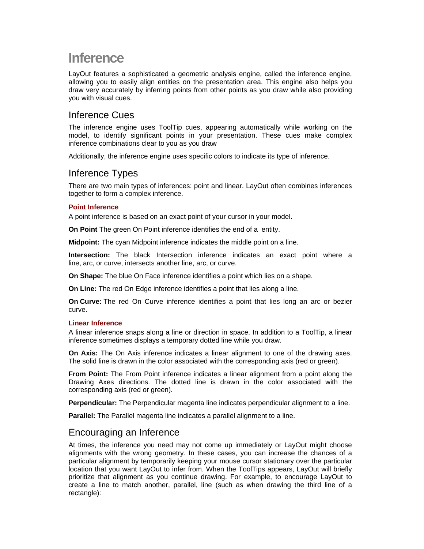## **Inference**

LayOut features a sophisticated a geometric analysis engine, called the inference engine, allowing you to easily align entities on the presentation area. This engine also helps you draw very accurately by inferring points from other points as you draw while also providing you with visual cues.

### Inference Cues

The inference engine uses ToolTip cues, appearing automatically while working on the model, to identify significant points in your presentation. These cues make complex inference combinations clear to you as you draw

Additionally, the inference engine uses specific colors to indicate its type of inference.

### Inference Types

There are two main types of inferences: point and linear. LayOut often combines inferences together to form a complex inference.

#### **Point Inference**

A point inference is based on an exact point of your cursor in your model.

**On Point** The green On Point inference identifies the end of a entity.

**Midpoint:** The cyan Midpoint inference indicates the middle point on a line.

**Intersection:** The black Intersection inference indicates an exact point where a line, arc, or curve, intersects another line, arc, or curve.

**On Shape:** The blue On Face inference identifies a point which lies on a shape.

**On Line:** The red On Edge inference identifies a point that lies along a line.

**On Curve:** The red On Curve inference identifies a point that lies long an arc or bezier curve.

#### **Linear Inference**

A linear inference snaps along a line or direction in space. In addition to a ToolTip, a linear inference sometimes displays a temporary dotted line while you draw.

**On Axis:** The On Axis inference indicates a linear alignment to one of the drawing axes. The solid line is drawn in the color associated with the corresponding axis (red or green).

**From Point:** The From Point inference indicates a linear alignment from a point along the Drawing Axes directions. The dotted line is drawn in the color associated with the corresponding axis (red or green).

**Perpendicular:** The Perpendicular magenta line indicates perpendicular alignment to a line.

**Parallel:** The Parallel magenta line indicates a parallel alignment to a line.

### Encouraging an Inference

At times, the inference you need may not come up immediately or LayOut might choose alignments with the wrong geometry. In these cases, you can increase the chances of a particular alignment by temporarily keeping your mouse cursor stationary over the particular location that you want LayOut to infer from. When the ToolTips appears, LayOut will briefly prioritize that alignment as you continue drawing. For example, to encourage LayOut to create a line to match another, parallel, line (such as when drawing the third line of a rectangle):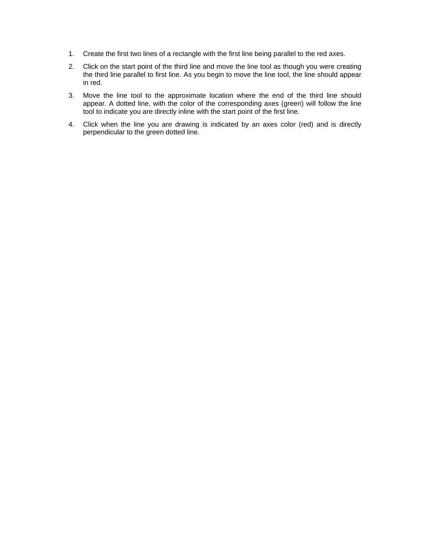- 1. Create the first two lines of a rectangle with the first line being parallel to the red axes.
- 2. Click on the start point of the third line and move the line tool as though you were creating the third line parallel to first line. As you begin to move the line tool, the line should appear in red.
- 3. Move the line tool to the approximate location where the end of the third line should appear. A dotted line, with the color of the corresponding axes (green) will follow the line tool to indicate you are directly inline with the start point of the first line.
- 4. Click when the line you are drawing is indicated by an axes color (red) and is directly perpendicular to the green dotted line.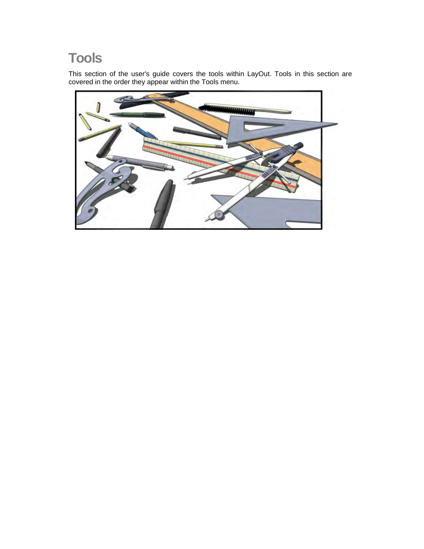## **Tools**

This section of the user's guide covers the tools within LayOut. Tools in this section are covered in the order they appear within the Tools menu.

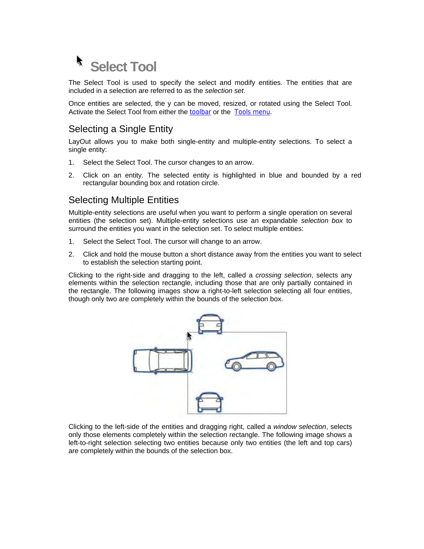#### k **Select Tool**

The Select Tool is used to specify the select and modify entities. The entities that are included in a selection are referred to as the *selection set*.

Once entities are selected, the y can be moved, resized, or rotated using the Select Tool. Activate the Select Tool from either the toolbar or the Tools menu.

### Selecting a Single Entity

LayOut allows you to make both single-entity and multiple-entity selections. To select a single entity:

- 1. Select the Select Tool. The cursor changes to an arrow.
- 2. Click on an entity. The selected entity is highlighted in blue and bounded by a red rectangular bounding box and rotation circle.

### Selecting Multiple Entities

Multiple-entity selections are useful when you want to perform a single operation on several entities (the selection set). Multiple-entity selections use an expandable *selection box* to surround the entities you want in the selection set. To select multiple entities:

- 1. Select the Select Tool. The cursor will change to an arrow.
- 2. Click and hold the mouse button a short distance away from the entities you want to select to establish the selection starting point.

Clicking to the right-side and dragging to the left, called a *crossing selection*, selects any elements within the selection rectangle, including those that are only partially contained in the rectangle. The following images show a right-to-left selection selecting all four entities, though only two are completely within the bounds of the selection box.



Clicking to the left-side of the entities and dragging right, called a *window selection*, selects only those elements completely within the selection rectangle. The following image shows a left-to-right selection selecting two entities because only two entities (the left and top cars) are completely within the bounds of the selection box.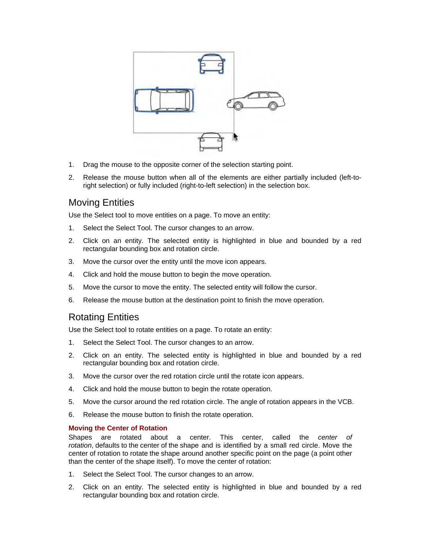

- 1. Drag the mouse to the opposite corner of the selection starting point.
- 2. Release the mouse button when all of the elements are either partially included (left-toright selection) or fully included (right-to-left selection) in the selection box.

### Moving Entities

Use the Select tool to move entities on a page. To move an entity:

- 1. Select the Select Tool. The cursor changes to an arrow.
- 2. Click on an entity. The selected entity is highlighted in blue and bounded by a red rectangular bounding box and rotation circle.
- 3. Move the cursor over the entity until the move icon appears.
- 4. Click and hold the mouse button to begin the move operation.
- 5. Move the cursor to move the entity. The selected entity will follow the cursor.
- 6. Release the mouse button at the destination point to finish the move operation.

### Rotating Entities

Use the Select tool to rotate entities on a page. To rotate an entity:

- 1. Select the Select Tool. The cursor changes to an arrow.
- 2. Click on an entity. The selected entity is highlighted in blue and bounded by a red rectangular bounding box and rotation circle.
- 3. Move the cursor over the red rotation circle until the rotate icon appears.
- 4. Click and hold the mouse button to begin the rotate operation.
- 5. Move the cursor around the red rotation circle. The angle of rotation appears in the VCB.
- 6. Release the mouse button to finish the rotate operation.

#### **Moving the Center of Rotation**

Shapes are rotated about a center. This center, called the *center of rotation*, defaults to the center of the shape and is identified by a small red circle. Move the center of rotation to rotate the shape around another specific point on the page (a point other than the center of the shape itself). To move the center of rotation:

- 1. Select the Select Tool. The cursor changes to an arrow.
- 2. Click on an entity. The selected entity is highlighted in blue and bounded by a red rectangular bounding box and rotation circle.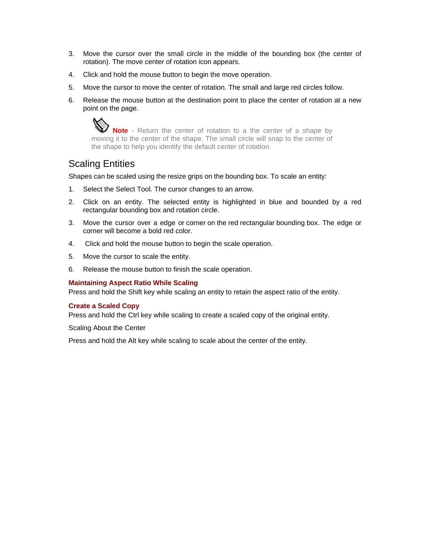- 3. Move the cursor over the small circle in the middle of the bounding box (the center of rotation). The move center of rotation icon appears.
- 4. Click and hold the mouse button to begin the move operation.
- 5. Move the cursor to move the center of rotation. The small and large red circles follow.
- 6. Release the mouse button at the destination point to place the center of rotation at a new point on the page.

**Note** - Return the center of rotation to a the center of a shape by moving it to the center of the shape. The small circle will snap to the center of the shape to help you identify the default center of rotation.

### Scaling Entities

Shapes can be scaled using the resize grips on the bounding box. To scale an entity:

- 1. Select the Select Tool. The cursor changes to an arrow.
- 2. Click on an entity. The selected entity is highlighted in blue and bounded by a red rectangular bounding box and rotation circle.
- 3. Move the cursor over a edge or corner on the red rectangular bounding box. The edge or corner will become a bold red color.
- 4. Click and hold the mouse button to begin the scale operation.
- 5. Move the cursor to scale the entity.
- 6. Release the mouse button to finish the scale operation.

#### **Maintaining Aspect Ratio While Scaling**

Press and hold the Shift key while scaling an entity to retain the aspect ratio of the entity.

#### **Create a Scaled Copy**

Press and hold the Ctrl key while scaling to create a scaled copy of the original entity.

Scaling About the Center

Press and hold the Alt key while scaling to scale about the center of the entity.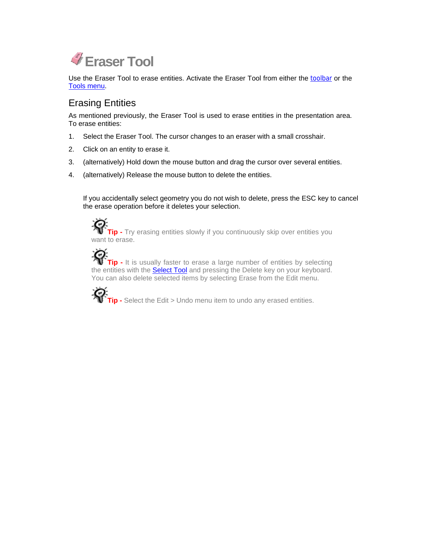

Use the Eraser Tool to erase entities. Activate the Eraser Tool from either the toolbar or the Tools menu.

### Erasing Entities

As mentioned previously, the Eraser Tool is used to erase entities in the presentation area. To erase entities:

- 1. Select the Eraser Tool. The cursor changes to an eraser with a small crosshair.
- 2. Click on an entity to erase it.
- 3. (alternatively) Hold down the mouse button and drag the cursor over several entities.
- 4. (alternatively) Release the mouse button to delete the entities.

If you accidentally select geometry you do not wish to delete, press the ESC key to cancel the erase operation before it deletes your selection.

**Tip -** Try erasing entities slowly if you continuously skip over entities you want to erase.

**Tip -** It is usually faster to erase a large number of entities by selecting the entities with the **Select Tool** and pressing the Delete key on your keyboard. You can also delete selected items by selecting Erase from the Edit menu.

**Tip -** Select the Edit > Undo menu item to undo any erased entities.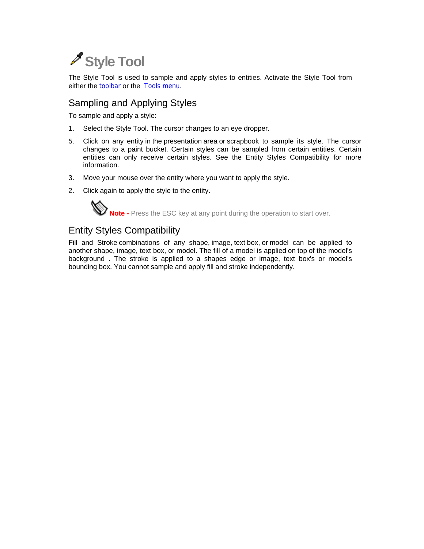

The Style Tool is used to sample and apply styles to entities. Activate the Style Tool from either the toolbar or the Tools menu.

### Sampling and Applying Styles

To sample and apply a style:

- 1. Select the Style Tool. The cursor changes to an eye dropper.
- 5. Click on any entity in the presentation area or scrapbook to sample its style. The cursor changes to a paint bucket. Certain styles can be sampled from certain entities. Certain entities can only receive certain styles. See the Entity Styles Compatibility for more information.
- 3. Move your mouse over the entity where you want to apply the style.
- 2. Click again to apply the style to the entity.



### Entity Styles Compatibility

Fill and Stroke combinations of any shape, image, text box, or model can be applied to another shape, image, text box, or model. The fill of a model is applied on top of the model's background . The stroke is applied to a shapes edge or image, text box's or model's bounding box. You cannot sample and apply fill and stroke independently.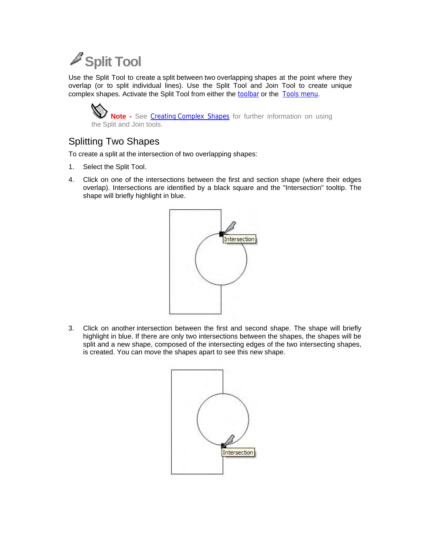

Use the Split Tool to create a split between two overlapping shapes at the point where they overlap (or to split individual lines). Use the Split Tool and Join Tool to create unique complex shapes. Activate the Split Tool from either the toolbar or the Tools menu.

**Note -** See **Creating Complex Shapes** for further information on using the Split and Join tools.

### Splitting Two Shapes

To create a split at the intersection of two overlapping shapes:

- 1. Select the Split Tool.
- 4. Click on one of the intersections between the first and section shape (where their edges overlap). Intersections are identified by a black square and the "Intersection" tooltip. The shape will briefly highlight in blue.



3. Click on another intersection between the first and second shape. The shape will briefly highlight in blue. If there are only two intersections between the shapes, the shapes will be split and a new shape, composed of the intersecting edges of the two intersecting shapes, is created. You can move the shapes apart to see this new shape.

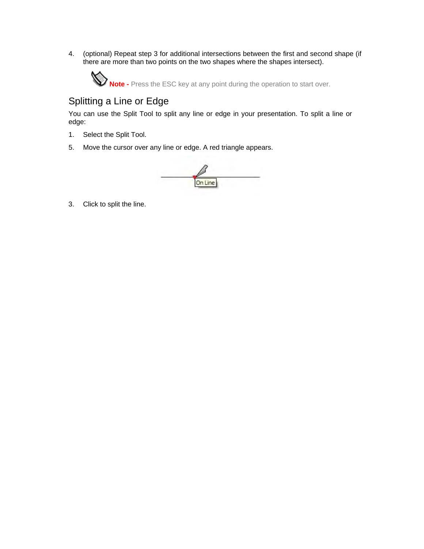4. (optional) Repeat step 3 for additional intersections between the first and second shape (if there are more than two points on the two shapes where the shapes intersect).



**Note -** Press the ESC key at any point during the operation to start over.

### Splitting a Line or Edge

You can use the Split Tool to split any line or edge in your presentation. To split a line or edge:

- 1. Select the Split Tool.
- 5. Move the cursor over any line or edge. A red triangle appears.



3. Click to split the line.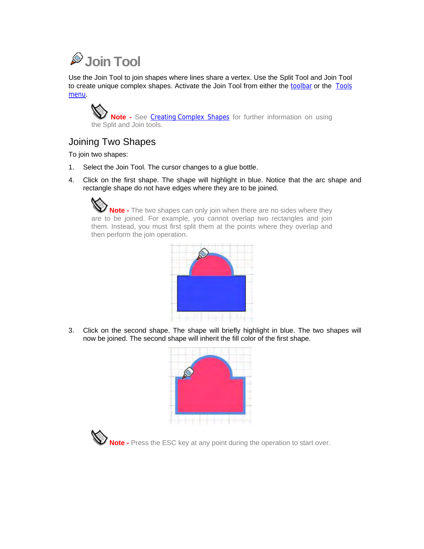

Use the Join Tool to join shapes where lines share a vertex. Use the Split Tool and Join Tool to create unique complex shapes. Activate the Join Tool from either the toolbar or the Tools menu.

**Note -** See **Creating Complex Shapes** for further information on using the Split and Join tools.

### Joining Two Shapes

To join two shapes:

- 1. Select the Join Tool. The cursor changes to a glue bottle.
- 4. Click on the first shape. The shape will highlight in blue. Notice that the arc shape and rectangle shape do not have edges where they are to be joined.

**Note -** The two shapes can only join when there are no sides where they are to be joined. For example, you cannot overlap two rectangles and join them. Instead, you must first split them at the points where they overlap and then perform the join operation.



3. Click on the second shape. The shape will briefly highlight in blue. The two shapes will now be joined. The second shape will inherit the fill color of the first shape.





 **Note -** Press the ESC key at any point during the operation to start over.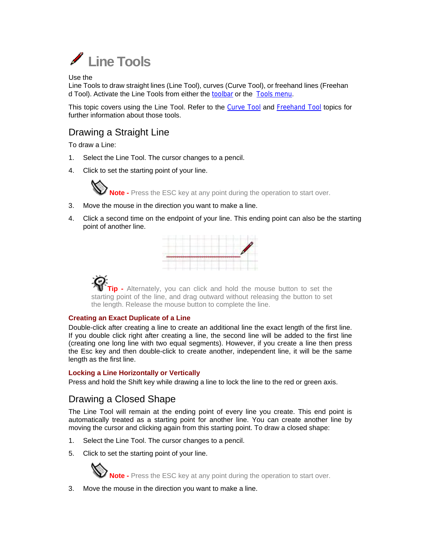

#### Use the

Line Tools to draw straight lines (Line Tool), curves (Curve Tool), or freehand lines (Freehan d Tool). Activate the Line Tools from either the toolbar or the Tools menu.

This topic covers using the Line Tool. Refer to the Curve Tool and Freehand Tool topics for further information about those tools.

### Drawing a Straight Line

To draw a Line:

- 1. Select the Line Tool. The cursor changes to a pencil.
- 4. Click to set the starting point of your line.



**W** Note - Press the ESC key at any point during the operation to start over.

- 3. Move the mouse in the direction you want to make a line.
- 4. Click a second time on the endpoint of your line. This ending point can also be the starting point of another line.



**Tip -** Alternately, you can click and hold the mouse button to set the starting point of the line, and drag outward without releasing the button to set the length. Release the mouse button to complete the line.

#### **Creating an Exact Duplicate of a Line**

Double-click after creating a line to create an additional line the exact length of the first line. If you double click right after creating a line, the second line will be added to the first line (creating one long line with two equal segments). However, if you create a line then press the Esc key and then double-click to create another, independent line, it will be the same length as the first line.

#### **Locking a Line Horizontally or Vertically**

Press and hold the Shift key while drawing a line to lock the line to the red or green axis.

### Drawing a Closed Shape

The Line Tool will remain at the ending point of every line you create. This end point is automatically treated as a starting point for another line. You can create another line by moving the cursor and clicking again from this starting point. To draw a closed shape:

- 1. Select the Line Tool. The cursor changes to a pencil.
- 5. Click to set the starting point of your line.



 **Note -** Press the ESC key at any point during the operation to start over.

3. Move the mouse in the direction you want to make a line.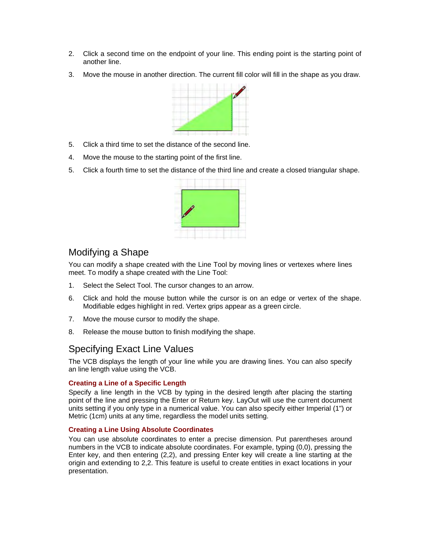- 2. Click a second time on the endpoint of your line. This ending point is the starting point of another line.
- 3. Move the mouse in another direction. The current fill color will fill in the shape as you draw.



- 5. Click a third time to set the distance of the second line.
- 4. Move the mouse to the starting point of the first line.
- 5. Click a fourth time to set the distance of the third line and create a closed triangular shape.



### Modifying a Shape

You can modify a shape created with the Line Tool by moving lines or vertexes where lines meet. To modify a shape created with the Line Tool:

- 1. Select the Select Tool. The cursor changes to an arrow.
- 6. Click and hold the mouse button while the cursor is on an edge or vertex of the shape. Modifiable edges highlight in red. Vertex grips appear as a green circle.
- 7. Move the mouse cursor to modify the shape.
- 8. Release the mouse button to finish modifying the shape.

### Specifying Exact Line Values

The VCB displays the length of your line while you are drawing lines. You can also specify an line length value using the VCB.

#### **Creating a Line of a Specific Length**

Specify a line length in the VCB by typing in the desired length after placing the starting point of the line and pressing the Enter or Return key. LayOut will use the current document units setting if you only type in a numerical value. You can also specify either Imperial (1") or Metric (1cm) units at any time, regardless the model units setting.

#### **Creating a Line Using Absolute Coordinates**

You can use absolute coordinates to enter a precise dimension. Put parentheses around numbers in the VCB to indicate absolute coordinates. For example, typing (0,0), pressing the Enter key, and then entering (2,2), and pressing Enter key will create a line starting at the origin and extending to 2,2. This feature is useful to create entities in exact locations in your presentation.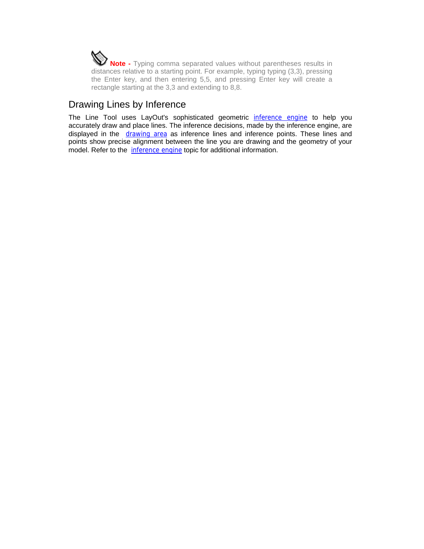**Note -** Typing comma separated values without parentheses results in distances relative to a starting point. For example, typing typing (3,3), pressing the Enter key, and then entering 5,5, and pressing Enter key will create a rectangle starting at the 3,3 and extending to 8,8.

### Drawing Lines by Inference

The Line Tool uses LayOut's sophisticated geometric inference engine to help you accurately draw and place lines. The inference decisions, made by the inference engine, are displayed in the drawing area as inference lines and inference points. These lines and points show precise alignment between the line you are drawing and the geometry of your model. Refer to the inference engine topic for additional information.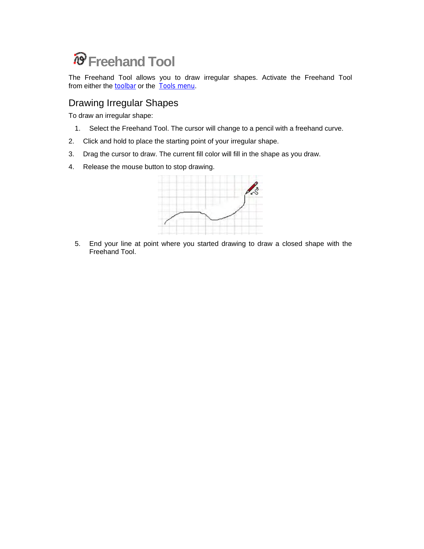# **Freehand Tool**

The Freehand Tool allows you to draw irregular shapes. Activate the Freehand Tool from either the toolbar or the Tools menu.

### Drawing Irregular Shapes

To draw an irregular shape:

- 1. Select the Freehand Tool. The cursor will change to a pencil with a freehand curve.
- 2. Click and hold to place the starting point of your irregular shape.
- 3. Drag the cursor to draw. The current fill color will fill in the shape as you draw.
- 4. Release the mouse button to stop drawing.



5. End your line at point where you started drawing to draw a closed shape with the Freehand Tool.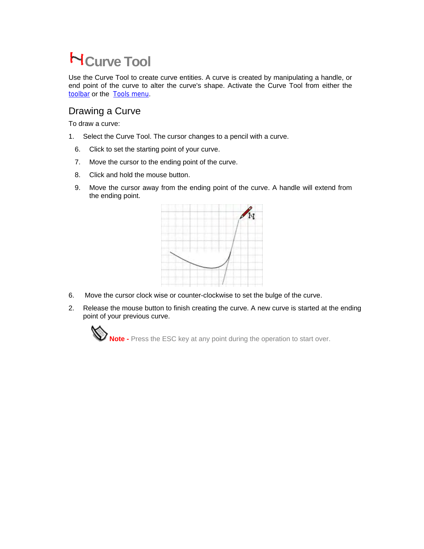# **H** Curve Tool

Use the Curve Tool to create curve entities. A curve is created by manipulating a handle, or end point of the curve to alter the curve's shape. Activate the Curve Tool from either the toolbar or the Tools menu.

### Drawing a Curve

To draw a curve:

- 1. Select the Curve Tool. The cursor changes to a pencil with a curve.
	- 6. Click to set the starting point of your curve.
	- 7. Move the cursor to the ending point of the curve.
	- 8. Click and hold the mouse button.
	- 9. Move the cursor away from the ending point of the curve. A handle will extend from the ending point.



- 6. Move the cursor clock wise or counter-clockwise to set the bulge of the curve.
- 2. Release the mouse button to finish creating the curve. A new curve is started at the ending point of your previous curve.

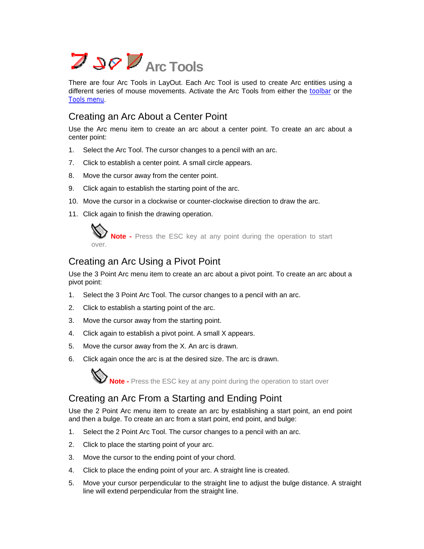

There are four Arc Tools in LayOut. Each Arc Tool is used to create Arc entities using a different series of mouse movements. Activate the Arc Tools from either the toolbar or the Tools menu.

### Creating an Arc About a Center Point

Use the Arc menu item to create an arc about a center point. To create an arc about a center point:

- 1. Select the Arc Tool. The cursor changes to a pencil with an arc.
- 7. Click to establish a center point. A small circle appears.
- 8. Move the cursor away from the center point.
- 9. Click again to establish the starting point of the arc.
- 10. Move the cursor in a clockwise or counter-clockwise direction to draw the arc.
- 11. Click again to finish the drawing operation.



### Creating an Arc Using a Pivot Point

Use the 3 Point Arc menu item to create an arc about a pivot point. To create an arc about a pivot point:

- 1. Select the 3 Point Arc Tool. The cursor changes to a pencil with an arc.
- 2. Click to establish a starting point of the arc.
- 3. Move the cursor away from the starting point.
- 4. Click again to establish a pivot point. A small X appears.
- 5. Move the cursor away from the X. An arc is drawn.
- 6. Click again once the arc is at the desired size. The arc is drawn.



**Worke -** Press the ESC key at any point during the operation to start over

### Creating an Arc From a Starting and Ending Point

Use the 2 Point Arc menu item to create an arc by establishing a start point, an end point and then a bulge. To create an arc from a start point, end point, and bulge:

- 1. Select the 2 Point Arc Tool. The cursor changes to a pencil with an arc.
- 2. Click to place the starting point of your arc.
- 3. Move the cursor to the ending point of your chord.
- 4. Click to place the ending point of your arc. A straight line is created.
- 5. Move your cursor perpendicular to the straight line to adjust the bulge distance. A straight line will extend perpendicular from the straight line.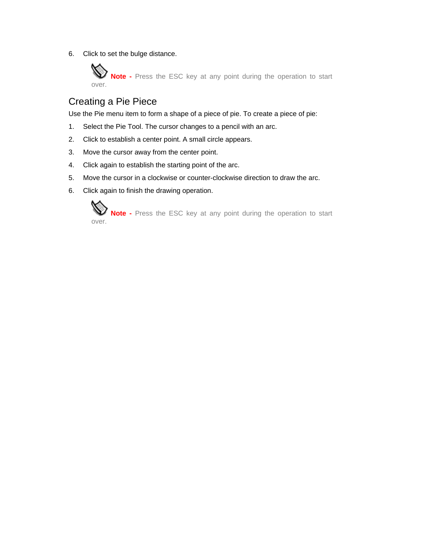6. Click to set the bulge distance.



### Creating a Pie Piece

Use the Pie menu item to form a shape of a piece of pie. To create a piece of pie:

- 1. Select the Pie Tool. The cursor changes to a pencil with an arc.
- 2. Click to establish a center point. A small circle appears.
- 3. Move the cursor away from the center point.
- 4. Click again to establish the starting point of the arc.
- 5. Move the cursor in a clockwise or counter-clockwise direction to draw the arc.
- 6. Click again to finish the drawing operation.

 **Note -** Press the ESC key at any point during the operation to start over.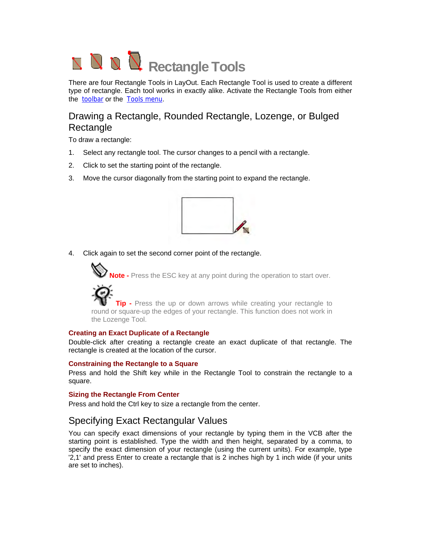

There are four Rectangle Tools in LayOut. Each Rectangle Tool is used to create a different type of rectangle. Each tool works in exactly alike. Activate the Rectangle Tools from either the toolbar or the Tools menu.

### Drawing a Rectangle, Rounded Rectangle, Lozenge, or Bulged **Rectangle**

To draw a rectangle:

- 1. Select any rectangle tool. The cursor changes to a pencil with a rectangle.
- 2. Click to set the starting point of the rectangle.
- 3. Move the cursor diagonally from the starting point to expand the rectangle.



4. Click again to set the second corner point of the rectangle.



**Note -** Press the ESC key at any point during the operation to start over.



**Tip -** Press the up or down arrows while creating your rectangle to round or square-up the edges of your rectangle. This function does not work in the Lozenge Tool.

#### **Creating an Exact Duplicate of a Rectangle**

Double-click after creating a rectangle create an exact duplicate of that rectangle. The rectangle is created at the location of the cursor.

#### **Constraining the Rectangle to a Square**

Press and hold the Shift key while in the Rectangle Tool to constrain the rectangle to a square.

#### **Sizing the Rectangle From Center**

Press and hold the Ctrl key to size a rectangle from the center.

### Specifying Exact Rectangular Values

You can specify exact dimensions of your rectangle by typing them in the VCB after the starting point is established. Type the width and then height, separated by a comma, to specify the exact dimension of your rectangle (using the current units). For example, type '2,1' and press Enter to create a rectangle that is 2 inches high by 1 inch wide (if your units are set to inches).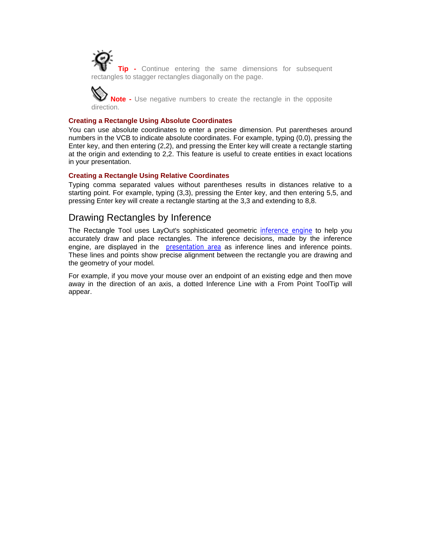**Tip -** Continue entering the same dimensions for subsequent rectangles to stagger rectangles diagonally on the page.

 **Note -** Use negative numbers to create the rectangle in the opposite direction.

#### **Creating a Rectangle Using Absolute Coordinates**

You can use absolute coordinates to enter a precise dimension. Put parentheses around numbers in the VCB to indicate absolute coordinates. For example, typing (0,0), pressing the Enter key, and then entering (2,2), and pressing the Enter key will create a rectangle starting at the origin and extending to 2,2. This feature is useful to create entities in exact locations in your presentation.

#### **Creating a Rectangle Using Relative Coordinates**

Typing comma separated values without parentheses results in distances relative to a starting point. For example, typing (3,3), pressing the Enter key, and then entering 5,5, and pressing Enter key will create a rectangle starting at the 3,3 and extending to 8,8.

### Drawing Rectangles by Inference

The Rectangle Tool uses LayOut's sophisticated geometric inference engine to help you accurately draw and place rectangles. The inference decisions, made by the inference engine, are displayed in the presentation area as inference lines and inference points. These lines and points show precise alignment between the rectangle you are drawing and the geometry of your model.

For example, if you move your mouse over an endpoint of an existing edge and then move away in the direction of an axis, a dotted Inference Line with a From Point ToolTip will appear.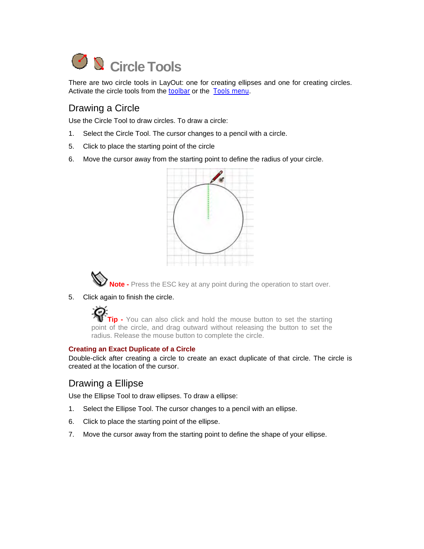

There are two circle tools in LayOut: one for creating ellipses and one for creating circles. Activate the circle tools from the toolbar or the Tools menu.

### Drawing a Circle

Use the Circle Tool to draw circles. To draw a circle:

- 1. Select the Circle Tool. The cursor changes to a pencil with a circle.
- 5. Click to place the starting point of the circle
- 6. Move the cursor away from the starting point to define the radius of your circle.



 **Note -** Press the ESC key at any point during the operation to start over.

5. Click again to finish the circle.

**Tip -** You can also click and hold the mouse button to set the starting point of the circle, and drag outward without releasing the button to set the radius. Release the mouse button to complete the circle.

#### **Creating an Exact Duplicate of a Circle**

Double-click after creating a circle to create an exact duplicate of that circle. The circle is created at the location of the cursor.

### Drawing a Ellipse

Use the Ellipse Tool to draw ellipses. To draw a ellipse:

- 1. Select the Ellipse Tool. The cursor changes to a pencil with an ellipse.
- 6. Click to place the starting point of the ellipse.
- 7. Move the cursor away from the starting point to define the shape of your ellipse.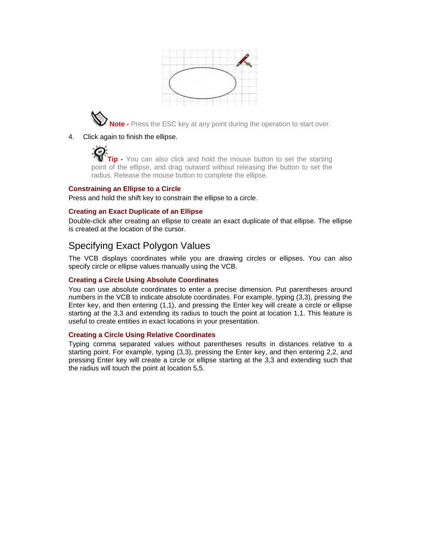

 **Note -** Press the ESC key at any point during the operation to start over.

#### 4. Click again to finish the ellipse.

**Tip -** You can also click and hold the mouse button to set the starting point of the ellipse, and drag outward without releasing the button to set the radius. Release the mouse button to complete the ellipse.

#### **Constraining an Ellipse to a Circle**

Press and hold the shift key to constrain the ellipse to a circle.

#### **Creating an Exact Duplicate of an Ellipse**

Double-click after creating an ellipse to create an exact duplicate of that ellipse. The ellipse is created at the location of the cursor.

### Specifying Exact Polygon Values

The VCB displays coordinates while you are drawing circles or ellipses. You can also specify circle or ellipse values manually using the VCB.

#### **Creating a Circle Using Absolute Coordinates**

You can use absolute coordinates to enter a precise dimension. Put parentheses around numbers in the VCB to indicate absolute coordinates. For example, typing (3,3), pressing the Enter key, and then entering (1,1), and pressing the Enter key will create a circle or ellipse starting at the 3,3 and extending its radius to touch the point at location 1,1. This feature is useful to create entities in exact locations in your presentation.

#### **Creating a Circle Using Relative Coordinates**

Typing comma separated values without parentheses results in distances relative to a starting point. For example, typing (3,3), pressing the Enter key, and then entering 2,2, and pressing Enter key will create a circle or ellipse starting at the 3,3 and extending such that the radius will touch the point at location 5,5.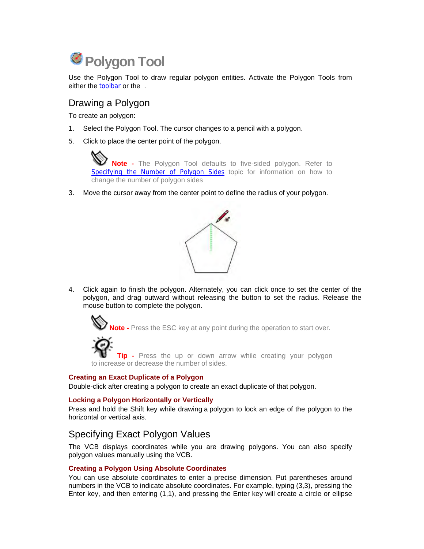

Use the Polygon Tool to draw regular polygon entities. Activate the Polygon Tools from either the toolbar or the.

### Drawing a Polygon

To create an polygon:

- 1. Select the Polygon Tool. The cursor changes to a pencil with a polygon.
- 5. Click to place the center point of the polygon.

 **Note -** The Polygon Tool defaults to five-sided polygon. Refer to Specifying the Number of Polygon Sides topic for information on how to change the number of polygon sides

3. Move the cursor away from the center point to define the radius of your polygon.



4. Click again to finish the polygon. Alternately, you can click once to set the center of the polygon, and drag outward without releasing the button to set the radius. Release the mouse button to complete the polygon.



 **Note -** Press the ESC key at any point during the operation to start over.



**Tip -** Press the up or down arrow while creating your polygon to increase or decrease the number of sides.

#### **Creating an Exact Duplicate of a Polygon**

Double-click after creating a polygon to create an exact duplicate of that polygon.

#### **Locking a Polygon Horizontally or Vertically**

Press and hold the Shift key while drawing a polygon to lock an edge of the polygon to the horizontal or vertical axis.

### Specifying Exact Polygon Values

The VCB displays coordinates while you are drawing polygons. You can also specify polygon values manually using the VCB.

#### **Creating a Polygon Using Absolute Coordinates**

You can use absolute coordinates to enter a precise dimension. Put parentheses around numbers in the VCB to indicate absolute coordinates. For example, typing (3,3), pressing the Enter key, and then entering (1,1), and pressing the Enter key will create a circle or ellipse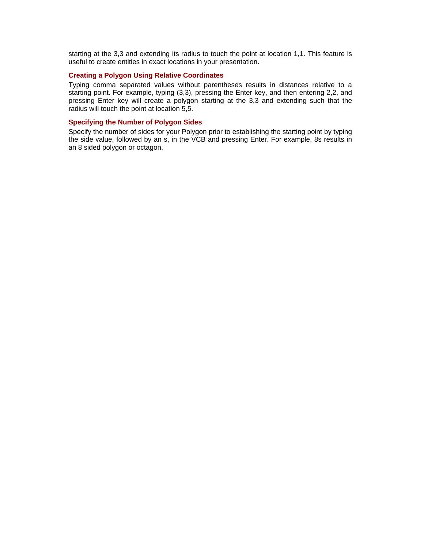starting at the 3,3 and extending its radius to touch the point at location 1,1. This feature is useful to create entities in exact locations in your presentation.

#### **Creating a Polygon Using Relative Coordinates**

Typing comma separated values without parentheses results in distances relative to a starting point. For example, typing (3,3), pressing the Enter key, and then entering 2,2, and pressing Enter key will create a polygon starting at the 3,3 and extending such that the radius will touch the point at location 5,5.

#### **Specifying the Number of Polygon Sides**

Specify the number of sides for your Polygon prior to establishing the starting point by typing the side value, followed by an s, in the VCB and pressing Enter. For example, 8s results in an 8 sided polygon or octagon.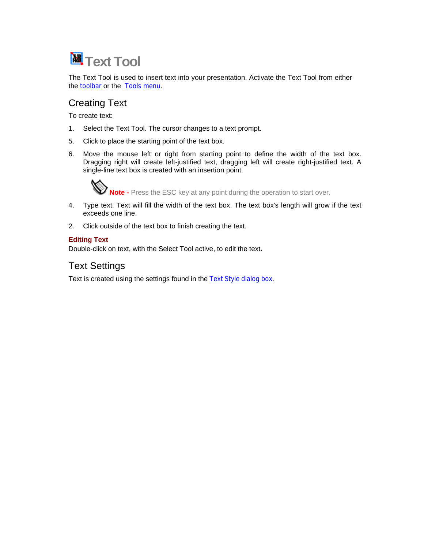

The Text Tool is used to insert text into your presentation. Activate the Text Tool from either the **toolbar** or the **Tools** menu.

### Creating Text

To create text:

- 1. Select the Text Tool. The cursor changes to a text prompt.
- 5. Click to place the starting point of the text box.
- 6. Move the mouse left or right from starting point to define the width of the text box. Dragging right will create left-justified text, dragging left will create right-justified text. A single-line text box is created with an insertion point.



**Note -** Press the ESC key at any point during the operation to start over.

- 4. Type text. Text will fill the width of the text box. The text box's length will grow if the text exceeds one line.
- 2. Click outside of the text box to finish creating the text.

#### **Editing Text**

Double-click on text, with the Select Tool active, to edit the text.

### Text Settings

Text is created using the settings found in the Text Style dialog box.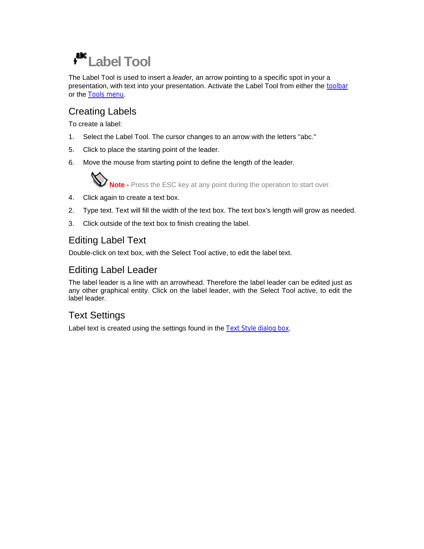### $\mathbf{f}^{\text{abc}}$ **Label Tool**

The Label Tool is used to insert a *leader,* an arrow pointing to a specific spot in your a presentation, with text into your presentation. Activate the Label Tool from either the toolbar or the Tools menu.

### Creating Labels

To create a label:

- 1. Select the Label Tool. The cursor changes to an arrow with the letters "abc."
- 5. Click to place the starting point of the leader.
- 6. Move the mouse from starting point to define the length of the leader.

*Note -* Press the ESC key at any point during the operation to start over.

- 4. Click again to create a text box.
- 2. Type text. Text will fill the width of the text box. The text box's length will grow as needed.
- 3. Click outside of the text box to finish creating the label.

### Editing Label Text

Double-click on text box, with the Select Tool active, to edit the label text.

### Editing Label Leader

The label leader is a line with an arrowhead. Therefore the label leader can be edited just as any other graphical entity. Click on the label leader, with the Select Tool active, to edit the label leader.

### Text Settings

Label text is created using the settings found in the Text Style dialog box.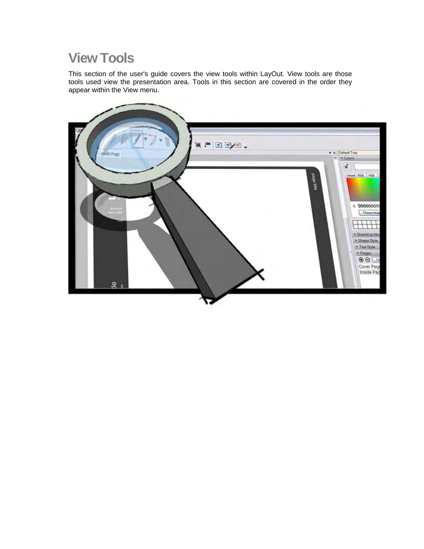## **View Tools**

This section of the user's guide covers the view tools within LayOut. View tools are those tools used view the presentation area. Tools in this section are covered in the order they appear within the View menu.

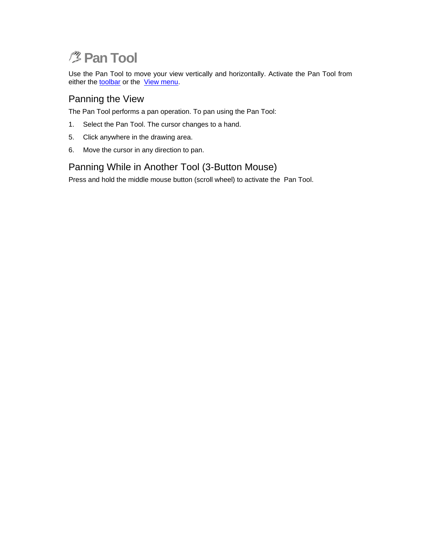# **Pan Tool**

Use the Pan Tool to move your view vertically and horizontally. Activate the Pan Tool from either the **toolbar** or the View menu.

### Panning the View

The Pan Tool performs a pan operation. To pan using the Pan Tool:

- 1. Select the Pan Tool. The cursor changes to a hand.
- 5. Click anywhere in the drawing area.
- 6. Move the cursor in any direction to pan.

### Panning While in Another Tool (3-Button Mouse)

Press and hold the middle mouse button (scroll wheel) to activate the Pan Tool.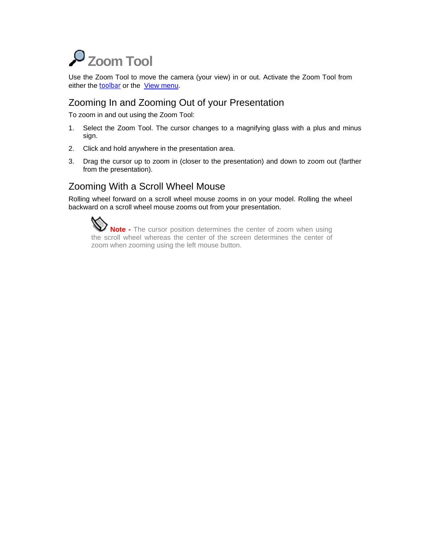# **Zoom Tool**

Use the Zoom Tool to move the camera (your view) in or out. Activate the Zoom Tool from either the **toolbar** or the View menu.

### Zooming In and Zooming Out of your Presentation

To zoom in and out using the Zoom Tool:

- 1. Select the Zoom Tool. The cursor changes to a magnifying glass with a plus and minus sign.
- 2. Click and hold anywhere in the presentation area.
- 3. Drag the cursor up to zoom in (closer to the presentation) and down to zoom out (farther from the presentation).

### Zooming With a Scroll Wheel Mouse

Rolling wheel forward on a scroll wheel mouse zooms in on your model. Rolling the wheel backward on a scroll wheel mouse zooms out from your presentation.

*Note* - The cursor position determines the center of zoom when using the scroll wheel whereas the center of the screen determines the center of zoom when zooming using the left mouse button.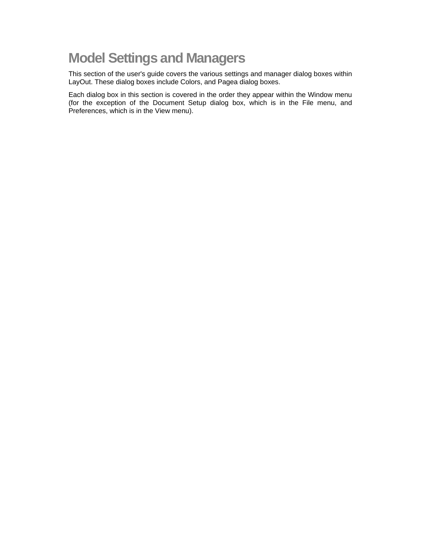# **Model Settings and Managers**

This section of the user's guide covers the various settings and manager dialog boxes within LayOut. These dialog boxes include Colors, and Pagea dialog boxes.

Each dialog box in this section is covered in the order they appear within the Window menu (for the exception of the Document Setup dialog box, which is in the File menu, and Preferences, which is in the View menu).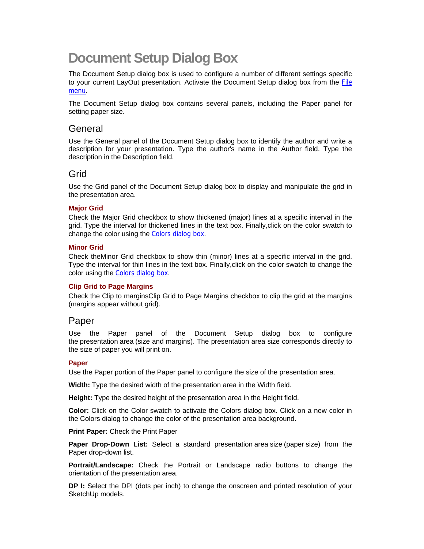# **Document Setup Dialog Box**

The Document Setup dialog box is used to configure a number of different settings specific to your current LayOut presentation. Activate the Document Setup dialog box from the File menu.

The Document Setup dialog box contains several panels, including the Paper panel for setting paper size.

### General

Use the General panel of the Document Setup dialog box to identify the author and write a description for your presentation. Type the author's name in the Author field. Type the description in the Description field.

### Grid

Use the Grid panel of the Document Setup dialog box to display and manipulate the grid in the presentation area.

#### **Major Grid**

Check the Major Grid checkbox to show thickened (major) lines at a specific interval in the grid. Type the interval for thickened lines in the text box. Finally,click on the color swatch to change the color using the Colors dialog box.

#### **Minor Grid**

Check theMinor Grid checkbox to show thin (minor) lines at a specific interval in the grid. Type the interval for thin lines in the text box. Finally,click on the color swatch to change the color using the Colors dialog box.

#### **Clip Grid to Page Margins**

Check the Clip to marginsClip Grid to Page Margins checkbox to clip the grid at the margins (margins appear without grid).

#### Paper

Use the Paper panel of the Document Setup dialog box to configure the presentation area (size and margins). The presentation area size corresponds directly to the size of paper you will print on.

#### **Paper**

Use the Paper portion of the Paper panel to configure the size of the presentation area.

**Width:** Type the desired width of the presentation area in the Width field.

**Height:** Type the desired height of the presentation area in the Height field.

**Color:** Click on the Color swatch to activate the Colors dialog box. Click on a new color in the Colors dialog to change the color of the presentation area background.

**Print Paper:** Check the Print Paper

**Paper Drop-Down List:** Select a standard presentation area size (paper size) from the Paper drop-down list.

**Portrait/Landscape:** Check the Portrait or Landscape radio buttons to change the orientation of the presentation area.

**DP I:** Select the DPI (dots per inch) to change the onscreen and printed resolution of your SketchUp models.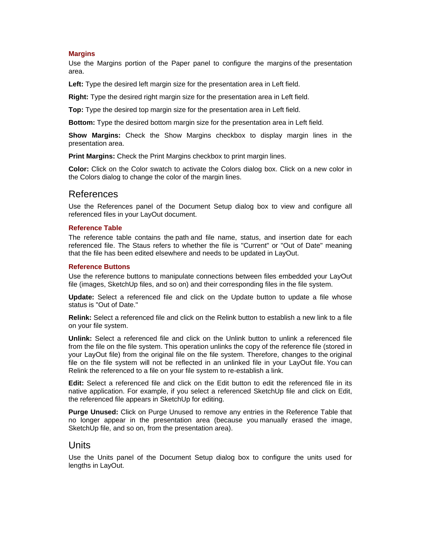#### **Margins**

Use the Margins portion of the Paper panel to configure the margins of the presentation area.

**Left:** Type the desired left margin size for the presentation area in Left field.

**Right:** Type the desired right margin size for the presentation area in Left field.

**Top:** Type the desired top margin size for the presentation area in Left field.

**Bottom:** Type the desired bottom margin size for the presentation area in Left field.

**Show Margins:** Check the Show Margins checkbox to display margin lines in the presentation area.

**Print Margins:** Check the Print Margins checkbox to print margin lines.

**Color:** Click on the Color swatch to activate the Colors dialog box. Click on a new color in the Colors dialog to change the color of the margin lines.

#### References

Use the References panel of the Document Setup dialog box to view and configure all referenced files in your LayOut document.

#### **Reference Table**

The reference table contains the path and file name, status, and insertion date for each referenced file. The Staus refers to whether the file is "Current" or "Out of Date" meaning that the file has been edited elsewhere and needs to be updated in LayOut.

#### **Reference Buttons**

Use the reference buttons to manipulate connections between files embedded your LayOut file (images, SketchUp files, and so on) and their corresponding files in the file system.

**Update:** Select a referenced file and click on the Update button to update a file whose status is "Out of Date."

**Relink:** Select a referenced file and click on the Relink button to establish a new link to a file on your file system.

**Unlink:** Select a referenced file and click on the Unlink button to unlink a referenced file from the file on the file system. This operation unlinks the copy of the reference file (stored in your LayOut file) from the original file on the file system. Therefore, changes to the original file on the file system will not be reflected in an unlinked file in your LayOut file. You can Relink the referenced to a file on your file system to re-establish a link.

**Edit:** Select a referenced file and click on the Edit button to edit the referenced file in its native application. For example, if you select a referenced SketchUp file and click on Edit, the referenced file appears in SketchUp for editing.

**Purge Unused:** Click on Purge Unused to remove any entries in the Reference Table that no longer appear in the presentation area (because you manually erased the image, SketchUp file, and so on, from the presentation area).

#### **Units**

Use the Units panel of the Document Setup dialog box to configure the units used for lengths in LayOut.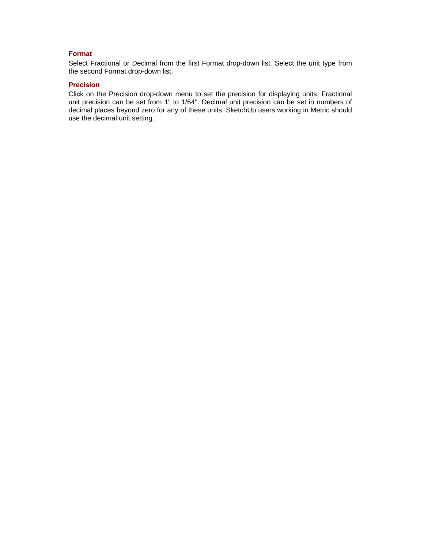#### **Format**

Select Fractional or Decimal from the first Format drop-down list. Select the unit type from the second Format drop-down list.

#### **Precision**

Click on the Precision drop-down menu to set the precision for displaying units. Fractional unit precision can be set from 1" to 1/64". Decimal unit precision can be set in numbers of decimal places beyond zero for any of these units. SketchUp users working in Metric should use the decimal unit setting.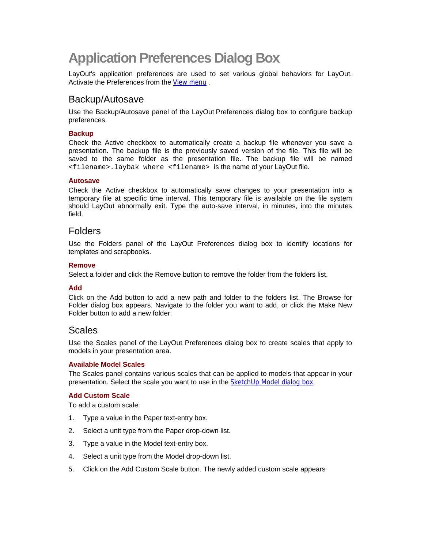# **Application Preferences Dialog Box**

LayOut's application preferences are used to set various global behaviors for LayOut. Activate the Preferences from the View menu .

### Backup/Autosave

Use the Backup/Autosave panel of the LayOut Preferences dialog box to configure backup preferences.

#### **Backup**

Check the Active checkbox to automatically create a backup file whenever you save a presentation. The backup file is the previously saved version of the file. This file will be saved to the same folder as the presentation file. The backup file will be named <filename>.laybak where <filename> is the name of your LayOut file.

#### **Autosave**

Check the Active checkbox to automatically save changes to your presentation into a temporary file at specific time interval. This temporary file is available on the file system should LayOut abnormally exit. Type the auto-save interval, in minutes, into the minutes field.

#### Folders

Use the Folders panel of the LayOut Preferences dialog box to identify locations for templates and scrapbooks.

#### **Remove**

Select a folder and click the Remove button to remove the folder from the folders list.

#### **Add**

Click on the Add button to add a new path and folder to the folders list. The Browse for Folder dialog box appears. Navigate to the folder you want to add, or click the Make New Folder button to add a new folder.

#### **Scales**

Use the Scales panel of the LayOut Preferences dialog box to create scales that apply to models in your presentation area.

#### **Available Model Scales**

The Scales panel contains various scales that can be applied to models that appear in your presentation. Select the scale you want to use in the SketchUp Model dialog box.

#### **Add Custom Scale**

To add a custom scale:

- 1. Type a value in the Paper text-entry box.
- 2. Select a unit type from the Paper drop-down list.
- 3. Type a value in the Model text-entry box.
- 4. Select a unit type from the Model drop-down list.
- 5. Click on the Add Custom Scale button. The newly added custom scale appears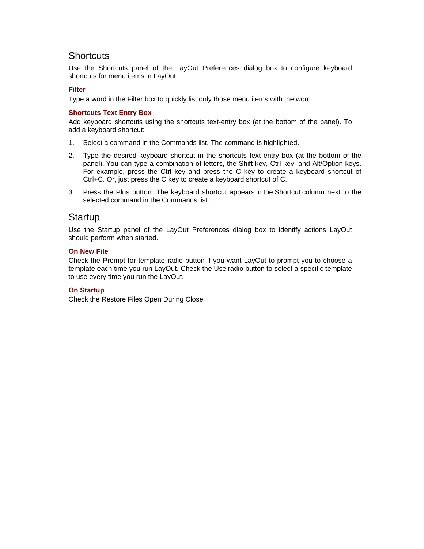### **Shortcuts**

Use the Shortcuts panel of the LayOut Preferences dialog box to configure keyboard shortcuts for menu items in LayOut.

#### **Filter**

Type a word in the Filter box to quickly list only those menu items with the word.

#### **Shortcuts Text Entry Box**

Add keyboard shortcuts using the shortcuts text-entry box (at the bottom of the panel). To add a keyboard shortcut:

- 1. Select a command in the Commands list. The command is highlighted.
- 2. Type the desired keyboard shortcut in the shortcuts text entry box (at the bottom of the panel). You can type a combination of letters, the Shift key, Ctrl key, and Alt/Option keys. For example, press the Ctrl key and press the C key to create a keyboard shortcut of Ctrl+C. Or, just press the C key to create a keyboard shortcut of C.
- 3. Press the Plus button. The keyboard shortcut appears in the Shortcut column next to the selected command in the Commands list.

### **Startup**

Use the Startup panel of the LayOut Preferences dialog box to identify actions LayOut should perform when started.

#### **On New File**

Check the Prompt for template radio button if you want LayOut to prompt you to choose a template each time you run LayOut. Check the Use radio button to select a specific template to use every time you run the LayOut.

#### **On Startup**

Check the Restore Files Open During Close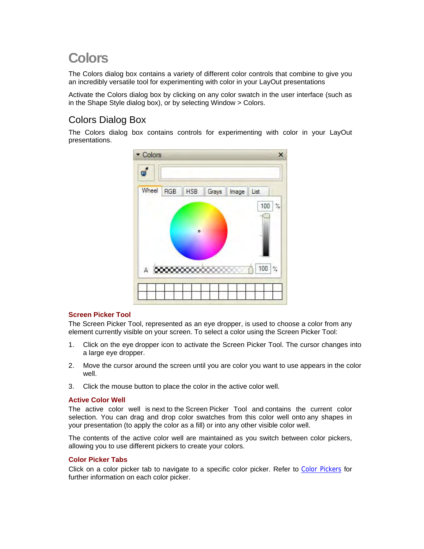## **Colors**

The Colors dialog box contains a variety of different color controls that combine to give you an incredibly versatile tool for experimenting with color in your LayOut presentations

Activate the Colors dialog box by clicking on any color swatch in the user interface (such as in the Shape Style dialog box), or by selecting Window > Colors.

## Colors Dialog Box

The Colors dialog box contains controls for experimenting with color in your LayOut presentations.

| Wheel | RGB | <b>HSB</b> |                            | Grays Image List |                   |
|-------|-----|------------|----------------------------|------------------|-------------------|
|       |     |            |                            |                  |                   |
|       |     |            |                            |                  | 100               |
|       |     |            |                            |                  |                   |
|       |     |            |                            |                  |                   |
|       |     |            |                            |                  |                   |
|       |     |            |                            |                  |                   |
|       |     | o          |                            |                  |                   |
|       |     |            |                            |                  |                   |
|       |     |            |                            |                  |                   |
|       |     |            |                            |                  |                   |
|       |     |            |                            |                  |                   |
|       |     |            |                            |                  |                   |
|       |     |            |                            |                  |                   |
|       |     |            | ×.<br>سم<br>$\Xi_{\rm ff}$ | ж                | $100 \frac{9}{6}$ |

#### **Screen Picker Tool**

The Screen Picker Tool, represented as an eye dropper, is used to choose a color from any element currently visible on your screen. To select a color using the Screen Picker Tool:

- 1. Click on the eye dropper icon to activate the Screen Picker Tool. The cursor changes into a large eye dropper.
- 2. Move the cursor around the screen until you are color you want to use appears in the color well.
- 3. Click the mouse button to place the color in the active color well.

#### **Active Color Well**

The active color well is next to the Screen Picker Tool and contains the current color selection. You can drag and drop color swatches from this color well onto any shapes in your presentation (to apply the color as a fill) or into any other visible color well.

The contents of the active color well are maintained as you switch between color pickers, allowing you to use different pickers to create your colors.

#### **Color Picker Tabs**

Click on a color picker tab to navigate to a specific color picker. Refer to Color Pickers for further information on each color picker.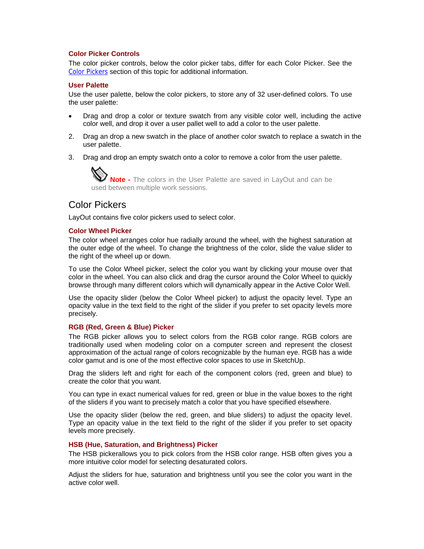#### **Color Picker Controls**

The color picker controls, below the color picker tabs, differ for each Color Picker. See the Color Pickers section of this topic for additional information.

#### **User Palette**

Use the user palette, below the color pickers, to store any of 32 user-defined colors. To use the user palette:

- Drag and drop a color or texture swatch from any visible color well, including the active color well, and drop it over a user pallet well to add a color to the user palette.
- 2. Drag an drop a new swatch in the place of another color swatch to replace a swatch in the user palette.
- 3. Drag and drop an empty swatch onto a color to remove a color from the user palette.

 **Note -** The colors in the User Palette are saved in LayOut and can be used between multiple work sessions.

### Color Pickers

LayOut contains five color pickers used to select color.

#### **Color Wheel Picker**

The color wheel arranges color hue radially around the wheel, with the highest saturation at the outer edge of the wheel. To change the brightness of the color, slide the value slider to the right of the wheel up or down.

To use the Color Wheel picker, select the color you want by clicking your mouse over that color in the wheel. You can also click and drag the cursor around the Color Wheel to quickly browse through many different colors which will dynamically appear in the Active Color Well.

Use the opacity slider (below the Color Wheel picker) to adjust the opacity level. Type an opacity value in the text field to the right of the slider if you prefer to set opacity levels more precisely.

#### **RGB (Red, Green & Blue) Picker**

The RGB picker allows you to select colors from the RGB color range. RGB colors are traditionally used when modeling color on a computer screen and represent the closest approximation of the actual range of colors recognizable by the human eye. RGB has a wide color gamut and is one of the most effective color spaces to use in SketchUp.

Drag the sliders left and right for each of the component colors (red, green and blue) to create the color that you want.

You can type in exact numerical values for red, green or blue in the value boxes to the right of the sliders if you want to precisely match a color that you have specified elsewhere.

Use the opacity slider (below the red, green, and blue sliders) to adjust the opacity level. Type an opacity value in the text field to the right of the slider if you prefer to set opacity levels more precisely.

#### **HSB (Hue, Saturation, and Brightness) Picker**

The HSB pickerallows you to pick colors from the HSB color range. HSB often gives you a more intuitive color model for selecting desaturated colors.

Adjust the sliders for hue, saturation and brightness until you see the color you want in the active color well.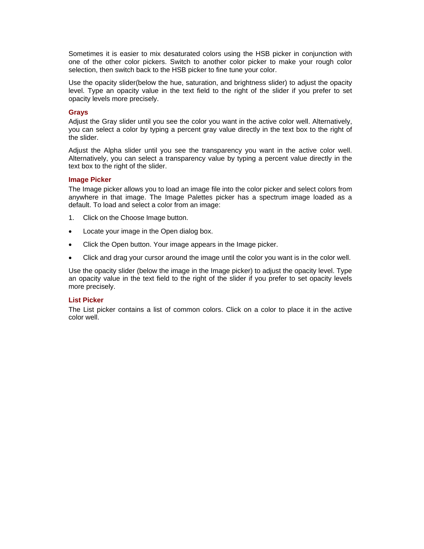Sometimes it is easier to mix desaturated colors using the HSB picker in conjunction with one of the other color pickers. Switch to another color picker to make your rough color selection, then switch back to the HSB picker to fine tune your color.

Use the opacity slider(below the hue, saturation, and brightness slider) to adjust the opacity level. Type an opacity value in the text field to the right of the slider if you prefer to set opacity levels more precisely.

#### **Grays**

Adjust the Gray slider until you see the color you want in the active color well. Alternatively, you can select a color by typing a percent gray value directly in the text box to the right of the slider.

Adjust the Alpha slider until you see the transparency you want in the active color well. Alternatively, you can select a transparency value by typing a percent value directly in the text box to the right of the slider.

#### **Image Picker**

The Image picker allows you to load an image file into the color picker and select colors from anywhere in that image. The Image Palettes picker has a spectrum image loaded as a default. To load and select a color from an image:

- 1. Click on the Choose Image button.
- Locate your image in the Open dialog box.
- Click the Open button. Your image appears in the Image picker.
- Click and drag your cursor around the image until the color you want is in the color well.

Use the opacity slider (below the image in the Image picker) to adjust the opacity level. Type an opacity value in the text field to the right of the slider if you prefer to set opacity levels more precisely.

#### **List Picker**

The List picker contains a list of common colors. Click on a color to place it in the active color well.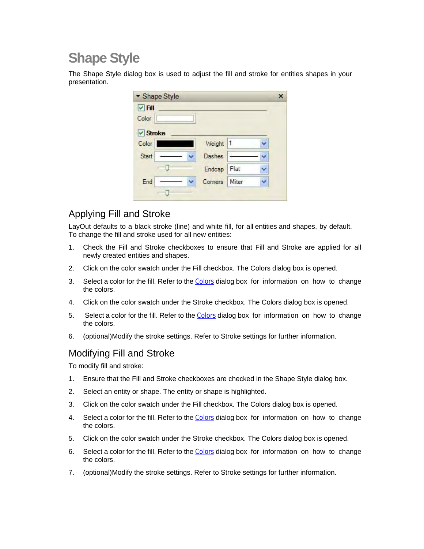# **Shape Style**

The Shape Style dialog box is used to adjust the fill and stroke for entities shapes in your presentation.

|                        | Shape Style |         |       | × |
|------------------------|-------------|---------|-------|---|
| $\triangledown$ Fill   |             |         |       |   |
| Color                  |             |         |       |   |
| $\triangledown$ Stroke |             |         |       |   |
| Color                  |             | Weight  | 1     |   |
| Start                  |             | Dashes  |       |   |
|                        |             | Endcap  | Flat  |   |
| End                    |             | Corners | Miter |   |
|                        |             |         |       |   |

## Applying Fill and Stroke

LayOut defaults to a black stroke (line) and white fill, for all entities and shapes, by default. To change the fill and stroke used for all new entities:

- 1. Check the Fill and Stroke checkboxes to ensure that Fill and Stroke are applied for all newly created entities and shapes.
- 2. Click on the color swatch under the Fill checkbox. The Colors dialog box is opened.
- 3. Select a color for the fill. Refer to the Colors dialog box for information on how to change the colors.
- 4. Click on the color swatch under the Stroke checkbox. The Colors dialog box is opened.
- 5. Select a color for the fill. Refer to the Colors dialog box for information on how to change the colors.
- 6. (optional)Modify the stroke settings. Refer to Stroke settings for further information.

### Modifying Fill and Stroke

To modify fill and stroke:

- 1. Ensure that the Fill and Stroke checkboxes are checked in the Shape Style dialog box.
- 2. Select an entity or shape. The entity or shape is highlighted.
- 3. Click on the color swatch under the Fill checkbox. The Colors dialog box is opened.
- 4. Select a color for the fill. Refer to the Colors dialog box for information on how to change the colors.
- 5. Click on the color swatch under the Stroke checkbox. The Colors dialog box is opened.
- 6. Select a color for the fill. Refer to the Colors dialog box for information on how to change the colors.
- 7. (optional)Modify the stroke settings. Refer to Stroke settings for further information.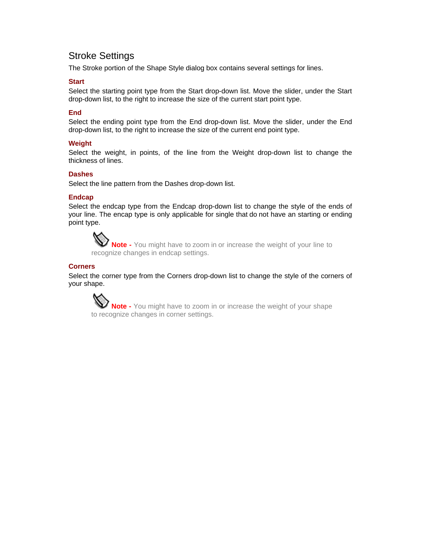### Stroke Settings

The Stroke portion of the Shape Style dialog box contains several settings for lines.

#### **Start**

Select the starting point type from the Start drop-down list. Move the slider, under the Start drop-down list, to the right to increase the size of the current start point type.

#### **End**

Select the ending point type from the End drop-down list. Move the slider, under the End drop-down list, to the right to increase the size of the current end point type.

#### **Weight**

Select the weight, in points, of the line from the Weight drop-down list to change the thickness of lines.

#### **Dashes**

Select the line pattern from the Dashes drop-down list.

#### **Endcap**

Select the endcap type from the Endcap drop-down list to change the style of the ends of your line. The encap type is only applicable for single that do not have an starting or ending point type.



**Note -** You might have to zoom in or increase the weight of your line to recognize changes in endcap settings.

#### **Corners**

Select the corner type from the Corners drop-down list to change the style of the corners of your shape.

**Note -** You might have to zoom in or increase the weight of your shape to recognize changes in corner settings.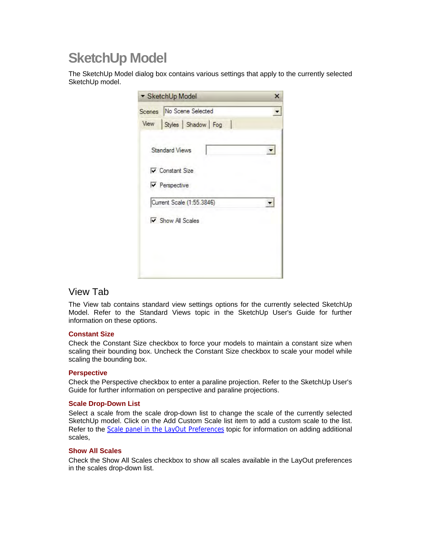# **SketchUp Model**

The SketchUp Model dialog box contains various settings that apply to the currently selected SketchUp model.

| × |
|---|
|   |
|   |
|   |
|   |
|   |
|   |
|   |
|   |
|   |
|   |
|   |

### View Tab

The View tab contains standard view settings options for the currently selected SketchUp Model. Refer to the Standard Views topic in the SketchUp User's Guide for further information on these options.

#### **Constant Size**

Check the Constant Size checkbox to force your models to maintain a constant size when scaling their bounding box. Uncheck the Constant Size checkbox to scale your model while scaling the bounding box.

#### **Perspective**

Check the Perspective checkbox to enter a paraline projection. Refer to the SketchUp User's Guide for further information on perspective and paraline projections.

#### **Scale Drop-Down List**

Select a scale from the scale drop-down list to change the scale of the currently selected SketchUp model. Click on the Add Custom Scale list item to add a custom scale to the list. Refer to the Scale panel in the LayOut Preferences topic for information on adding additional scales,

#### **Show All Scales**

Check the Show All Scales checkbox to show all scales available in the LayOut preferences in the scales drop-down list.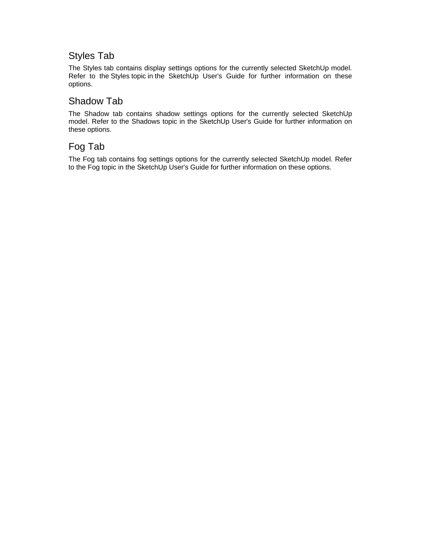## Styles Tab

The Styles tab contains display settings options for the currently selected SketchUp model. Refer to the Styles topic in the SketchUp User's Guide for further information on these options.

## Shadow Tab

The Shadow tab contains shadow settings options for the currently selected SketchUp model. Refer to the Shadows topic in the SketchUp User's Guide for further information on these options.

## Fog Tab

The Fog tab contains fog settings options for the currently selected SketchUp model. Refer to the Fog topic in the SketchUp User's Guide for further information on these options.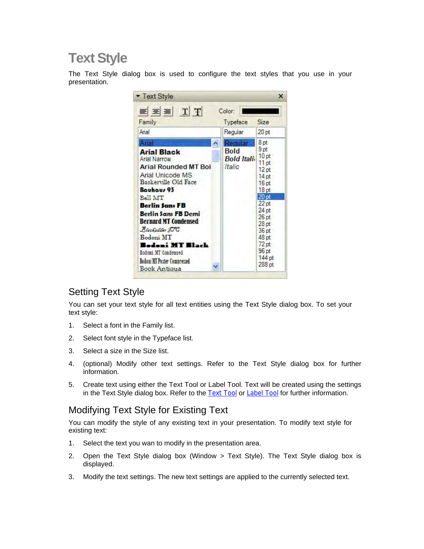## **Text Style**

The Text Style dialog box is used to configure the text styles that you use in your presentation.



## Setting Text Style

You can set your text style for all text entities using the Text Style dialog box. To set your text style:

- 1. Select a font in the Family list.
- 2. Select font style in the Typeface list.
- 3. Select a size in the Size list.
- 4. (optional) Modify other text settings. Refer to the Text Style dialog box for further information.
- 5. Create text using either the Text Tool or Label Tool. Text will be created using the settings in the Text Style dialog box. Refer to the Text Tool or Label Tool for further information.

### Modifying Text Style for Existing Text

You can modify the style of any existing text in your presentation. To modify text style for existing text:

- 1. Select the text you wan to modify in the presentation area.
- 2. Open the Text Style dialog box (Window > Text Style). The Text Style dialog box is displayed.
- 3. Modify the text settings. The new text settings are applied to the currently selected text.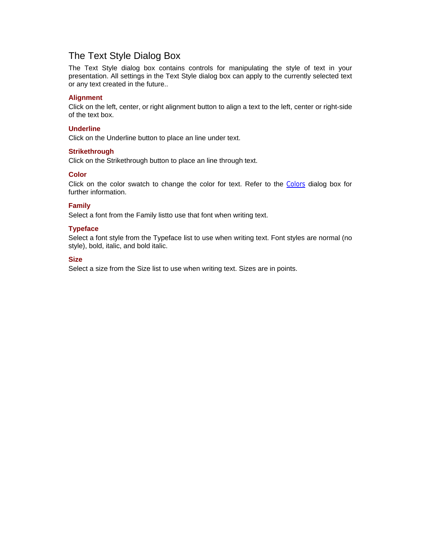### The Text Style Dialog Box

The Text Style dialog box contains controls for manipulating the style of text in your presentation. All settings in the Text Style dialog box can apply to the currently selected text or any text created in the future..

#### **Alignment**

Click on the left, center, or right alignment button to align a text to the left, center or right-side of the text box.

#### **Underline**

Click on the Underline button to place an line under text.

#### **Strikethrough**

Click on the Strikethrough button to place an line through text.

#### **Color**

Click on the color swatch to change the color for text. Refer to the Colors dialog box for further information.

#### **Family**

Select a font from the Family listto use that font when writing text.

#### **Typeface**

Select a font style from the Typeface list to use when writing text. Font styles are normal (no style), bold, italic, and bold italic.

#### **Size**

Select a size from the Size list to use when writing text. Sizes are in points.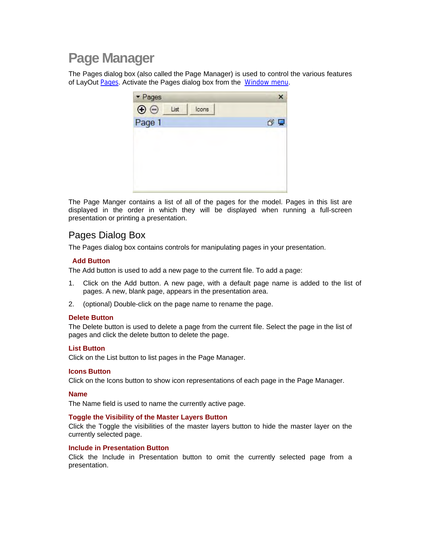## **Page Manager**

The Pages dialog box (also called the Page Manager) is used to control the various features of LayOut Pages. Activate the Pages dialog box from the Window menu.



The Page Manger contains a list of all of the pages for the model. Pages in this list are displayed in the order in which they will be displayed when running a full-screen presentation or printing a presentation.

### Pages Dialog Box

The Pages dialog box contains controls for manipulating pages in your presentation.

#### **Add Button**

The Add button is used to add a new page to the current file. To add a page:

- 1. Click on the Add button. A new page, with a default page name is added to the list of pages. A new, blank page, appears in the presentation area.
- 2. (optional) Double-click on the page name to rename the page.

#### **Delete Button**

The Delete button is used to delete a page from the current file. Select the page in the list of pages and click the delete button to delete the page.

#### **List Button**

Click on the List button to list pages in the Page Manager.

#### **Icons Button**

Click on the Icons button to show icon representations of each page in the Page Manager.

#### **Name**

The Name field is used to name the currently active page.

#### **Toggle the Visibility of the Master Layers Button**

Click the Toggle the visibilities of the master layers button to hide the master layer on the currently selected page.

#### **Include in Presentation Button**

Click the Include in Presentation button to omit the currently selected page from a presentation.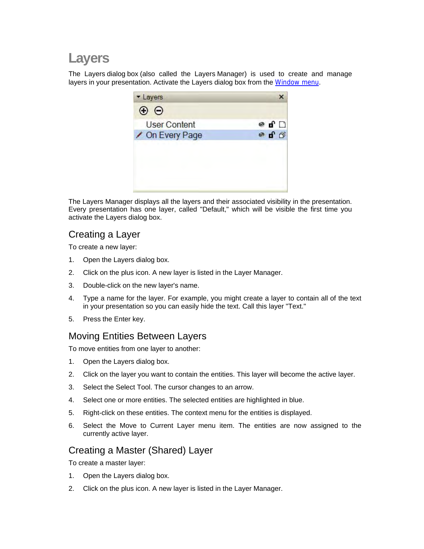## **Layers**

The Layers dialog box (also called the Layers Manager) is used to create and manage layers in your presentation. Activate the Layers dialog box from the Window menu.



The Layers Manager displays all the layers and their associated visibility in the presentation. Every presentation has one layer, called "Default," which will be visible the first time you activate the Layers dialog box.

### Creating a Layer

To create a new layer:

- 1. Open the Layers dialog box.
- 2. Click on the plus icon. A new layer is listed in the Layer Manager.
- 3. Double-click on the new layer's name.
- 4. Type a name for the layer. For example, you might create a layer to contain all of the text in your presentation so you can easily hide the text. Call this layer "Text."
- 5. Press the Enter key.

### Moving Entities Between Layers

To move entities from one layer to another:

- 1. Open the Layers dialog box.
- 2. Click on the layer you want to contain the entities. This layer will become the active layer.
- 3. Select the Select Tool. The cursor changes to an arrow.
- 4. Select one or more entities. The selected entities are highlighted in blue.
- 5. Right-click on these entities. The context menu for the entities is displayed.
- 6. Select the Move to Current Layer menu item. The entities are now assigned to the currently active layer.

### Creating a Master (Shared) Layer

To create a master layer:

- 1. Open the Layers dialog box.
- 2. Click on the plus icon. A new layer is listed in the Layer Manager.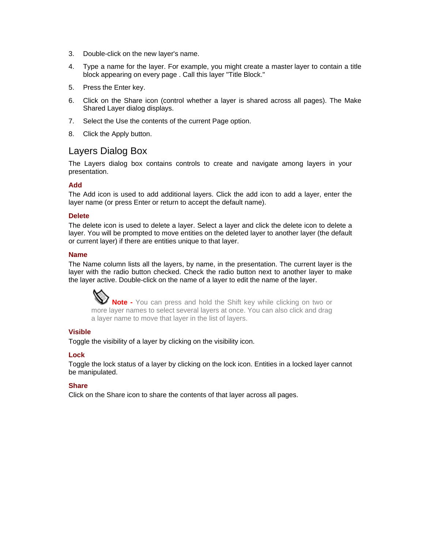- 3. Double-click on the new layer's name.
- 4. Type a name for the layer. For example, you might create a master layer to contain a title block appearing on every page . Call this layer "Title Block."
- 5. Press the Enter key.
- 6. Click on the Share icon (control whether a layer is shared across all pages). The Make Shared Layer dialog displays.
- 7. Select the Use the contents of the current Page option.
- 8. Click the Apply button.

### Layers Dialog Box

The Layers dialog box contains controls to create and navigate among layers in your presentation.

#### **Add**

The Add icon is used to add additional layers. Click the add icon to add a layer, enter the layer name (or press Enter or return to accept the default name).

#### **Delete**

The delete icon is used to delete a layer. Select a layer and click the delete icon to delete a layer. You will be prompted to move entities on the deleted layer to another layer (the default or current layer) if there are entities unique to that layer.

#### **Name**

The Name column lists all the layers, by name, in the presentation. The current layer is the layer with the radio button checked. Check the radio button next to another layer to make the layer active. Double-click on the name of a layer to edit the name of the layer.

**Note -** You can press and hold the Shift key while clicking on two or more layer names to select several layers at once. You can also click and drag a layer name to move that layer in the list of layers.

#### **Visible**

Toggle the visibility of a layer by clicking on the visibility icon.

#### **Lock**

Toggle the lock status of a layer by clicking on the lock icon. Entities in a locked layer cannot be manipulated.

#### **Share**

Click on the Share icon to share the contents of that layer across all pages.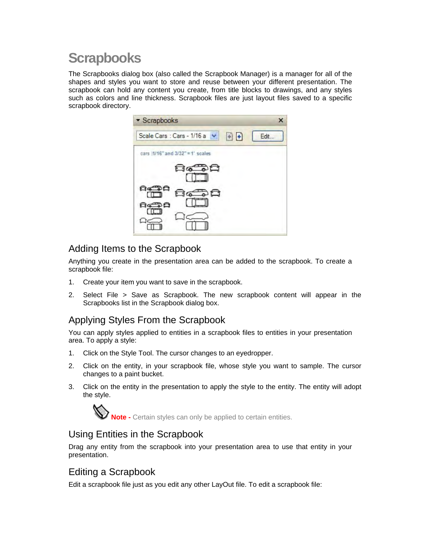## **Scrapbooks**

The Scrapbooks dialog box (also called the Scrapbook Manager) is a manager for all of the shapes and styles you want to store and reuse between your different presentation. The scrapbook can hold any content you create, from title blocks to drawings, and any styles such as colors and line thickness. Scrapbook files are just layout files saved to a specific scrapbook directory.



## Adding Items to the Scrapbook

Anything you create in the presentation area can be added to the scrapbook. To create a scrapbook file:

- 1. Create your item you want to save in the scrapbook.
- 2. Select File > Save as Scrapbook. The new scrapbook content will appear in the Scrapbooks list in the Scrapbook dialog box.

### Applying Styles From the Scrapbook

You can apply styles applied to entities in a scrapbook files to entities in your presentation area. To apply a style:

- 1. Click on the Style Tool. The cursor changes to an eyedropper.
- 2. Click on the entity, in your scrapbook file, whose style you want to sample. The cursor changes to a paint bucket.
- 3. Click on the entity in the presentation to apply the style to the entity. The entity will adopt the style.



**Note -** Certain styles can only be applied to certain entities.

### Using Entities in the Scrapbook

Drag any entity from the scrapbook into your presentation area to use that entity in your presentation.

## Editing a Scrapbook

Edit a scrapbook file just as you edit any other LayOut file. To edit a scrapbook file: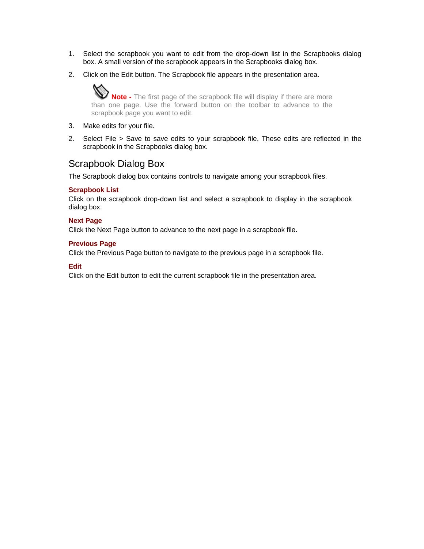- 1. Select the scrapbook you want to edit from the drop-down list in the Scrapbooks dialog box. A small version of the scrapbook appears in the Scrapbooks dialog box.
- 2. Click on the Edit button. The Scrapbook file appears in the presentation area.

**Note -** The first page of the scrapbook file will display if there are more than one page. Use the forward button on the toolbar to advance to the scrapbook page you want to edit.

- 3. Make edits for your file.
- 2. Select File > Save to save edits to your scrapbook file. These edits are reflected in the scrapbook in the Scrapbooks dialog box.

## Scrapbook Dialog Box

The Scrapbook dialog box contains controls to navigate among your scrapbook files.

#### **Scrapbook List**

Click on the scrapbook drop-down list and select a scrapbook to display in the scrapbook dialog box.

#### **Next Page**

Click the Next Page button to advance to the next page in a scrapbook file.

#### **Previous Page**

Click the Previous Page button to navigate to the previous page in a scrapbook file.

#### **Edit**

Click on the Edit button to edit the current scrapbook file in the presentation area.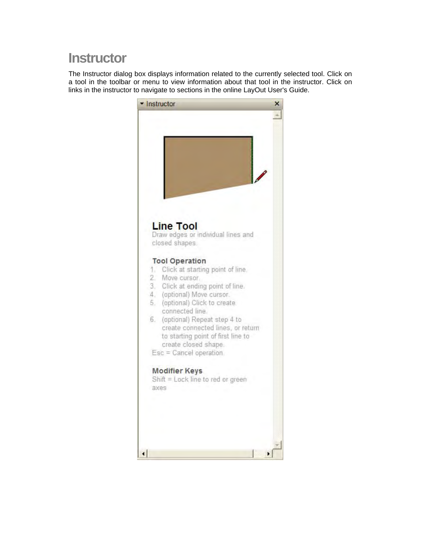## **Instructor**

The Instructor dialog box displays information related to the currently selected tool. Click on a tool in the toolbar or menu to view information about that tool in the instructor. Click on links in the instructor to navigate to sections in the online LayOut User's Guide.

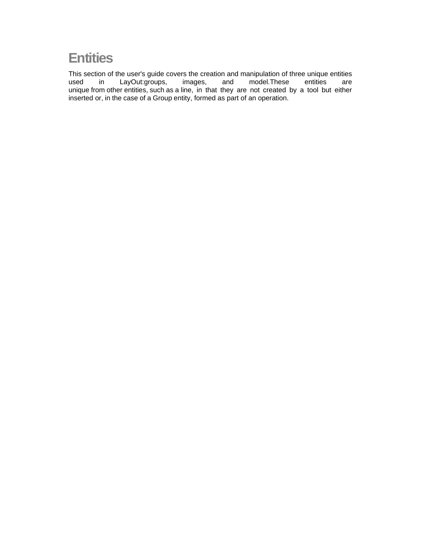# **Entities**

This section of the user's guide covers the creation and manipulation of three unique entities used in LayOut:groups, images, and model.These entities are in LayOut:groups, images, and model.These entities are unique from other entities, such as a line, in that they are not created by a tool but either inserted or, in the case of a Group entity, formed as part of an operation.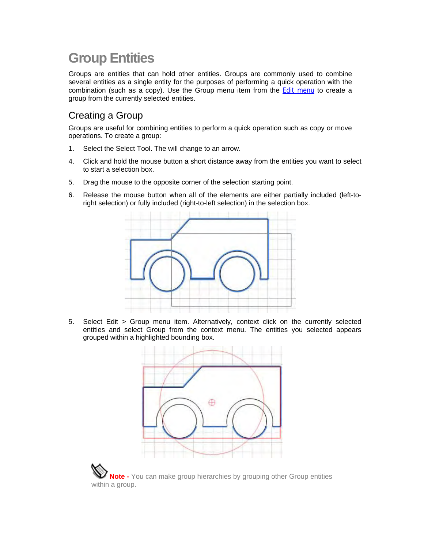# **Group Entities**

Groups are entities that can hold other entities. Groups are commonly used to combine several entities as a single entity for the purposes of performing a quick operation with the combination (such as a copy). Use the Group menu item from the  $E<sub>diff</sub>$  menu to create a group from the currently selected entities.

## Creating a Group

Groups are useful for combining entities to perform a quick operation such as copy or move operations. To create a group:

- 1. Select the Select Tool. The will change to an arrow.
- 4. Click and hold the mouse button a short distance away from the entities you want to select to start a selection box.
- 5. Drag the mouse to the opposite corner of the selection starting point.
- 6. Release the mouse button when all of the elements are either partially included (left-toright selection) or fully included (right-to-left selection) in the selection box.



5. Select Edit > Group menu item. Alternatively, context click on the currently selected entities and select Group from the context menu. The entities you selected appears grouped within a highlighted bounding box.



**Note -** You can make group hierarchies by grouping other Group entities within a group.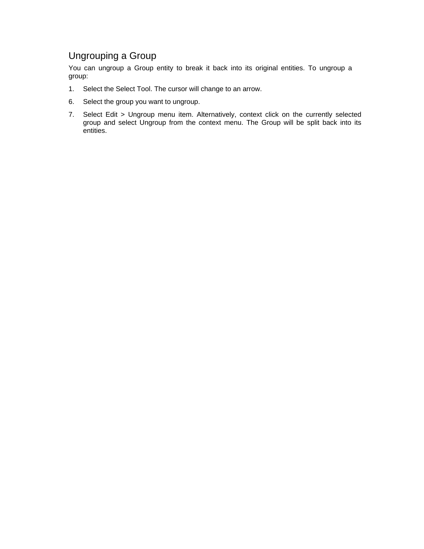## Ungrouping a Group

You can ungroup a Group entity to break it back into its original entities. To ungroup a group:

- 1. Select the Select Tool. The cursor will change to an arrow.
- 6. Select the group you want to ungroup.
- 7. Select Edit > Ungroup menu item. Alternatively, context click on the currently selected group and select Ungroup from the context menu. The Group will be split back into its entities.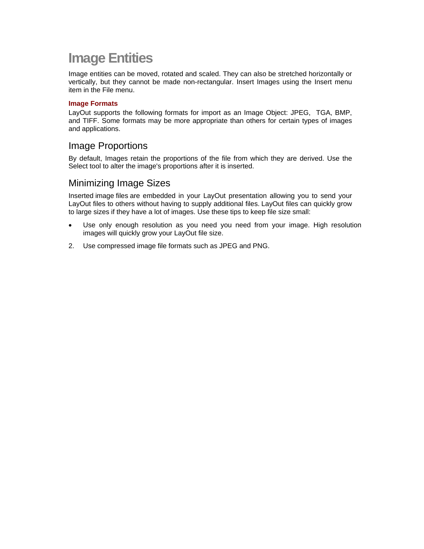# **Image Entities**

Image entities can be moved, rotated and scaled. They can also be stretched horizontally or vertically, but they cannot be made non-rectangular. Insert Images using the Insert menu item in the File menu.

#### **Image Formats**

LayOut supports the following formats for import as an Image Object: JPEG, TGA, BMP, and TIFF. Some formats may be more appropriate than others for certain types of images and applications.

### Image Proportions

By default, Images retain the proportions of the file from which they are derived. Use the Select tool to alter the image's proportions after it is inserted.

### Minimizing Image Sizes

Inserted image files are embedded in your LayOut presentation allowing you to send your LayOut files to others without having to supply additional files. LayOut files can quickly grow to large sizes if they have a lot of images. Use these tips to keep file size small:

- Use only enough resolution as you need you need from your image. High resolution images will quickly grow your LayOut file size.
- 2. Use compressed image file formats such as JPEG and PNG.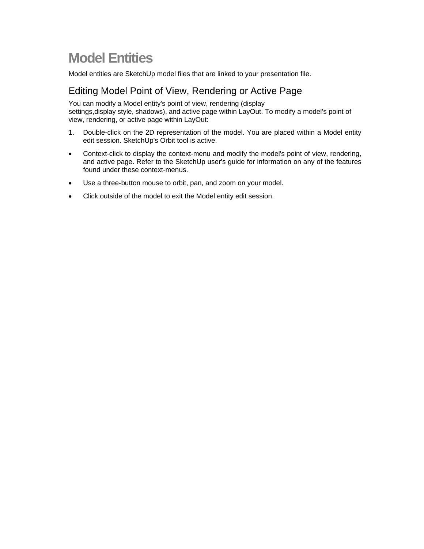# **Model Entities**

Model entities are SketchUp model files that are linked to your presentation file.

## Editing Model Point of View, Rendering or Active Page

You can modify a Model entity's point of view, rendering (display settings,display style, shadows), and active page within LayOut. To modify a model's point of view, rendering, or active page within LayOut:

- 1. Double-click on the 2D representation of the model. You are placed within a Model entity edit session. SketchUp's Orbit tool is active.
- Context-click to display the context-menu and modify the model's point of view, rendering, and active page. Refer to the SketchUp user's guide for information on any of the features found under these context-menus.
- Use a three-button mouse to orbit, pan, and zoom on your model.
- Click outside of the model to exit the Model entity edit session.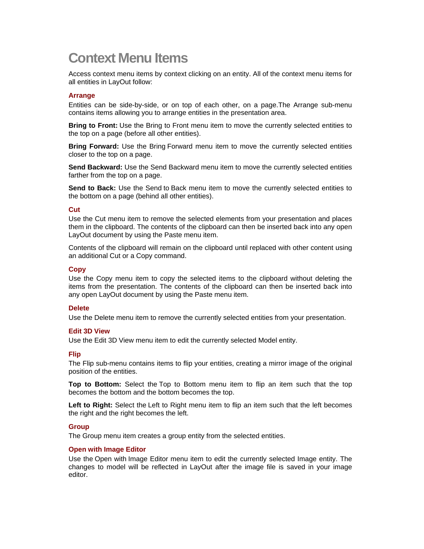## **Context Menu Items**

Access context menu items by context clicking on an entity. All of the context menu items for all entities in LayOut follow:

#### **Arrange**

Entities can be side-by-side, or on top of each other, on a page.The Arrange sub-menu contains items allowing you to arrange entities in the presentation area.

**Bring to Front:** Use the Bring to Front menu item to move the currently selected entities to the top on a page (before all other entities).

**Bring Forward:** Use the Bring Forward menu item to move the currently selected entities closer to the top on a page.

**Send Backward:** Use the Send Backward menu item to move the currently selected entities farther from the top on a page.

**Send to Back:** Use the Send to Back menu item to move the currently selected entities to the bottom on a page (behind all other entities).

#### **Cut**

Use the Cut menu item to remove the selected elements from your presentation and places them in the clipboard. The contents of the clipboard can then be inserted back into any open LayOut document by using the Paste menu item.

Contents of the clipboard will remain on the clipboard until replaced with other content using an additional Cut or a Copy command.

#### **Copy**

Use the Copy menu item to copy the selected items to the clipboard without deleting the items from the presentation. The contents of the clipboard can then be inserted back into any open LayOut document by using the Paste menu item.

#### **Delete**

Use the Delete menu item to remove the currently selected entities from your presentation.

#### **Edit 3D View**

Use the Edit 3D View menu item to edit the currently selected Model entity.

#### **Flip**

The Flip sub-menu contains items to flip your entities, creating a mirror image of the original position of the entities.

**Top to Bottom:** Select the Top to Bottom menu item to flip an item such that the top becomes the bottom and the bottom becomes the top.

**Left to Right:** Select the Left to Right menu item to flip an item such that the left becomes the right and the right becomes the left.

#### **Group**

The Group menu item creates a group entity from the selected entities.

#### **Open with Image Editor**

Use the Open with Image Editor menu item to edit the currently selected Image entity. The changes to model will be reflected in LayOut after the image file is saved in your image editor.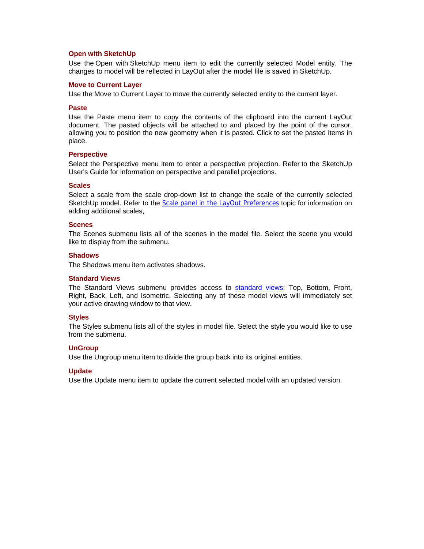#### **Open with SketchUp**

Use the Open with SketchUp menu item to edit the currently selected Model entity. The changes to model will be reflected in LayOut after the model file is saved in SketchUp.

#### **Move to Current Layer**

Use the Move to Current Layer to move the currently selected entity to the current layer.

#### **Paste**

Use the Paste menu item to copy the contents of the clipboard into the current LayOut document. The pasted objects will be attached to and placed by the point of the cursor, allowing you to position the new geometry when it is pasted. Click to set the pasted items in place.

#### **Perspective**

Select the Perspective menu item to enter a perspective projection. Refer to the SketchUp User's Guide for information on perspective and parallel projections.

#### **Scales**

Select a scale from the scale drop-down list to change the scale of the currently selected SketchUp model. Refer to the Scale panel in the LayOut Preferences topic for information on adding additional scales,

#### **Scenes**

The Scenes submenu lists all of the scenes in the model file. Select the scene you would like to display from the submenu.

#### **Shadows**

The Shadows menu item activates shadows.

#### **Standard Views**

The Standard Views submenu provides access to standard views: Top, Bottom, Front, Right, Back, Left, and Isometric. Selecting any of these model views will immediately set your active drawing window to that view.

#### **Styles**

The Styles submenu lists all of the styles in model file. Select the style you would like to use from the submenu.

#### **UnGroup**

Use the Ungroup menu item to divide the group back into its original entities.

#### **Update**

Use the Update menu item to update the current selected model with an updated version.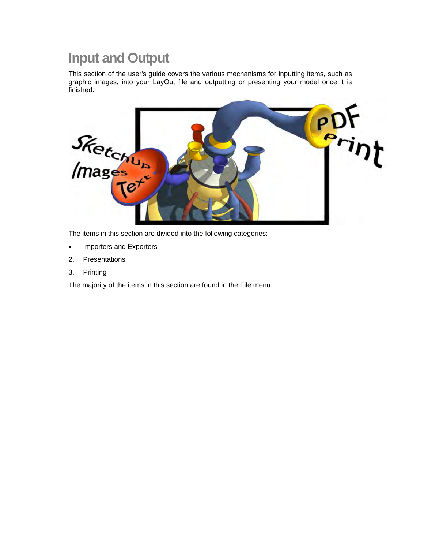# **Input and Output**

This section of the user's guide covers the various mechanisms for inputting items, such as graphic images, into your LayOut file and outputting or presenting your model once it is finished.



The items in this section are divided into the following categories:

- Importers and Exporters
- 2. Presentations
- 3. Printing

The majority of the items in this section are found in the File menu.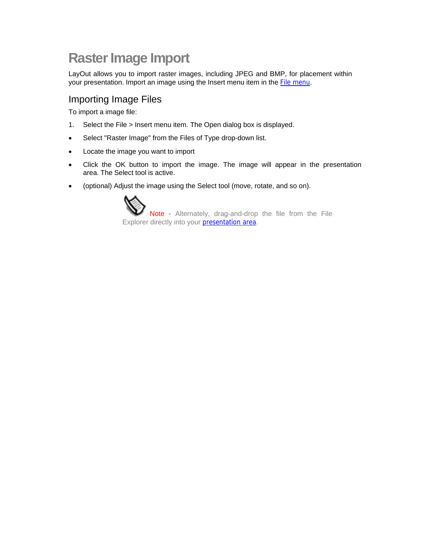# **Raster Image Import**

LayOut allows you to import raster images, including JPEG and BMP, for placement within your presentation. Import an image using the Insert menu item in the **File menu**.

## Importing Image Files

To import a image file:

- 1. Select the File > Insert menu item. The Open dialog box is displayed.
- Select "Raster Image" from the Files of Type drop-down list.
- Locate the image you want to import
- Click the OK button to import the image. The image will appear in the presentation area. The Select tool is active.
- (optional) Adjust the image using the Select tool (move, rotate, and so on).

 Note - Alternately, drag-and-drop the file from the File Explorer directly into your **presentation area**.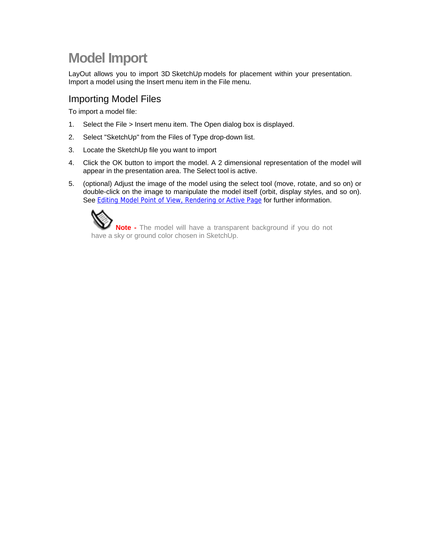## **Model Import**

LayOut allows you to import 3D SketchUp models for placement within your presentation. Import a model using the Insert menu item in the File menu.

### Importing Model Files

To import a model file:

- 1. Select the File > Insert menu item. The Open dialog box is displayed.
- 2. Select "SketchUp" from the Files of Type drop-down list.
- 3. Locate the SketchUp file you want to import
- 4. Click the OK button to import the model. A 2 dimensional representation of the model will appear in the presentation area. The Select tool is active.
- 5. (optional) Adjust the image of the model using the select tool (move, rotate, and so on) or double-click on the image to manipulate the model itself (orbit, display styles, and so on). See Editing Model Point of View, Rendering or Active Page for further information.

 **Note -** The model will have a transparent background if you do not have a sky or ground color chosen in SketchUp.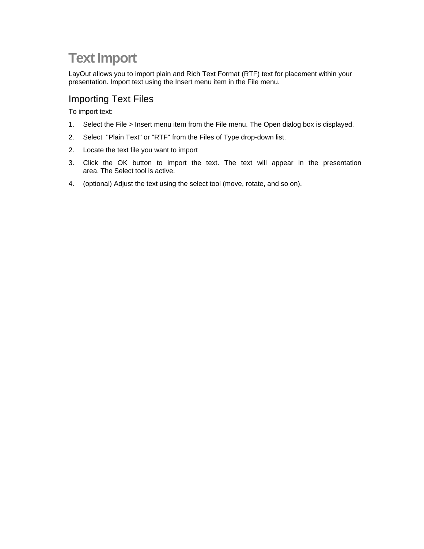# **Text Import**

LayOut allows you to import plain and Rich Text Format (RTF) text for placement within your presentation. Import text using the Insert menu item in the File menu.

### Importing Text Files

To import text:

- 1. Select the File > Insert menu item from the File menu. The Open dialog box is displayed.
- 2. Select "Plain Text" or "RTF" from the Files of Type drop-down list.
- 2. Locate the text file you want to import
- 3. Click the OK button to import the text. The text will appear in the presentation area. The Select tool is active.
- 4. (optional) Adjust the text using the select tool (move, rotate, and so on).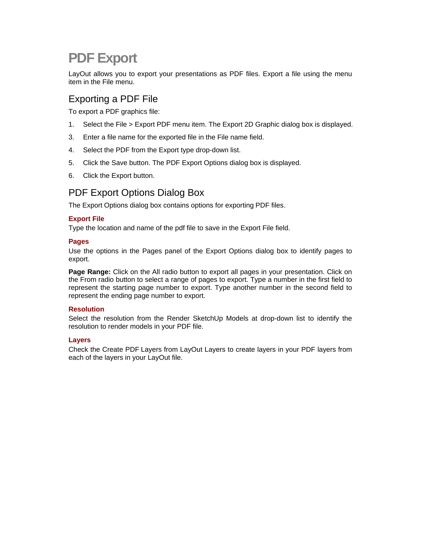# **PDF Export**

LayOut allows you to export your presentations as PDF files. Export a file using the menu item in the File menu.

## Exporting a PDF File

To export a PDF graphics file:

- 1. Select the File > Export PDF menu item. The Export 2D Graphic dialog box is displayed.
- 3. Enter a file name for the exported file in the File name field.
- 4. Select the PDF from the Export type drop-down list.
- 5. Click the Save button. The PDF Export Options dialog box is displayed.
- 6. Click the Export button.

## PDF Export Options Dialog Box

The Export Options dialog box contains options for exporting PDF files.

#### **Export File**

Type the location and name of the pdf file to save in the Export File field.

#### **Pages**

Use the options in the Pages panel of the Export Options dialog box to identify pages to export.

**Page Range:** Click on the All radio button to export all pages in your presentation. Click on the From radio button to select a range of pages to export. Type a number in the first field to represent the starting page number to export. Type another number in the second field to represent the ending page number to export.

#### **Resolution**

Select the resolution from the Render SketchUp Models at drop-down list to identify the resolution to render models in your PDF file.

#### **Layers**

Check the Create PDF Layers from LayOut Layers to create layers in your PDF layers from each of the layers in your LayOut file.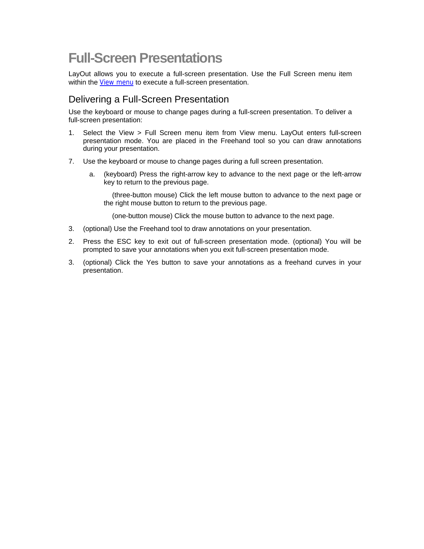# **Full-Screen Presentations**

LayOut allows you to execute a full-screen presentation. Use the Full Screen menu item within the View menu to execute a full-screen presentation.

## Delivering a Full-Screen Presentation

Use the keyboard or mouse to change pages during a full-screen presentation. To deliver a full-screen presentation:

- 1. Select the View > Full Screen menu item from View menu. LayOut enters full-screen presentation mode. You are placed in the Freehand tool so you can draw annotations during your presentation.
- 7. Use the keyboard or mouse to change pages during a full screen presentation.
	- a. (keyboard) Press the right-arrow key to advance to the next page or the left-arrow key to return to the previous page.

 (three-button mouse) Click the left mouse button to advance to the next page or the right mouse button to return to the previous page.

(one-button mouse) Click the mouse button to advance to the next page.

- 3. (optional) Use the Freehand tool to draw annotations on your presentation.
- 2. Press the ESC key to exit out of full-screen presentation mode. (optional) You will be prompted to save your annotations when you exit full-screen presentation mode.
- 3. (optional) Click the Yes button to save your annotations as a freehand curves in your presentation.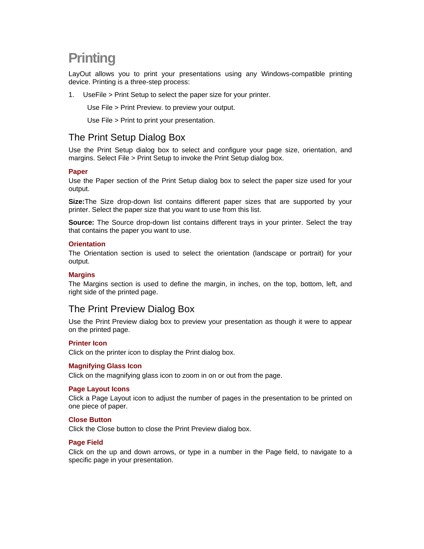# **Printing**

LayOut allows you to print your presentations using any Windows-compatible printing device. Printing is a three-step process:

1. UseFile > Print Setup to select the paper size for your printer.

Use File > Print Preview. to preview your output.

Use File > Print to print your presentation.

### The Print Setup Dialog Box

Use the Print Setup dialog box to select and configure your page size, orientation, and margins. Select File > Print Setup to invoke the Print Setup dialog box.

#### **Paper**

Use the Paper section of the Print Setup dialog box to select the paper size used for your output.

**Size:**The Size drop-down list contains different paper sizes that are supported by your printer. Select the paper size that you want to use from this list.

**Source:** The Source drop-down list contains different trays in your printer. Select the tray that contains the paper you want to use.

#### **Orientation**

The Orientation section is used to select the orientation (landscape or portrait) for your output.

#### **Margins**

The Margins section is used to define the margin, in inches, on the top, bottom, left, and right side of the printed page.

### The Print Preview Dialog Box

Use the Print Preview dialog box to preview your presentation as though it were to appear on the printed page.

#### **Printer Icon**

Click on the printer icon to display the Print dialog box.

#### **Magnifying Glass Icon**

Click on the magnifying glass icon to zoom in on or out from the page.

#### **Page Layout Icons**

Click a Page Layout icon to adjust the number of pages in the presentation to be printed on one piece of paper.

#### **Close Button**

Click the Close button to close the Print Preview dialog box.

#### **Page Field**

Click on the up and down arrows, or type in a number in the Page field, to navigate to a specific page in your presentation.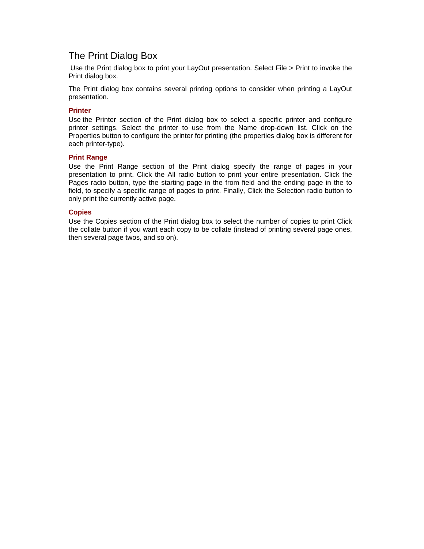### The Print Dialog Box

 Use the Print dialog box to print your LayOut presentation. Select File > Print to invoke the Print dialog box.

The Print dialog box contains several printing options to consider when printing a LayOut presentation.

#### **Printer**

Use the Printer section of the Print dialog box to select a specific printer and configure printer settings. Select the printer to use from the Name drop-down list. Click on the Properties button to configure the printer for printing (the properties dialog box is different for each printer-type).

#### **Print Range**

Use the Print Range section of the Print dialog specify the range of pages in your presentation to print. Click the All radio button to print your entire presentation. Click the Pages radio button, type the starting page in the from field and the ending page in the to field, to specify a specific range of pages to print. Finally, Click the Selection radio button to only print the currently active page.

#### **Copies**

Use the Copies section of the Print dialog box to select the number of copies to print Click the collate button if you want each copy to be collate (instead of printing several page ones, then several page twos, and so on).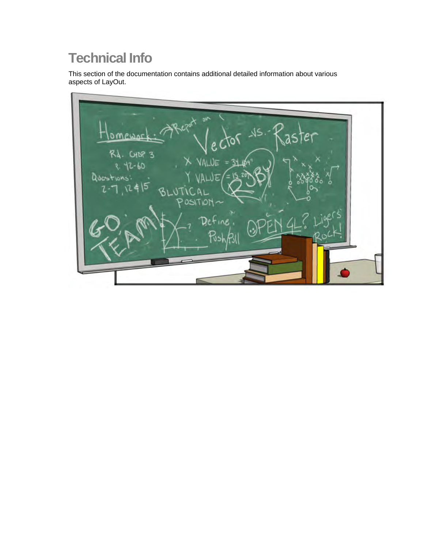# **Technical Info**

This section of the documentation contains additional detailed information about various aspects of LayOut.

 $for x 15.78$ omewa  $RA.$   $CHBP 3$ VALUE 2. 42-60 እ Questions: τ ι B١  $O(S) < 70$ ٨P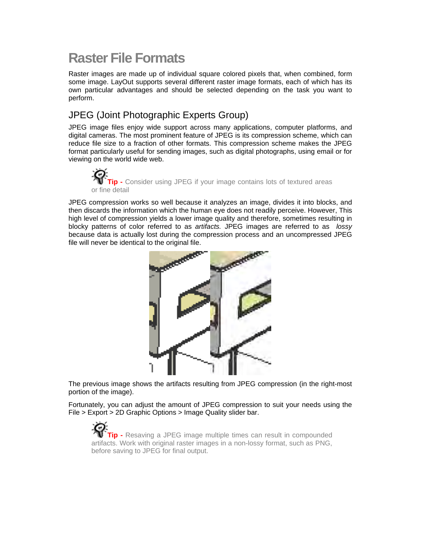## **Raster File Formats**

Raster images are made up of individual square colored pixels that, when combined, form some image. LayOut supports several different raster image formats, each of which has its own particular advantages and should be selected depending on the task you want to perform.

## JPEG (Joint Photographic Experts Group)

JPEG image files enjoy wide support across many applications, computer platforms, and digital cameras. The most prominent feature of JPEG is its compression scheme, which can reduce file size to a fraction of other formats. This compression scheme makes the JPEG format particularly useful for sending images, such as digital photographs, using email or for viewing on the world wide web.

**Tip -** Consider using JPEG if your image contains lots of textured areas or fine detail

JPEG compression works so well because it analyzes an image, divides it into blocks, and then discards the information which the human eye does not readily perceive. However, This high level of compression yields a lower image quality and therefore, sometimes resulting in blocky patterns of color referred to as *artifacts.* JPEG images are referred to as *lossy* because data is actually lost during the compression process and an uncompressed JPEG file will never be identical to the original file.



The previous image shows the artifacts resulting from JPEG compression (in the right-most portion of the image).

Fortunately, you can adjust the amount of JPEG compression to suit your needs using the File > Export > 2D Graphic Options > Image Quality slider bar.

**Tip -** Resaving a JPEG image multiple times can result in compounded artifacts. Work with original raster images in a non-lossy format, such as PNG, before saving to JPEG for final output.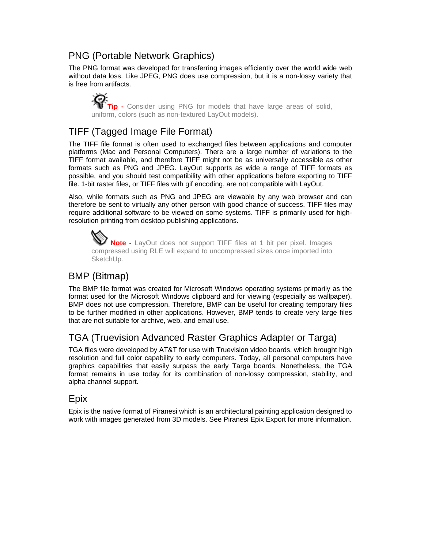## PNG (Portable Network Graphics)

The PNG format was developed for transferring images efficiently over the world wide web without data loss. Like JPEG, PNG does use compression, but it is a non-lossy variety that is free from artifacts.

**Tip -** Consider using PNG for models that have large areas of solid, uniform, colors (such as non-textured LayOut models).

## TIFF (Tagged Image File Format)

The TIFF file format is often used to exchanged files between applications and computer platforms (Mac and Personal Computers). There are a large number of variations to the TIFF format available, and therefore TIFF might not be as universally accessible as other formats such as PNG and JPEG. LayOut supports as wide a range of TIFF formats as possible, and you should test compatibility with other applications before exporting to TIFF file. 1-bit raster files, or TIFF files with gif encoding, are not compatible with LayOut.

Also, while formats such as PNG and JPEG are viewable by any web browser and can therefore be sent to virtually any other person with good chance of success, TIFF files may require additional software to be viewed on some systems. TIFF is primarily used for highresolution printing from desktop publishing applications.

 **Note -** LayOut does not support TIFF files at 1 bit per pixel. Images compressed using RLE will expand to uncompressed sizes once imported into SketchUp.

## BMP (Bitmap)

The BMP file format was created for Microsoft Windows operating systems primarily as the format used for the Microsoft Windows clipboard and for viewing (especially as wallpaper). BMP does not use compression. Therefore, BMP can be useful for creating temporary files to be further modified in other applications. However, BMP tends to create very large files that are not suitable for archive, web, and email use.

## TGA (Truevision Advanced Raster Graphics Adapter or Targa)

TGA files were developed by AT&T for use with Truevision video boards, which brought high resolution and full color capability to early computers. Today, all personal computers have graphics capabilities that easily surpass the early Targa boards. Nonetheless, the TGA format remains in use today for its combination of non-lossy compression, stability, and alpha channel support.

### Epix

Epix is the native format of Piranesi which is an architectural painting application designed to work with images generated from 3D models. See Piranesi Epix Export for more information.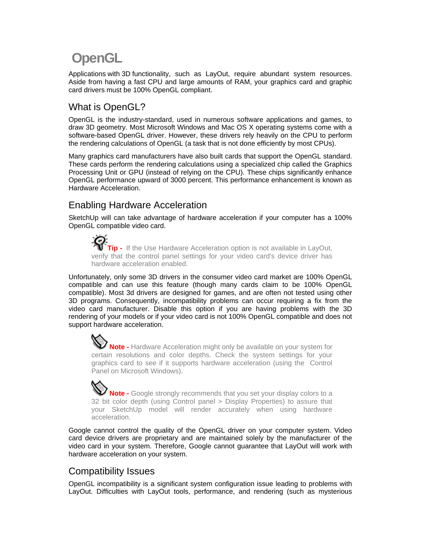# **OpenGL**

Applications with 3D functionality, such as LayOut, require abundant system resources. Aside from having a fast CPU and large amounts of RAM, your graphics card and graphic card drivers must be 100% OpenGL compliant.

## What is OpenGL?

OpenGL is the industry-standard, used in numerous software applications and games, to draw 3D geometry. Most Microsoft Windows and Mac OS X operating systems come with a software-based OpenGL driver. However, these drivers rely heavily on the CPU to perform the rendering calculations of OpenGL (a task that is not done efficiently by most CPUs).

Many graphics card manufacturers have also built cards that support the OpenGL standard. These cards perform the rendering calculations using a specialized chip called the Graphics Processing Unit or GPU (instead of relying on the CPU). These chips significantly enhance OpenGL performance upward of 3000 percent. This performance enhancement is known as Hardware Acceleration.

## Enabling Hardware Acceleration

SketchUp will can take advantage of hardware acceleration if your computer has a 100% OpenGL compatible video card.

**Tip -** If the Use Hardware Acceleration option is not available in LayOut, verify that the control panel settings for your video card's device driver has hardware acceleration enabled.

Unfortunately, only some 3D drivers in the consumer video card market are 100% OpenGL compatible and can use this feature (though many cards claim to be 100% OpenGL compatible). Most 3d drivers are designed for games, and are often not tested using other 3D programs. Consequently, incompatibility problems can occur requiring a fix from the video card manufacturer. Disable this option if you are having problems with the 3D rendering of your models or if your video card is not 100% OpenGL compatible and does not support hardware acceleration.

 **Note -** Hardware Acceleration might only be available on your system for certain resolutions and color depths. Check the system settings for your graphics card to see if it supports hardware acceleration (using the Control Panel on Microsoft Windows).

**Note -** Google strongly recommends that you set your display colors to a 32 bit color depth (using Control panel > Display Properties) to assure that your SketchUp model will render accurately when using hardware acceleration.

Google cannot control the quality of the OpenGL driver on your computer system. Video card device drivers are proprietary and are maintained solely by the manufacturer of the video card in your system. Therefore, Google cannot guarantee that LayOut will work with hardware acceleration on your system.

## Compatibility Issues

OpenGL incompatibility is a significant system configuration issue leading to problems with LayOut. Difficulties with LayOut tools, performance, and rendering (such as mysterious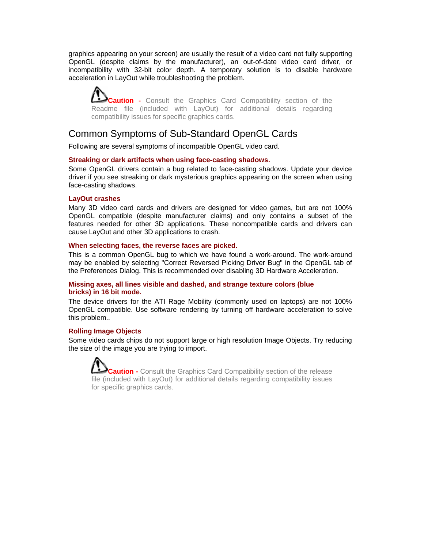graphics appearing on your screen) are usually the result of a video card not fully supporting OpenGL (despite claims by the manufacturer), an out-of-date video card driver, or incompatibility with 32-bit color depth. A temporary solution is to disable hardware acceleration in LayOut while troubleshooting the problem.

**Caution -** Consult the Graphics Card Compatibility section of the Readme file (included with LayOut) for additional details regarding compatibility issues for specific graphics cards.

### Common Symptoms of Sub-Standard OpenGL Cards

Following are several symptoms of incompatible OpenGL video card.

#### **Streaking or dark artifacts when using face-casting shadows.**

Some OpenGL drivers contain a bug related to face-casting shadows. Update your device driver if you see streaking or dark mysterious graphics appearing on the screen when using face-casting shadows.

#### **LayOut crashes**

Many 3D video card cards and drivers are designed for video games, but are not 100% OpenGL compatible (despite manufacturer claims) and only contains a subset of the features needed for other 3D applications. These noncompatible cards and drivers can cause LayOut and other 3D applications to crash.

#### **When selecting faces, the reverse faces are picked.**

This is a common OpenGL bug to which we have found a work-around. The work-around may be enabled by selecting "Correct Reversed Picking Driver Bug" in the OpenGL tab of the Preferences Dialog. This is recommended over disabling 3D Hardware Acceleration.

#### **Missing axes, all lines visible and dashed, and strange texture colors (blue bricks) in 16 bit mode.**

The device drivers for the ATI Rage Mobility (commonly used on laptops) are not 100% OpenGL compatible. Use software rendering by turning off hardware acceleration to solve this problem..

#### **Rolling Image Objects**

Some video cards chips do not support large or high resolution Image Objects. Try reducing the size of the image you are trying to import.

**Caution -** Consult the Graphics Card Compatibility section of the release file (included with LayOut) for additional details regarding compatibility issues for specific graphics cards.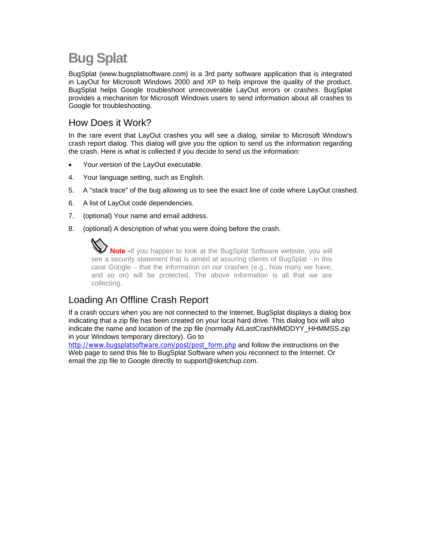# **Bug Splat**

BugSplat (www.bugsplatsoftware.com) is a 3rd party software application that is integrated in LayOut for Microsoft Windows 2000 and XP to help improve the quality of the product. BugSplat helps Google troubleshoot unrecoverable LayOut errors or *crashes*. BugSplat provides a mechanism for Microsoft Windows users to send information about all crashes to Google for troubleshooting.

## How Does it Work?

In the rare event that LayOut crashes you will see a dialog, similar to Microsoft Window's crash report dialog. This dialog will give you the option to send us the information regarding the crash. Here is what is collected if you decide to send us the information:

- Your version of the LayOut executable.
- 4. Your language setting, such as English.
- 5. A "stack trace" of the bug allowing us to see the exact line of code where LayOut crashed.
- 6. A list of LayOut code dependencies.
- 7. (optional) Your name and email address.
- 8. (optional) A description of what you were doing before the crash.

**Note -**If you happen to look at the BugSplat Software website, you will see a security statement that is aimed at assuring clients of BugSplat - in this case Google – that the information on our crashes (e.g., how many we have, and so on) will be protected. The above information is all that we are collecting.

## Loading An Offline Crash Report

If a crash occurs when you are not connected to the Internet, BugSplat displays a dialog box indicating that a zip file has been created on your local hard drive. This dialog box will also indicate the name and location of the zip file (normally AtLastCrashMMDDYY\_HHMMSS.zip in your Windows temporary directory). Go to

http://www.bugsplatsoftware.com/post/post\_form.php and follow the instructions on the Web page to send this file to BugSplat Software when you reconnect to the Internet. Or email the zip file to Google directly to support@sketchup.com.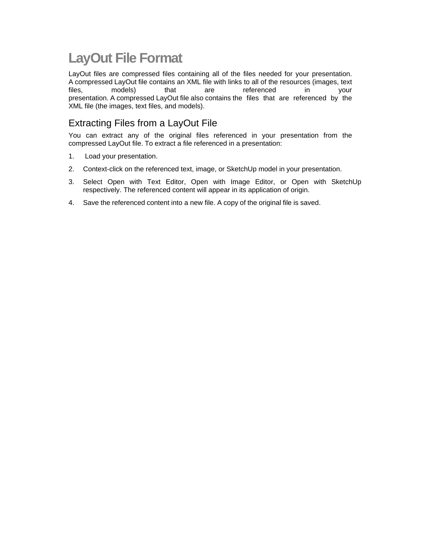# **LayOut File Format**

LayOut files are compressed files containing all of the files needed for your presentation. A compressed LayOut file contains an XML file with links to all of the resources (images, text files, models) that are referenced in your presentation. A compressed LayOut file also contains the files that are referenced by the XML file (the images, text files, and models).

# Extracting Files from a LayOut File

You can extract any of the original files referenced in your presentation from the compressed LayOut file. To extract a file referenced in a presentation:

- 1. Load your presentation.
- 2. Context-click on the referenced text, image, or SketchUp model in your presentation.
- 3. Select Open with Text Editor, Open with Image Editor, or Open with SketchUp respectively. The referenced content will appear in its application of origin.
- 4. Save the referenced content into a new file. A copy of the original file is saved.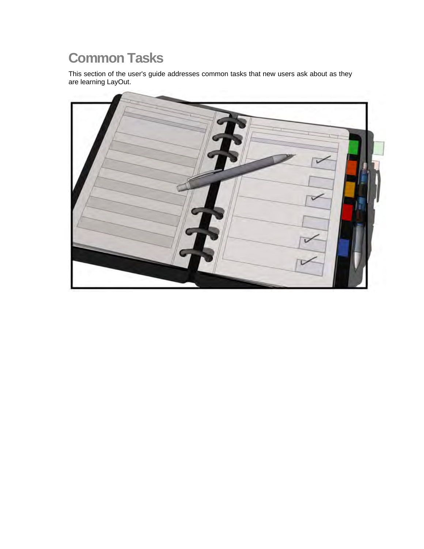# **Common Tasks**

This section of the user's guide addresses common tasks that new users ask about as they are learning LayOut.

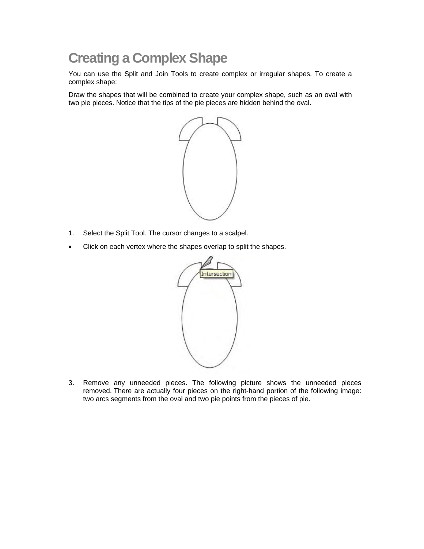# **Creating a Complex Shape**

You can use the Split and Join Tools to create complex or irregular shapes. To create a complex shape:

Draw the shapes that will be combined to create your complex shape, such as an oval with two pie pieces. Notice that the tips of the pie pieces are hidden behind the oval.



- 1. Select the Split Tool. The cursor changes to a scalpel.
- Click on each vertex where the shapes overlap to split the shapes.



3. Remove any unneeded pieces. The following picture shows the unneeded pieces removed. There are actually four pieces on the right-hand portion of the following image: two arcs segments from the oval and two pie points from the pieces of pie.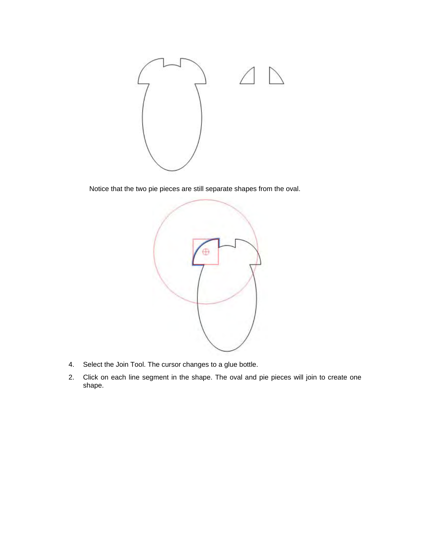

Notice that the two pie pieces are still separate shapes from the oval.



- 4. Select the Join Tool. The cursor changes to a glue bottle.
- 2. Click on each line segment in the shape. The oval and pie pieces will join to create one shape.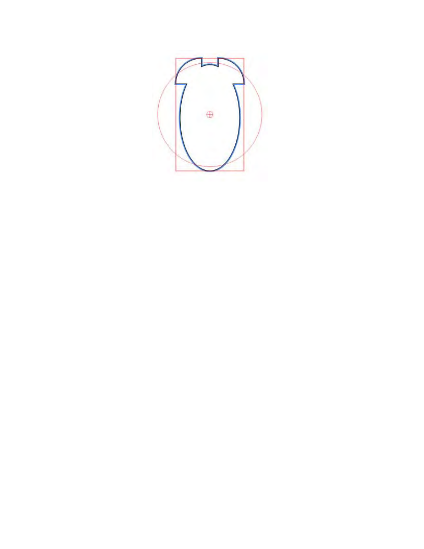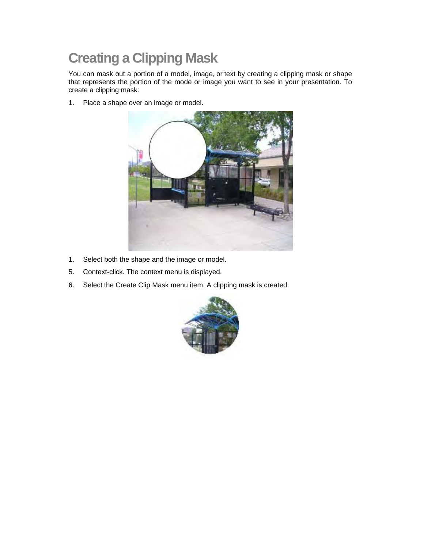# **Creating a Clipping Mask**

You can mask out a portion of a model, image, or text by creating a clipping mask or shape that represents the portion of the mode or image you want to see in your presentation. To create a clipping mask:

1. Place a shape over an image or model.



- 1. Select both the shape and the image or model.
- 5. Context-click. The context menu is displayed.
- 6. Select the Create Clip Mask menu item. A clipping mask is created.

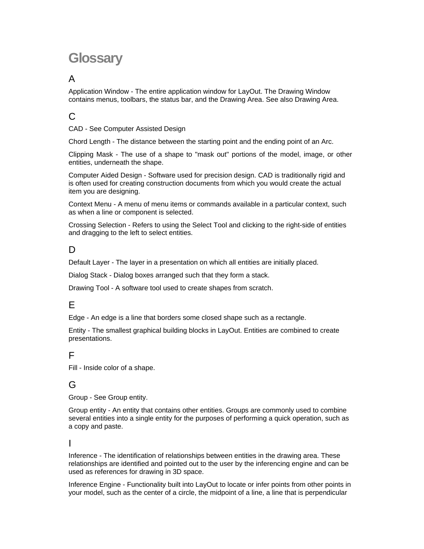# **Glossary**

# A

Application Window - The entire application window for LayOut. The Drawing Window contains menus, toolbars, the status bar, and the Drawing Area. See also Drawing Area.

# $\mathsf{C}$

CAD - See Computer Assisted Design

Chord Length - The distance between the starting point and the ending point of an Arc.

Clipping Mask - The use of a shape to "mask out" portions of the model, image, or other entities, underneath the shape.

Computer Aided Design - Software used for precision design. CAD is traditionally rigid and is often used for creating construction documents from which you would create the actual item you are designing.

Context Menu - A menu of menu items or commands available in a particular context, such as when a line or component is selected.

Crossing Selection - Refers to using the Select Tool and clicking to the right-side of entities and dragging to the left to select entities.

# D.

Default Layer - The layer in a presentation on which all entities are initially placed.

Dialog Stack - Dialog boxes arranged such that they form a stack.

Drawing Tool - A software tool used to create shapes from scratch.

# E

Edge - An edge is a line that borders some closed shape such as a rectangle.

Entity - The smallest graphical building blocks in LayOut. Entities are combined to create presentations.

# F

Fill - Inside color of a shape.

# G

Group - See Group entity.

Group entity - An entity that contains other entities. Groups are commonly used to combine several entities into a single entity for the purposes of performing a quick operation, such as a copy and paste.

## I

Inference - The identification of relationships between entities in the drawing area. These relationships are identified and pointed out to the user by the inferencing engine and can be used as references for drawing in 3D space.

Inference Engine - Functionality built into LayOut to locate or infer points from other points in your model, such as the center of a circle, the midpoint of a line, a line that is perpendicular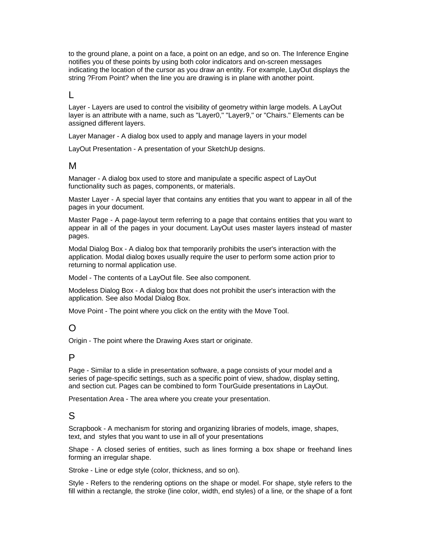to the ground plane, a point on a face, a point on an edge, and so on. The Inference Engine notifies you of these points by using both color indicators and on-screen messages indicating the location of the cursor as you draw an entity. For example, LayOut displays the string ?From Point? when the line you are drawing is in plane with another point.

L

Layer - Layers are used to control the visibility of geometry within large models. A LayOut layer is an attribute with a name, such as "Layer0," "Layer9," or "Chairs." Elements can be assigned different layers.

Layer Manager - A dialog box used to apply and manage layers in your model

LayOut Presentation - A presentation of your SketchUp designs.

## M

Manager - A dialog box used to store and manipulate a specific aspect of LayOut functionality such as pages, components, or materials.

Master Layer - A special layer that contains any entities that you want to appear in all of the pages in your document.

Master Page - A page-layout term referring to a page that contains entities that you want to appear in all of the pages in your document. LayOut uses master layers instead of master pages.

Modal Dialog Box - A dialog box that temporarily prohibits the user's interaction with the application. Modal dialog boxes usually require the user to perform some action prior to returning to normal application use.

Model - The contents of a LayOut file. See also component.

Modeless Dialog Box - A dialog box that does not prohibit the user's interaction with the application. See also Modal Dialog Box.

Move Point - The point where you click on the entity with the Move Tool.

# $\Omega$

Origin - The point where the Drawing Axes start or originate.

# P

Page - Similar to a slide in presentation software, a page consists of your model and a series of page-specific settings, such as a specific point of view, shadow, display setting, and section cut. Pages can be combined to form TourGuide presentations in LayOut.

Presentation Area - The area where you create your presentation.

# S

Scrapbook - A mechanism for storing and organizing libraries of models, image, shapes, text, and styles that you want to use in all of your presentations

Shape - A closed series of entities, such as lines forming a box shape or freehand lines forming an irregular shape.

Stroke - Line or edge style (color, thickness, and so on).

Style - Refers to the rendering options on the shape or model. For shape, style refers to the fill within a rectangle*,* the stroke (line color, width, end styles) of a line*,* or the shape of a font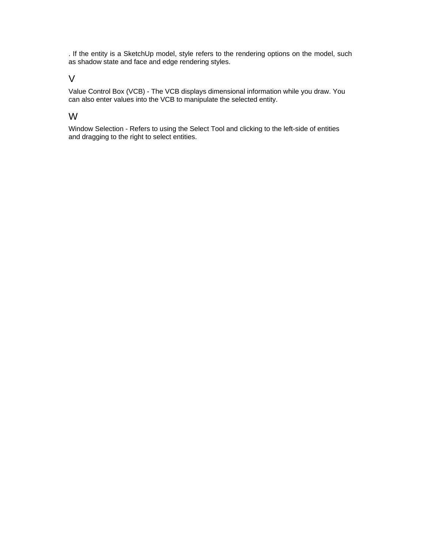. If the entity is a SketchUp model, style refers to the rendering options on the model, such as shadow state and face and edge rendering styles.

V

Value Control Box (VCB) - The VCB displays dimensional information while you draw. You can also enter values into the VCB to manipulate the selected entity.

# W

Window Selection - Refers to using the Select Tool and clicking to the left-side of entities and dragging to the right to select entities.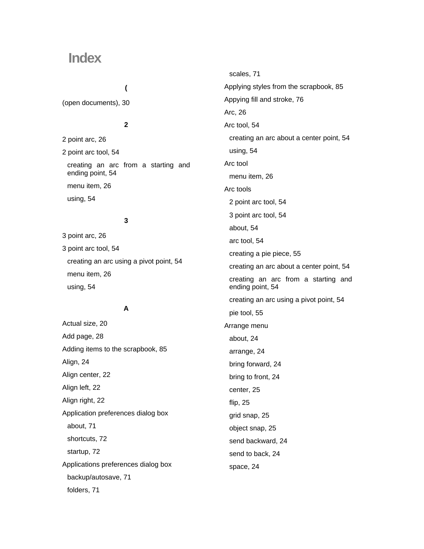# **Index**

(open documents), 30

## **2**

**(**

2 point arc, 26 2 point arc tool, 54 creating an arc from a starting and ending point, 54 menu item, 26 using, 54

## **3**

3 point arc, 26 3 point arc tool, 54 creating an arc using a pivot point, 54 menu item, 26 using, 54

### **A**

Actual size, 20 Add page, 28 Adding items to the scrapbook, 85 Align, 24 Align center, 22 Align left, 22 Align right, 22 Application preferences dialog box about, 71 shortcuts, 72 startup, 72 Applications preferences dialog box backup/autosave, 71 folders, 71

scales, 71 Applying styles from the scrapbook, 85 Appying fill and stroke, 76 Arc, 26 Arc tool, 54 creating an arc about a center point, 54 using, 54 Arc tool menu item, 26 Arc tools 2 point arc tool, 54 3 point arc tool, 54 about, 54 arc tool, 54 creating a pie piece, 55 creating an arc about a center point, 54 creating an arc from a starting and ending point, 54 creating an arc using a pivot point, 54 pie tool, 55 Arrange menu about, 24 arrange, 24 bring forward, 24 bring to front, 24 center, 25 flip, 25 grid snap, 25 object snap, 25 send backward, 24 send to back, 24 space, 24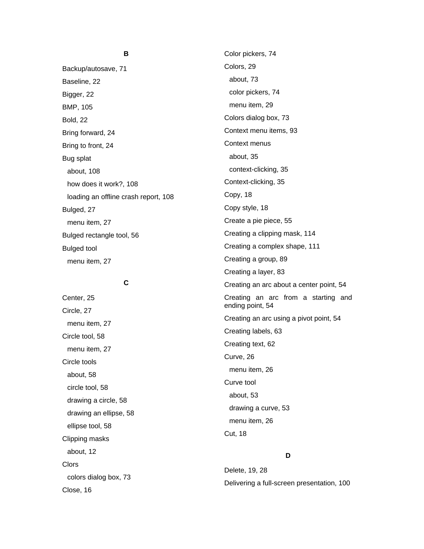#### **B**

Backup/autosave, 71 Baseline, 22 Bigger, 22 BMP, 105 Bold, 22 Bring forward, 24 Bring to front, 24 Bug splat about, 108 how does it work?, 108 loading an offline crash report, 108 Bulged, 27 menu item, 27 Bulged rectangle tool, 56 Bulged tool menu item, 27

#### **C**

Center, 25 Circle, 27 menu item, 27 Circle tool, 58 menu item, 27 Circle tools about, 58 circle tool, 58 drawing a circle, 58 drawing an ellipse, 58 ellipse tool, 58 Clipping masks about, 12 Clors colors dialog box, 73 Close, 16

Color pickers, 74 Colors, 29 about, 73 color pickers, 74 menu item, 29 Colors dialog box, 73 Context menu items, 93 Context menus about, 35 context-clicking, 35 Context-clicking, 35 Copy, 18 Copy style, 18 Create a pie piece, 55 Creating a clipping mask, 114 Creating a complex shape, 111 Creating a group, 89 Creating a layer, 83 Creating an arc about a center point, 54 Creating an arc from a starting and ending point, 54 Creating an arc using a pivot point, 54 Creating labels, 63 Creating text, 62 Curve, 26 menu item, 26 Curve tool about, 53 drawing a curve, 53 menu item, 26 Cut, 18

#### **D**

Delete, 19, 28 Delivering a full-screen presentation, 100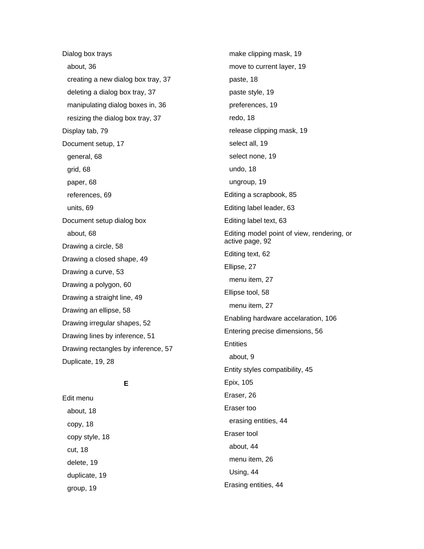Dialog box trays about, 36 creating a new dialog box tray, 37 deleting a dialog box tray, 37 manipulating dialog boxes in, 36 resizing the dialog box tray, 37 Display tab, 79 Document setup, 17 general, 68 grid, 68 paper, 68 references, 69 units, 69 Document setup dialog box about, 68 Drawing a circle, 58 Drawing a closed shape, 49 Drawing a curve, 53 Drawing a polygon, 60 Drawing a straight line, 49 Drawing an ellipse, 58 Drawing irregular shapes, 52 Drawing lines by inference, 51 Drawing rectangles by inference, 57 Duplicate, 19, 28

## **E**

Edit menu about, 18 copy, 18 copy style, 18 cut, 18 delete, 19 duplicate, 19 group, 19

make clipping mask, 19 move to current layer, 19 paste, 18 paste style, 19 preferences, 19 redo, 18 release clipping mask, 19 select all, 19 select none, 19 undo, 18 ungroup, 19 Editing a scrapbook, 85 Editing label leader, 63 Editing label text, 63 Editing model point of view, rendering, or active page, 92 Editing text, 62 Ellipse, 27 menu item, 27 Ellipse tool, 58 menu item, 27 Enabling hardware accelaration, 106 Entering precise dimensions, 56 **Entities** about, 9 Entity styles compatibility, 45 Epix, 105 Eraser, 26 Eraser too erasing entities, 44 Eraser tool about, 44 menu item, 26 Using, 44

Erasing entities, 44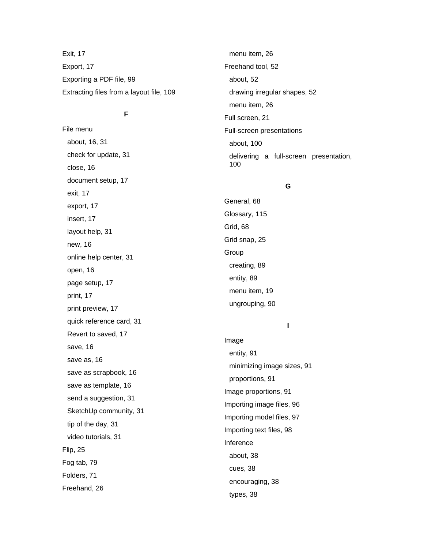Exit, 17 Export, 17 Exporting a PDF file, 99 Extracting files from a layout file, 109

### **F**

File menu about, 16, 31 check for update, 31 close, 16 document setup, 17 exit, 17 export, 17 insert, 17 layout help, 31 new, 16 online help center, 31 open, 16 page setup, 17 print, 17 print preview, 17 quick reference card, 31 Revert to saved, 17 save, 16 save as, 16 save as scrapbook, 16 save as template, 16 send a suggestion, 31 SketchUp community, 31 tip of the day, 31 video tutorials, 31 Flip, 25 Fog tab, 79 Folders, 71 Freehand, 26

menu item, 26 Freehand tool, 52 about, 52 drawing irregular shapes, 52 menu item, 26 Full screen, 21 Full-screen presentations about, 100 delivering a full-screen presentation, 100

## **G**

General, 68 Glossary, 115 Grid, 68 Grid snap, 25 **Group** creating, 89 entity, 89 menu item, 19 ungrouping, 90

#### **I**

Image entity, 91 minimizing image sizes, 91 proportions, 91 Image proportions, 91 Importing image files, 96 Importing model files, 97 Importing text files, 98 Inference about, 38 cues, 38 encouraging, 38 types, 38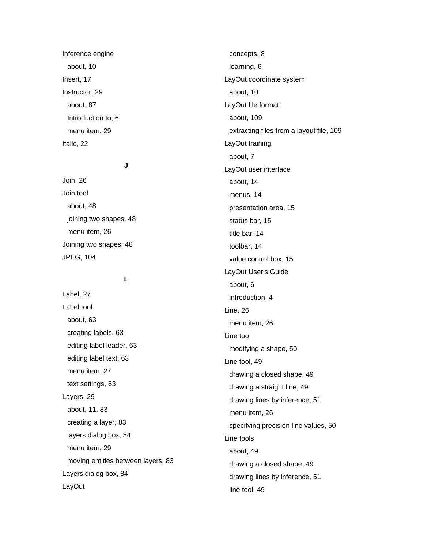Inference engine about, 10 Insert, 17 Instructor, 29 about, 87 Introduction to, 6 menu item, 29 Italic, 22

## **J**

Join, 26 Join tool about, 48 joining two shapes, 48 menu item, 26 Joining two shapes, 48 JPEG, 104

## **L**

Label, 27 Label tool about, 63 creating labels, 63 editing label leader, 63 editing label text, 63 menu item, 27 text settings, 63 Layers, 29 about, 11, 83 creating a layer, 83 layers dialog box, 84 menu item, 29 moving entities between layers, 83 Layers dialog box, 84 **LayOut** 

concepts, 8 learning, 6 LayOut coordinate system about, 10 LayOut file format about, 109 extracting files from a layout file, 109 LayOut training about, 7 LayOut user interface about, 14 menus, 14 presentation area, 15 status bar, 15 title bar, 14 toolbar, 14 value control box, 15 LayOut User's Guide about, 6 introduction, 4 Line, 26 menu item, 26 Line too modifying a shape, 50 Line tool, 49 drawing a closed shape, 49 drawing a straight line, 49 drawing lines by inference, 51 menu item, 26 specifying precision line values, 50 Line tools about, 49 drawing a closed shape, 49 drawing lines by inference, 51 line tool, 49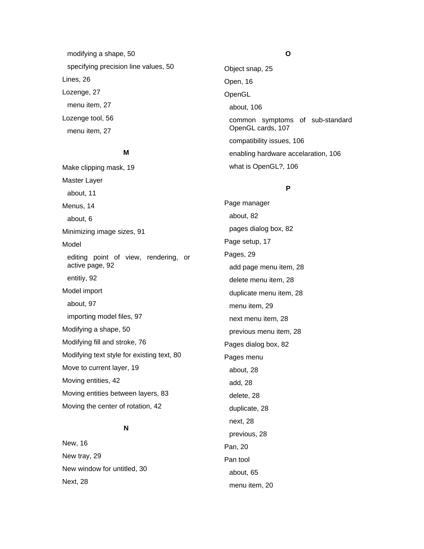modifying a shape, 50 specifying precision line values, 50 Lines, 26 Lozenge, 27 menu item, 27 Lozenge tool, 56 menu item, 27

## **M**

Make clipping mask, 19 Master Layer about, 11 Menus, 14 about, 6 Minimizing image sizes, 91 Model editing point of view, rendering, or active page, 92 entitiy, 92 Model import about, 97 importing model files, 97 Modifying a shape, 50 Modifying fill and stroke, 76 Modifying text style for existing text, 80 Move to current layer, 19 Moving entities, 42 Moving entities between layers, 83 Moving the center of rotation, 42

## **N**

New, 16 New tray, 29 New window for untitled, 30 Next, 28

#### **O**

Object snap, 25 Open, 16 OpenGL about, 106 common symptoms of sub-standard OpenGL cards, 107 compatibility issues, 106 enabling hardware accelaration, 106 what is OpenGL?, 106

## **P**

Page manager about, 82 pages dialog box, 82 Page setup, 17 Pages, 29 add page menu item, 28 delete menu item, 28 duplicate menu item, 28 menu item, 29 next menu item, 28 previous menu item, 28 Pages dialog box, 82 Pages menu about, 28 add, 28 delete, 28 duplicate, 28 next, 28 previous, 28 Pan, 20 Pan tool about, 65 menu item, 20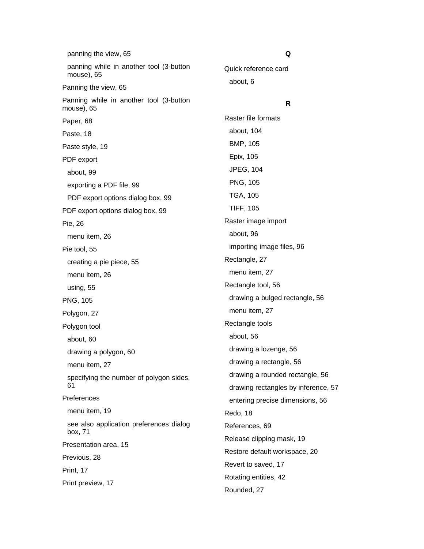panning the view, 65 panning while in another tool (3-button mouse), 65 Panning the view, 65 Panning while in another tool (3-button mouse), 65 Paper, 68 Paste, 18 Paste style, 19 PDF export about, 99 exporting a PDF file, 99 PDF export options dialog box, 99 PDF export options dialog box, 99 Pie, 26 menu item, 26 Pie tool, 55 creating a pie piece, 55 menu item, 26 using, 55 PNG, 105 Polygon, 27 Polygon tool about, 60 drawing a polygon, 60 menu item, 27 specifying the number of polygon sides, 61 Preferences menu item, 19 see also application preferences dialog box, 71 Presentation area, 15 Previous, 28 Print, 17 Print preview, 17 about, 6 about, 104 BMP, 105 Epix, 105 JPEG, 104 PNG, 105 TGA, 105 TIFF, 105 about, 96 Rectangle, 27 about, 56 Redo, 18 References, 69 Rounded, 27

### **Q**

Quick reference card

### **R**

Raster file formats Raster image import importing image files, 96 menu item, 27 Rectangle tool, 56 drawing a bulged rectangle, 56 menu item, 27 Rectangle tools drawing a lozenge, 56 drawing a rectangle, 56 drawing a rounded rectangle, 56 drawing rectangles by inference, 57 entering precise dimensions, 56 Release clipping mask, 19 Restore default workspace, 20 Revert to saved, 17 Rotating entities, 42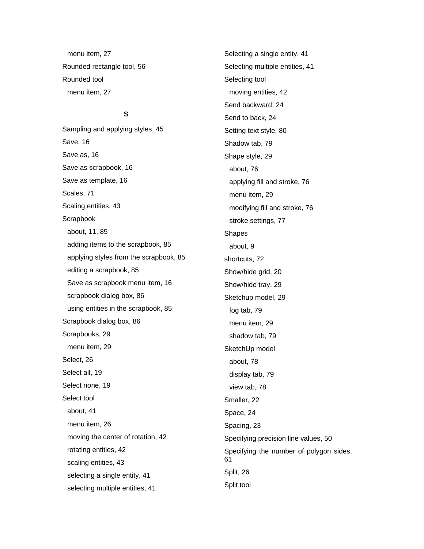menu item, 27 Rounded rectangle tool, 56 Rounded tool menu item, 27

## **S**

Sampling and applying styles, 45 Save, 16 Save as, 16 Save as scrapbook, 16 Save as template, 16 Scales, 71 Scaling entities, 43 **Scrapbook** about, 11, 85 adding items to the scrapbook, 85 applying styles from the scrapbook, 85 editing a scrapbook, 85 Save as scrapbook menu item, 16 scrapbook dialog box, 86 using entities in the scrapbook, 85 Scrapbook dialog box, 86 Scrapbooks, 29 menu item, 29 Select, 26 Select all, 19 Select none, 19 Select tool about, 41 menu item, 26 moving the center of rotation, 42 rotating entities, 42 scaling entities, 43 selecting a single entity, 41 selecting multiple entities, 41

Selecting a single entity, 41 Selecting multiple entities, 41 Selecting tool moving entities, 42 Send backward, 24 Send to back, 24 Setting text style, 80 Shadow tab, 79 Shape style, 29 about, 76 applying fill and stroke, 76 menu item, 29 modifying fill and stroke, 76 stroke settings, 77 **Shapes** about, 9 shortcuts, 72 Show/hide grid, 20 Show/hide tray, 29 Sketchup model, 29 fog tab, 79 menu item, 29 shadow tab, 79 SketchUp model about, 78 display tab, 79 view tab, 78 Smaller, 22 Space, 24 Spacing, 23 Specifying precision line values, 50 Specifying the number of polygon sides, 61 Split, 26 Split tool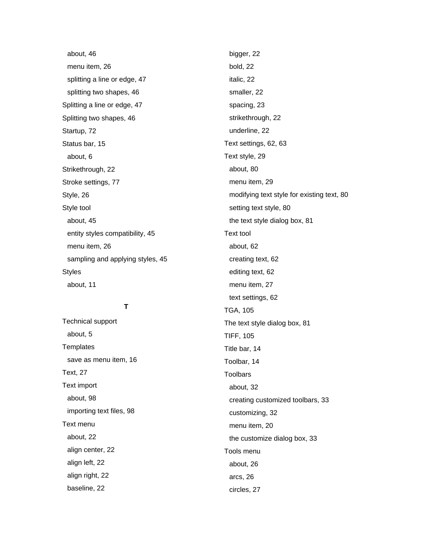about, 46 menu item, 26 splitting a line or edge, 47 splitting two shapes, 46 Splitting a line or edge, 47 Splitting two shapes, 46 Startup, 72 Status bar, 15 about, 6 Strikethrough, 22 Stroke settings, 77 Style, 26 Style tool about, 45 entity styles compatibility, 45 menu item, 26 sampling and applying styles, 45 Styles about, 11

#### **T**

Technical support about, 5 **Templates** save as menu item, 16 Text, 27 Text import about, 98 importing text files, 98 Text menu about, 22 align center, 22 align left, 22 align right, 22 baseline, 22

bigger, 22 bold, 22 italic, 22 smaller, 22 spacing, 23 strikethrough, 22 underline, 22 Text settings, 62, 63 Text style, 29 about, 80 menu item, 29 modifying text style for existing text, 80 setting text style, 80 the text style dialog box, 81 Text tool about, 62 creating text, 62 editing text, 62 menu item, 27 text settings, 62 TGA, 105 The text style dialog box, 81 TIFF, 105 Title bar, 14 Toolbar, 14 **Toolbars** about, 32 creating customized toolbars, 33 customizing, 32 menu item, 20 the customize dialog box, 33 Tools menu about, 26 arcs, 26 circles, 27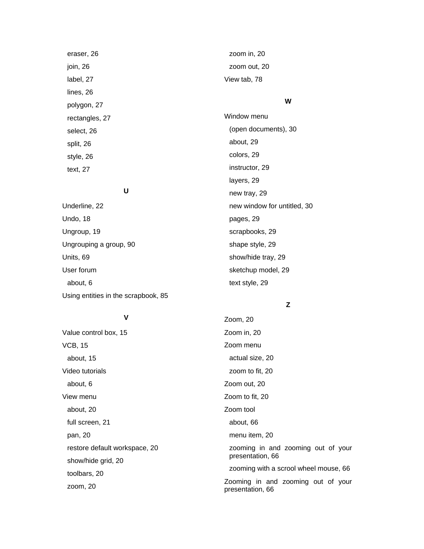eraser, 26 join, 26 label, 27 lines, 26 polygon, 27 rectangles, 27 select, 26 split, 26 style, 26 text, 27

Underline, 22

Ungroup, 19

Ungrouping a group, 90

Using entities in the scrapbook, 85

Undo, 18

Units, 69 User forum about, 6

**U**

zoom in, 20 zoom out, 20 View tab, 78

#### **W**

Window menu (open documents), 30 about, 29 colors, 29 instructor, 29 layers, 29 new tray, 29 new window for untitled, 30 pages, 29 scrapbooks, 29 shape style, 29 show/hide tray, 29 sketchup model, 29 text style, 29

#### **Z**

**V** Value control box, 15 VCB, 15 about, 15 Video tutorials about, 6 View menu about, 20 full screen, 21 pan, 20 restore default workspace, 20 show/hide grid, 20 toolbars, 20 zoom, 20 Zoom, 20 Zoom in, 20 Zoom menu actual size, 20 zoom to fit, 20 Zoom out, 20 Zoom to fit, 20 Zoom tool about, 66 menu item, 20 zooming in and zooming out of your presentation, 66 zooming with a scrool wheel mouse, 66 Zooming in and zooming out of your presentation, 66